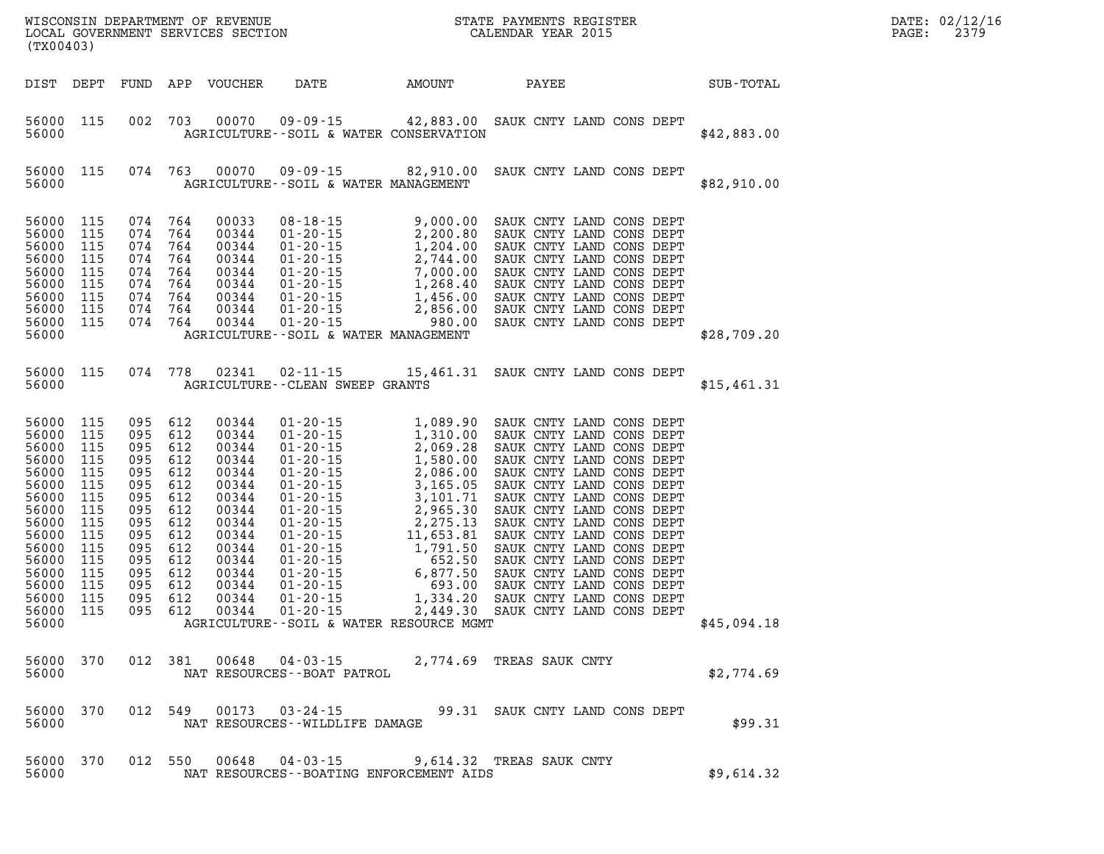| (TX00403)                                                                                                                                             |                                                                                                              |                                                                                                              |                                                                                                              |                                                                                                                                              | WISCONSIN DEPARTMENT OF REVENUE<br>LOCAL GOVERNMENT SERVICES SECTION<br>(TIMA 4.02)                                                                                                                                                                                                                                                     |                                                                                                                                                                                                                       | STATE PAYMENTS REGISTER<br>CALENDAR YEAR 2015                                                                                                                                                                                                                                                                                                                                                                                                                |  |  |             |  | PAGE: | DATE: 02/12/16<br>2379 |
|-------------------------------------------------------------------------------------------------------------------------------------------------------|--------------------------------------------------------------------------------------------------------------|--------------------------------------------------------------------------------------------------------------|--------------------------------------------------------------------------------------------------------------|----------------------------------------------------------------------------------------------------------------------------------------------|-----------------------------------------------------------------------------------------------------------------------------------------------------------------------------------------------------------------------------------------------------------------------------------------------------------------------------------------|-----------------------------------------------------------------------------------------------------------------------------------------------------------------------------------------------------------------------|--------------------------------------------------------------------------------------------------------------------------------------------------------------------------------------------------------------------------------------------------------------------------------------------------------------------------------------------------------------------------------------------------------------------------------------------------------------|--|--|-------------|--|-------|------------------------|
| DIST                                                                                                                                                  | DEPT                                                                                                         | FUND                                                                                                         | APP                                                                                                          | VOUCHER                                                                                                                                      | DATE                                                                                                                                                                                                                                                                                                                                    | <b>EXAMPLE THE AMOUNT</b>                                                                                                                                                                                             | PAYEE                                                                                                                                                                                                                                                                                                                                                                                                                                                        |  |  | SUB-TOTAL   |  |       |                        |
| 56000 115<br>56000                                                                                                                                    |                                                                                                              | 002                                                                                                          | 703                                                                                                          | 00070                                                                                                                                        | $09 - 09 - 15$<br>AGRICULTURE -- SOIL & WATER CONSERVATION                                                                                                                                                                                                                                                                              | 42,883.00 SAUK CNTY LAND CONS DEPT                                                                                                                                                                                    |                                                                                                                                                                                                                                                                                                                                                                                                                                                              |  |  | \$42,883.00 |  |       |                        |
| 56000 115<br>56000                                                                                                                                    |                                                                                                              | 074 763                                                                                                      |                                                                                                              | 00070                                                                                                                                        | 09 - 09 - 15<br>AGRICULTURE--SOIL & WATER MANAGEMENT                                                                                                                                                                                                                                                                                    | 82,910.00                                                                                                                                                                                                             | SAUK CNTY LAND CONS DEPT                                                                                                                                                                                                                                                                                                                                                                                                                                     |  |  | \$82,910.00 |  |       |                        |
| 56000<br>56000<br>56000<br>56000<br>56000<br>56000<br>56000<br>56000<br>56000<br>56000                                                                | 115<br>115<br>115<br>115<br>115<br>115<br>115<br>115<br>115                                                  | 074<br>074<br>074<br>074<br>074<br>074<br>074<br>074<br>074                                                  | 764<br>764<br>764<br>764<br>764<br>764<br>764<br>764<br>764                                                  | 00033<br>00344<br>00344<br>00344<br>00344<br>00344<br>00344<br>00344<br>00344                                                                | $08 - 18 - 15$<br>$01 - 20 - 15$<br>$01 - 20 - 15$<br>$01 - 20 - 15$<br>$01 - 20 - 15$<br>$01 - 20 - 15$<br>$01 - 20 - 15$<br>$01 - 20 - 15$<br>$01 - 20 - 15$<br>AGRICULTURE--SOIL & WATER MANAGEMENT                                                                                                                                  | 9,000.00<br>2,200.80<br>$1,204.00\n2,744.00\n7,000.00\n1,268.40\n1,456.00\n2,856.00$<br>2,856.00<br>980.00                                                                                                            | SAUK CNTY LAND CONS DEPT<br>SAUK CNTY LAND CONS DEPT<br>SAUK CNTY LAND CONS DEPT<br>SAUK CNTY LAND CONS DEPT<br>SAUK CNTY LAND CONS DEPT<br>SAUK CNTY LAND CONS DEPT<br>SAUK CNTY LAND CONS DEPT<br>SAUK CNTY LAND CONS DEPT<br>SAUK CNTY LAND CONS DEPT                                                                                                                                                                                                     |  |  | \$28,709.20 |  |       |                        |
| 56000 115<br>56000                                                                                                                                    |                                                                                                              | 074                                                                                                          | 778                                                                                                          | 02341                                                                                                                                        | $02 - 11 - 15$<br><b>AGRICULTURE--CLEAN SWEEP GRANTS</b>                                                                                                                                                                                                                                                                                | 15,461.31 SAUK CNTY LAND CONS DEPT                                                                                                                                                                                    |                                                                                                                                                                                                                                                                                                                                                                                                                                                              |  |  | \$15,461.31 |  |       |                        |
| 56000<br>56000<br>56000<br>56000<br>56000<br>56000<br>56000<br>56000<br>56000<br>56000<br>56000<br>56000<br>56000<br>56000<br>56000<br>56000<br>56000 | 115<br>115<br>115<br>115<br>115<br>115<br>115<br>115<br>115<br>115<br>115<br>115<br>115<br>115<br>115<br>115 | 095<br>095<br>095<br>095<br>095<br>095<br>095<br>095<br>095<br>095<br>095<br>095<br>095<br>095<br>095<br>095 | 612<br>612<br>612<br>612<br>612<br>612<br>612<br>612<br>612<br>612<br>612<br>612<br>612<br>612<br>612<br>612 | 00344<br>00344<br>00344<br>00344<br>00344<br>00344<br>00344<br>00344<br>00344<br>00344<br>00344<br>00344<br>00344<br>00344<br>00344<br>00344 | $01 - 20 - 15$<br>$01 - 20 - 15$<br>$01 - 20 - 15$<br>$01 - 20 - 15$<br>$01 - 20 - 15$<br>$01 - 20 - 15$<br>$01 - 20 - 15$<br>$01 - 20 - 15$<br>$01 - 20 - 15$<br>$01 - 20 - 15$<br>$01 - 20 - 15$<br>$01 - 20 - 15$<br>$01 - 20 - 15$<br>$01 - 20 - 15$<br>$01 - 20 - 15$<br>$01 - 20 - 15$<br>AGRICULTURE--SOIL & WATER RESOURCE MGMT | 1,089.90<br>1,310.00<br>2,069.28<br>$2,069.28$<br>$1,580.00$<br>$2,086.00$<br>$3,165.05$<br>$3,101.71$<br>$2,965.30$<br>$2,275.13$<br>$11,653.81$<br>1,791.50<br>652.50<br>6,877.50<br>693.00<br>1,334.20<br>2,449.30 | SAUK CNTY LAND CONS DEPT<br>SAUK CNTY LAND CONS DEPT<br>SAUK CNTY LAND CONS DEPT<br>SAUK CNTY LAND CONS DEPT<br>SAUK CNTY LAND CONS DEPT<br>SAUK CNTY LAND CONS DEPT<br>SAUK CNTY LAND CONS DEPT<br>SAUK CNTY LAND CONS DEPT<br>SAUK CNTY LAND CONS DEPT<br>SAUK CNTY LAND CONS DEPT<br>SAUK CNTY LAND CONS DEPT<br>SAUK CNTY LAND CONS DEPT<br>SAUK CNTY LAND CONS DEPT<br>SAUK CNTY LAND CONS DEPT<br>SAUK CNTY LAND CONS DEPT<br>SAUK CNTY LAND CONS DEPT |  |  | \$45,094.18 |  |       |                        |
| 56000 370<br>56000                                                                                                                                    |                                                                                                              |                                                                                                              |                                                                                                              |                                                                                                                                              | 012 381 00648 04-03-15<br>NAT RESOURCES - - BOAT PATROL                                                                                                                                                                                                                                                                                 |                                                                                                                                                                                                                       | 2,774.69 TREAS SAUK CNTY                                                                                                                                                                                                                                                                                                                                                                                                                                     |  |  | \$2,774.69  |  |       |                        |
| 56000<br>56000                                                                                                                                        | 370                                                                                                          | 012 549                                                                                                      |                                                                                                              |                                                                                                                                              | 00173  03-24-15  99.31  SAUK CNTY LAND CONS DEPT<br>NAT RESOURCES--WILDLIFE DAMAGE                                                                                                                                                                                                                                                      |                                                                                                                                                                                                                       |                                                                                                                                                                                                                                                                                                                                                                                                                                                              |  |  | \$99.31     |  |       |                        |
| 56000<br>56000                                                                                                                                        | 370                                                                                                          | 012 550                                                                                                      |                                                                                                              |                                                                                                                                              | $00648$ $04 - 03 - 15$<br>NAT RESOURCES--BOATING ENFORCEMENT AIDS                                                                                                                                                                                                                                                                       |                                                                                                                                                                                                                       | 9,614.32 TREAS SAUK CNTY                                                                                                                                                                                                                                                                                                                                                                                                                                     |  |  | \$9,614.32  |  |       |                        |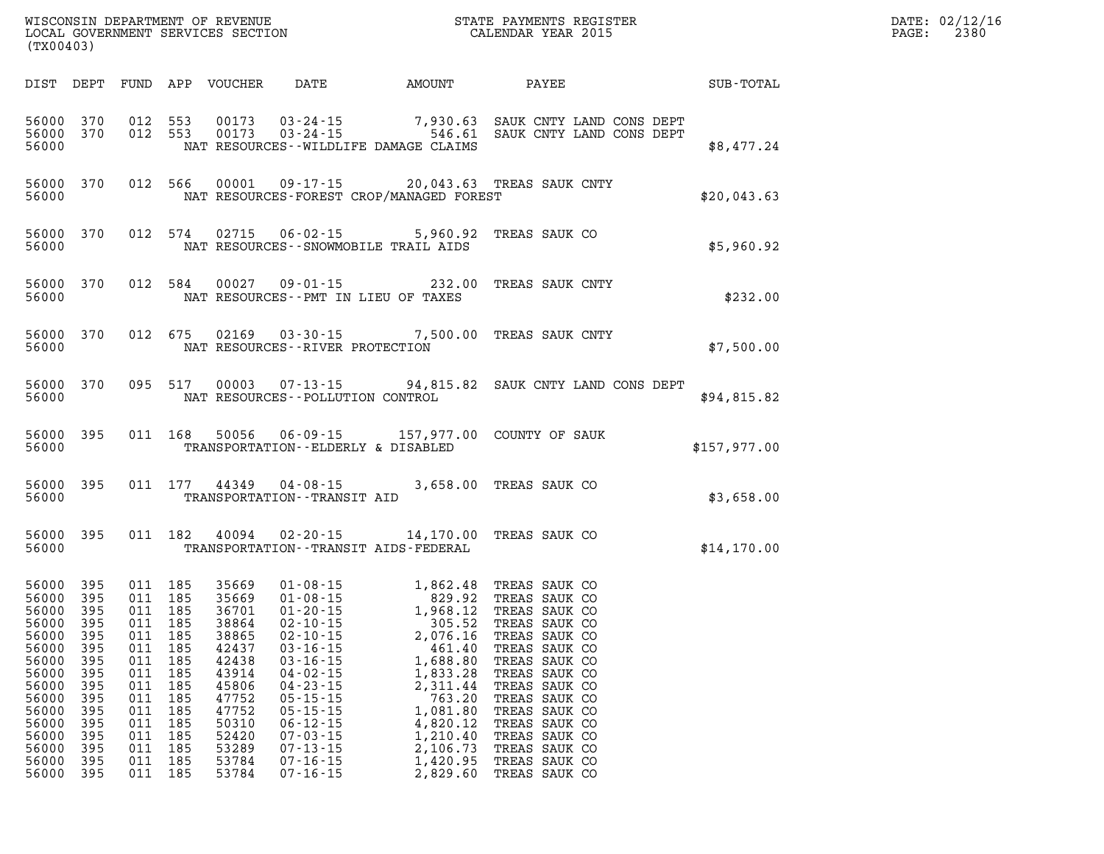| DATE: | 02/12/16 |
|-------|----------|
| PAGE: | 2380     |

| (TX00403)                                                                                                                                    |                                                                                                              |                                                             |                                                                                                                                          | LOCAL GOVERNMENT SERVICES SECTION                                                                                                            |                                                                                                                                                                                  |                                                                                                                                                                                                                                                                                                                                                                                            | CALENDAR YEAR 2015                                                                                                                                                     |              | PAGE: | 2380 |
|----------------------------------------------------------------------------------------------------------------------------------------------|--------------------------------------------------------------------------------------------------------------|-------------------------------------------------------------|------------------------------------------------------------------------------------------------------------------------------------------|----------------------------------------------------------------------------------------------------------------------------------------------|----------------------------------------------------------------------------------------------------------------------------------------------------------------------------------|--------------------------------------------------------------------------------------------------------------------------------------------------------------------------------------------------------------------------------------------------------------------------------------------------------------------------------------------------------------------------------------------|------------------------------------------------------------------------------------------------------------------------------------------------------------------------|--------------|-------|------|
| DIST DEPT                                                                                                                                    |                                                                                                              |                                                             |                                                                                                                                          |                                                                                                                                              |                                                                                                                                                                                  |                                                                                                                                                                                                                                                                                                                                                                                            |                                                                                                                                                                        |              |       |      |
| 56000 370<br>56000 370<br>56000                                                                                                              |                                                                                                              |                                                             | 012 553<br>012 553                                                                                                                       |                                                                                                                                              |                                                                                                                                                                                  | NAT RESOURCES--WILDLIFE DAMAGE CLAIMS                                                                                                                                                                                                                                                                                                                                                      | 00173  03-24-15  7,930.63  SAUK CNTY LAND CONS DEPT  00173  03-24-15  7,930.61  SAUK CNTY LAND CONS DEPT                                                               | \$8,477.24   |       |      |
| 56000                                                                                                                                        | 56000 370                                                                                                    |                                                             | 012 566                                                                                                                                  |                                                                                                                                              |                                                                                                                                                                                  |                                                                                                                                                                                                                                                                                                                                                                                            | 00001  09-17-15  20,043.63  TREAS SAUK CNTY<br>NAT RESOURCES-FOREST CROP/MANAGED FOREST                                                                                | \$20,043.63  |       |      |
| 56000                                                                                                                                        | 56000 370                                                                                                    |                                                             | 012 574                                                                                                                                  |                                                                                                                                              |                                                                                                                                                                                  | NAT RESOURCES -- SNOWMOBILE TRAIL AIDS                                                                                                                                                                                                                                                                                                                                                     | 02715  06-02-15  5,960.92  TREAS SAUK CO                                                                                                                               | \$5,960.92   |       |      |
| 56000                                                                                                                                        | 56000 370                                                                                                    |                                                             | 012 584                                                                                                                                  |                                                                                                                                              | NAT RESOURCES -- PMT IN LIEU OF TAXES                                                                                                                                            |                                                                                                                                                                                                                                                                                                                                                                                            | 00027  09-01-15  232.00  TREAS SAUK CNTY                                                                                                                               | \$232.00     |       |      |
| 56000                                                                                                                                        | 56000 370                                                                                                    |                                                             | 012 675                                                                                                                                  |                                                                                                                                              | NAT RESOURCES -- RIVER PROTECTION                                                                                                                                                |                                                                                                                                                                                                                                                                                                                                                                                            | 02169  03-30-15  7,500.00  TREAS SAUK CNTY                                                                                                                             | \$7,500.00   |       |      |
| 56000                                                                                                                                        | 56000 370                                                                                                    |                                                             | 095 517                                                                                                                                  |                                                                                                                                              | NAT RESOURCES -- POLLUTION CONTROL                                                                                                                                               |                                                                                                                                                                                                                                                                                                                                                                                            | 00003  07-13-15  94,815.82  SAUK CNTY LAND CONS DEPT                                                                                                                   | \$94,815.82  |       |      |
| 56000                                                                                                                                        | 56000 395                                                                                                    |                                                             | 011 168                                                                                                                                  |                                                                                                                                              | TRANSPORTATION--ELDERLY & DISABLED                                                                                                                                               |                                                                                                                                                                                                                                                                                                                                                                                            | 50056  06-09-15  157,977.00  COUNTY OF SAUK                                                                                                                            | \$157,977.00 |       |      |
| 56000                                                                                                                                        | 56000 395                                                                                                    |                                                             |                                                                                                                                          |                                                                                                                                              | TRANSPORTATION - - TRANSIT AID                                                                                                                                                   | 011 177 44349 04-08-15 3,658.00 TREAS SAUK CO                                                                                                                                                                                                                                                                                                                                              |                                                                                                                                                                        | \$3,658.00   |       |      |
| 56000                                                                                                                                        | 56000 395                                                                                                    |                                                             | 011 182                                                                                                                                  |                                                                                                                                              |                                                                                                                                                                                  | 40094  02-20-15  14,170.00 TREAS SAUK CO<br>TRANSPORTATION - - TRANSIT AIDS - FEDERAL                                                                                                                                                                                                                                                                                                      |                                                                                                                                                                        | \$14,170.00  |       |      |
| 56000<br>56000<br>56000<br>56000<br>56000<br>56000<br>56000<br>56000<br>56000<br>56000<br>56000<br>56000<br>56000<br>56000<br>56000<br>56000 | 395<br>395<br>395<br>395<br>395<br>395<br>395<br>395<br>395<br>395<br>395<br>395<br>395<br>395<br>395<br>395 | 011<br>011<br>011<br>011<br>011<br>011<br>011<br>011<br>011 | 011 185<br>011 185<br>011 185<br>011 185<br>011 185<br>011 185<br>185<br>185<br>185<br>185<br>185<br>185<br>185<br>185<br>011 185<br>185 | 35669<br>35669<br>36701<br>38864<br>38865<br>42437<br>42438<br>43914<br>45806<br>47752<br>47752<br>50310<br>52420<br>53289<br>53784<br>53784 | $03 - 16 - 15$<br>$04 - 02 - 15$<br>$04 - 23 - 15$<br>$05 - 15 - 15$<br>$05 - 15 - 15$<br>$06 - 12 - 15$<br>$07 - 03 - 15$<br>$07 - 13 - 15$<br>$07 - 16 - 15$<br>$07 - 16 - 15$ | 01-08-15<br>01-08-15<br>01-20-15<br>01-20-15<br>1,968.12<br>TREAS SAUK CO<br>02-10-15<br>2,076.16<br>TREAS SAUK CO<br>03-16-15<br>461.40<br>TREAS SAUK CO<br>2,076.16<br>TREAS SAUK CO<br>2,076.16<br>TREAS SAUK CO<br>2,076.16<br>TREAS SAUK CO<br>2,076.16<br>TREA<br>1,688.80<br>1,833.28<br>2,311.44<br>763.20<br>1,081.80<br>4,820.12<br>1,210.40<br>2,106.73<br>1,420.95<br>2,829.60 | TREAS SAUK CO<br>TREAS SAUK CO<br>TREAS SAUK CO<br>TREAS SAUK CO<br>TREAS SAUK CO<br>TREAS SAUK CO<br>TREAS SAUK CO<br>TREAS SAUK CO<br>TREAS SAUK CO<br>TREAS SAUK CO |              |       |      |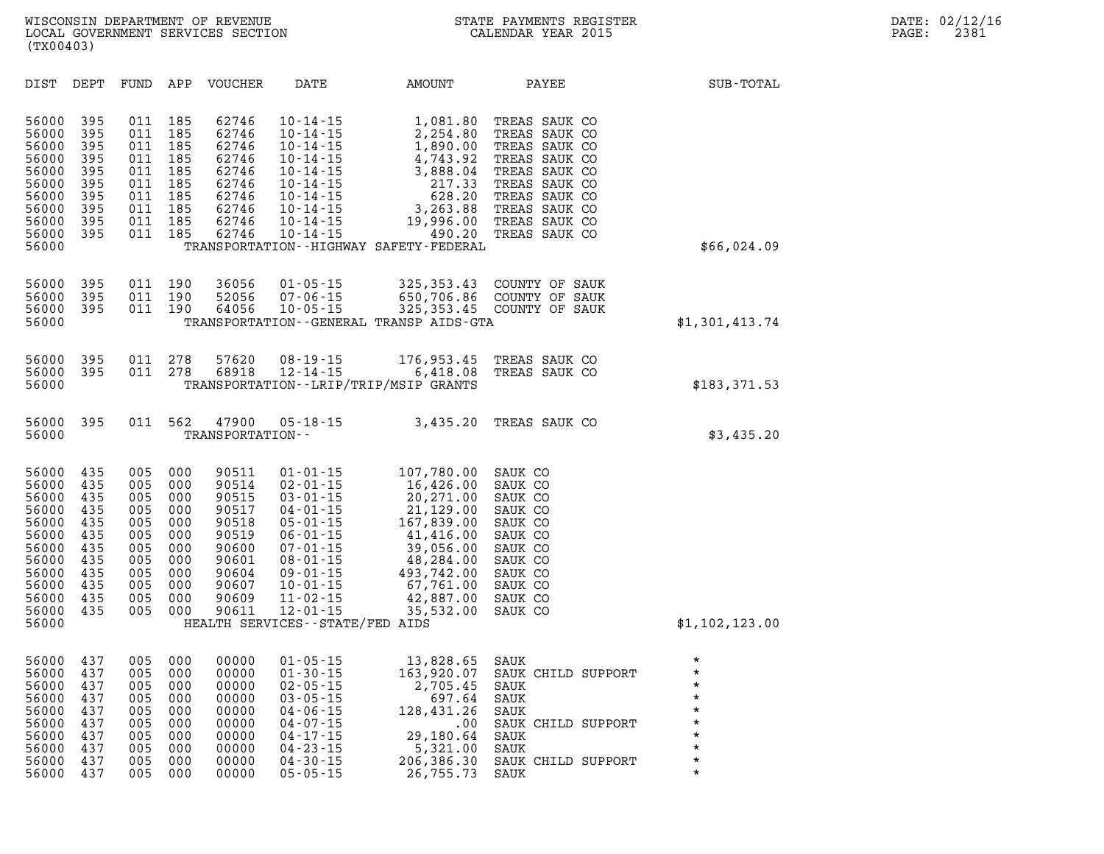| DIST                                                                                                              | DEPT                                                                             | FUND                                                                             | APP                                                                              | <b>VOUCHER</b>                                                                                           | DATE                                                                                                                                                                                                                                                       | AMOUNT                                                                                                                                                         | PAYEE                                                                                                                                                                  | SUB-TOTAL                                                                                                  |
|-------------------------------------------------------------------------------------------------------------------|----------------------------------------------------------------------------------|----------------------------------------------------------------------------------|----------------------------------------------------------------------------------|----------------------------------------------------------------------------------------------------------|------------------------------------------------------------------------------------------------------------------------------------------------------------------------------------------------------------------------------------------------------------|----------------------------------------------------------------------------------------------------------------------------------------------------------------|------------------------------------------------------------------------------------------------------------------------------------------------------------------------|------------------------------------------------------------------------------------------------------------|
| 56000<br>56000<br>56000<br>56000<br>56000<br>56000<br>56000<br>56000<br>56000<br>56000<br>56000                   | 395<br>395<br>395<br>395<br>395<br>395<br>395<br>395<br>395<br>395               | 011<br>011<br>011<br>011<br>011<br>011<br>011<br>011<br>011<br>011               | 185<br>185<br>185<br>185<br>185<br>185<br>185<br>185<br>185<br>185               | 62746<br>62746<br>62746<br>62746<br>62746<br>62746<br>62746<br>62746<br>62746<br>62746                   | $10 - 14 - 15$<br>$10 - 14 - 15$<br>$10 - 14 - 15$<br>$10 - 14 - 15$<br>$10 - 14 - 15$<br>$10 - 14 - 15$<br>$10 - 14 - 15$<br>$10 - 14 - 15$<br>$10 - 14 - 15$<br>$10 - 14 - 15$                                                                           | 1,081.80<br>2,254.80<br>1,890.00<br>4,743.92<br>3,888.04<br>217.33<br>628.20<br>3,263.88<br>19,996.00<br>490.20<br>TRANSPORTATION - - HIGHWAY SAFETY - FEDERAL | TREAS SAUK CO<br>TREAS SAUK CO<br>TREAS SAUK CO<br>TREAS SAUK CO<br>TREAS SAUK CO<br>TREAS SAUK CO<br>TREAS SAUK CO<br>TREAS SAUK CO<br>TREAS SAUK CO<br>TREAS SAUK CO | \$66,024.09                                                                                                |
| 56000<br>56000<br>56000<br>56000                                                                                  | 395<br>395<br>395                                                                | 011<br>011<br>011                                                                | 190<br>190<br>190                                                                | 36056<br>52056<br>64056                                                                                  | $01 - 05 - 15$<br>$07 - 06 - 15$<br>$10 - 05 - 15$                                                                                                                                                                                                         | 325, 353.43<br>650,706.86<br>325, 353.45<br>TRANSPORTATION--GENERAL TRANSP AIDS-GTA                                                                            | COUNTY OF SAUK<br>COUNTY OF SAUK<br>COUNTY OF SAUK                                                                                                                     | \$1,301,413.74                                                                                             |
| 56000<br>56000<br>56000                                                                                           | 395<br>395                                                                       | 011<br>011                                                                       | 278<br>278                                                                       | 57620<br>68918                                                                                           | $08 - 19 - 15$<br>$12 - 14 - 15$                                                                                                                                                                                                                           | 176,953.45<br>6,418.08<br>TRANSPORTATION--LRIP/TRIP/MSIP GRANTS                                                                                                | TREAS SAUK CO<br>TREAS SAUK CO                                                                                                                                         | \$183,371.53                                                                                               |
| 56000<br>56000                                                                                                    | 395                                                                              | 011                                                                              | 562                                                                              | 47900<br>TRANSPORTATION--                                                                                | $05 - 18 - 15$                                                                                                                                                                                                                                             | 3,435.20                                                                                                                                                       | TREAS SAUK CO                                                                                                                                                          | \$3,435.20                                                                                                 |
| 56000<br>56000<br>56000<br>56000<br>56000<br>56000<br>56000<br>56000<br>56000<br>56000<br>56000<br>56000<br>56000 | 435<br>435<br>435<br>435<br>435<br>435<br>435<br>435<br>435<br>435<br>435<br>435 | 005<br>005<br>005<br>005<br>005<br>005<br>005<br>005<br>005<br>005<br>005<br>005 | 000<br>000<br>000<br>000<br>000<br>000<br>000<br>000<br>000<br>000<br>000<br>000 | 90511<br>90514<br>90515<br>90517<br>90518<br>90519<br>90600<br>90601<br>90604<br>90607<br>90609<br>90611 | $01 - 01 - 15$<br>$02 - 01 - 15$<br>$03 - 01 - 15$<br>$04 - 01 - 15$<br>$05 - 01 - 15$<br>$06 - 01 - 15$<br>$07 - 01 - 15$<br>$08 - 01 - 15$<br>$09 - 01 - 15$<br>$10 - 01 - 15$<br>$11 - 02 - 15$<br>$12 - 01 - 15$<br>HEALTH SERVICES - - STATE/FED AIDS | 107,780.00<br>16,426.00<br>20,271.00<br>21,129.00<br>167,839.00<br>41,416.00<br>39,056.00<br>48,284.00<br>493,742.00<br>67,761.00<br>42,887.00<br>35,532.00    | SAUK CO<br>SAUK CO<br>SAUK CO<br>SAUK CO<br>SAUK CO<br>SAUK CO<br>SAUK CO<br>SAUK CO<br>SAUK CO<br>SAUK CO<br>SAUK CO<br>SAUK CO                                       | \$1,102,123.00                                                                                             |
| 56000<br>56000<br>56000<br>56000<br>56000<br>56000<br>56000<br>56000<br>56000<br>56000                            | 437<br>437<br>437<br>437<br>437<br>437<br>437<br>437<br>437<br>437               | 005<br>005<br>005<br>005<br>005<br>005<br>005<br>005<br>005<br>005               | 000<br>000<br>000<br>000<br>000<br>000<br>000<br>000<br>000<br>000               | 00000<br>00000<br>00000<br>00000<br>00000<br>00000<br>00000<br>00000<br>00000<br>00000                   | $01 - 05 - 15$<br>$01 - 30 - 15$<br>$02 - 05 - 15$<br>$03 - 05 - 15$<br>$04 - 06 - 15$<br>$04 - 07 - 15$<br>$04 - 17 - 15$<br>$04 - 23 - 15$<br>$04 - 30 - 15$<br>$05 - 05 - 15$                                                                           | 13,828.65<br>163,920.07<br>2,705.45<br>697.64<br>128,431.26<br>.00<br>29,180.64<br>5,321.00<br>206,386.30<br>26,755.73                                         | SAUK<br>SAUK CHILD SUPPORT<br>SAUK<br>SAUK<br>SAUK<br>SAUK CHILD SUPPORT<br>SAUK<br>SAUK<br>SAUK CHILD SUPPORT<br>SAUK                                                 | $\star$<br>$\star$<br>$\star$<br>$\star$<br>$\star$<br>$\star$<br>$\star$<br>$\star$<br>$\star$<br>$\star$ |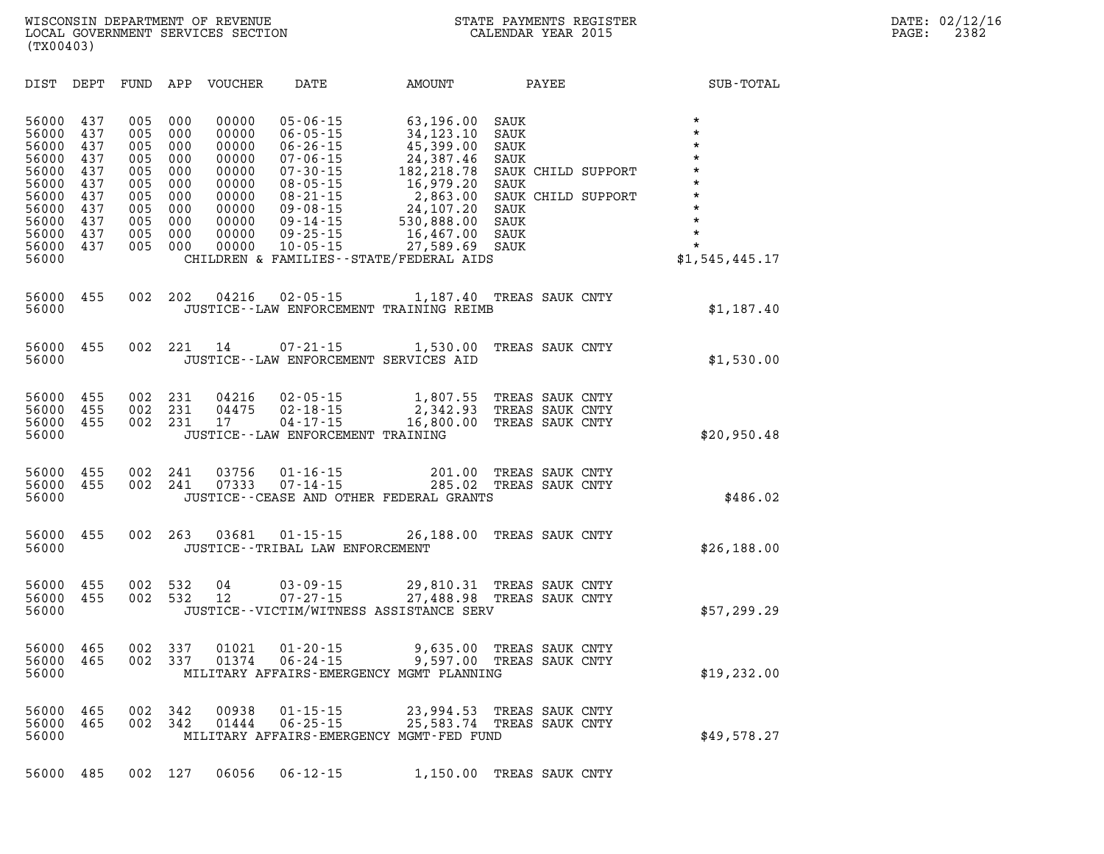| DIST                                                                                                     | DEPT                                                                      | FUND                                                                      | APP                                                                       | <b>VOUCHER</b>                                                                                  | DATE                                                                                                                                                                                               | AMOUNT                                                                                                                                                                                     | PAYEE                                                                                                            | SUB-TOTAL                                                                                                                               |
|----------------------------------------------------------------------------------------------------------|---------------------------------------------------------------------------|---------------------------------------------------------------------------|---------------------------------------------------------------------------|-------------------------------------------------------------------------------------------------|----------------------------------------------------------------------------------------------------------------------------------------------------------------------------------------------------|--------------------------------------------------------------------------------------------------------------------------------------------------------------------------------------------|------------------------------------------------------------------------------------------------------------------|-----------------------------------------------------------------------------------------------------------------------------------------|
| 56000<br>56000<br>56000<br>56000<br>56000<br>56000<br>56000<br>56000<br>56000<br>56000<br>56000<br>56000 | 437<br>437<br>437<br>437<br>437<br>437<br>437<br>437<br>437<br>437<br>437 | 005<br>005<br>005<br>005<br>005<br>005<br>005<br>005<br>005<br>005<br>005 | 000<br>000<br>000<br>000<br>000<br>000<br>000<br>000<br>000<br>000<br>000 | 00000<br>00000<br>00000<br>00000<br>00000<br>00000<br>00000<br>00000<br>00000<br>00000<br>00000 | $05 - 06 - 15$<br>$06 - 05 - 15$<br>$06 - 26 - 15$<br>$07 - 06 - 15$<br>$07 - 30 - 15$<br>$08 - 05 - 15$<br>$08 - 21 - 15$<br>$09 - 08 - 15$<br>$09 - 14 - 15$<br>$09 - 25 - 15$<br>$10 - 05 - 15$ | 63,196.00<br>34, 123. 10<br>45,399.00<br>24,387.46<br>182, 218.78<br>16,979.20<br>2,863.00<br>24,107.20<br>530,888.00<br>16,467.00<br>27,589.69<br>CHILDREN & FAMILIES--STATE/FEDERAL AIDS | SAUK<br>SAUK<br>SAUK<br>SAUK<br>SAUK CHILD SUPPORT<br>SAUK<br>SAUK CHILD SUPPORT<br>SAUK<br>SAUK<br>SAUK<br>SAUK | $\star$<br>$\star$<br>$\star$<br>$\star$<br>$\star$<br>$\star$<br>$\star$<br>$\star$<br>$\star$<br>$\star$<br>$\star$<br>\$1,545,445.17 |
| 56000<br>56000                                                                                           | 455                                                                       | 002                                                                       | 202                                                                       | 04216                                                                                           | $02 - 05 - 15$                                                                                                                                                                                     | 1,187.40<br>JUSTICE -- LAW ENFORCEMENT TRAINING REIMB                                                                                                                                      | TREAS SAUK CNTY                                                                                                  | \$1,187.40                                                                                                                              |
| 56000<br>56000                                                                                           | 455                                                                       | 002                                                                       | 221                                                                       | 14                                                                                              | $07 - 21 - 15$                                                                                                                                                                                     | 1,530.00<br>JUSTICE -- LAW ENFORCEMENT SERVICES AID                                                                                                                                        | TREAS SAUK CNTY                                                                                                  | \$1,530.00                                                                                                                              |
| 56000<br>56000<br>56000<br>56000                                                                         | 455<br>455<br>455                                                         | 002<br>002<br>002                                                         | 231<br>231<br>231                                                         | 04216<br>04475<br>17                                                                            | $02 - 05 - 15$<br>$02 - 18 - 15$<br>$04 - 17 - 15$<br>JUSTICE - - LAW ENFORCEMENT TRAINING                                                                                                         | 1,807.55<br>2,342.93<br>16,800.00                                                                                                                                                          | TREAS SAUK CNTY<br>TREAS SAUK CNTY<br>TREAS SAUK CNTY                                                            | \$20,950.48                                                                                                                             |
| 56000<br>56000<br>56000                                                                                  | 455<br>455                                                                | 002<br>002                                                                | 241<br>241                                                                | 03756<br>07333                                                                                  | $01 - 16 - 15$<br>$07 - 14 - 15$                                                                                                                                                                   | 201.00<br>285.02<br>JUSTICE--CEASE AND OTHER FEDERAL GRANTS                                                                                                                                | TREAS SAUK CNTY<br>TREAS SAUK CNTY                                                                               | \$486.02                                                                                                                                |
| 56000<br>56000                                                                                           | 455                                                                       | 002                                                                       | 263                                                                       | 03681                                                                                           | $01 - 15 - 15$<br>JUSTICE - TRIBAL LAW ENFORCEMENT                                                                                                                                                 | 26,188.00                                                                                                                                                                                  | TREAS SAUK CNTY                                                                                                  | \$26,188.00                                                                                                                             |
| 56000<br>56000<br>56000                                                                                  | 455<br>455                                                                | 002<br>002                                                                | 532<br>532                                                                | 04<br>12                                                                                        | $03 - 09 - 15$<br>$07 - 27 - 15$                                                                                                                                                                   | 29,810.31<br>27,488.98<br>JUSTICE--VICTIM/WITNESS ASSISTANCE SERV                                                                                                                          | TREAS SAUK CNTY<br>TREAS SAUK CNTY                                                                               | \$57,299.29                                                                                                                             |
| 56000<br>56000<br>56000                                                                                  | 465<br>465                                                                | 002<br>002                                                                | 337<br>337                                                                | 01021<br>01374                                                                                  | $01 - 20 - 15$<br>$06 - 24 - 15$                                                                                                                                                                   | 9,635.00<br>9,597.00<br>MILITARY AFFAIRS-EMERGENCY MGMT PLANNING                                                                                                                           | TREAS SAUK CNTY<br>TREAS SAUK CNTY                                                                               | \$19,232.00                                                                                                                             |
| 56000<br>56000<br>56000                                                                                  | 465<br>465                                                                | 002<br>002                                                                | 342<br>342                                                                | 00938<br>01444                                                                                  | $01 - 15 - 15$<br>$06 - 25 - 15$                                                                                                                                                                   | 23,994.53<br>25,583.74<br>MILITARY AFFAIRS-EMERGENCY MGMT-FED FUND                                                                                                                         | TREAS SAUK CNTY<br>TREAS SAUK CNTY                                                                               | \$49,578.27                                                                                                                             |
| 56000                                                                                                    | 485                                                                       | 002                                                                       | 127                                                                       | 06056                                                                                           | $06 - 12 - 15$                                                                                                                                                                                     | 1,150.00                                                                                                                                                                                   | TREAS SAUK CNTY                                                                                                  |                                                                                                                                         |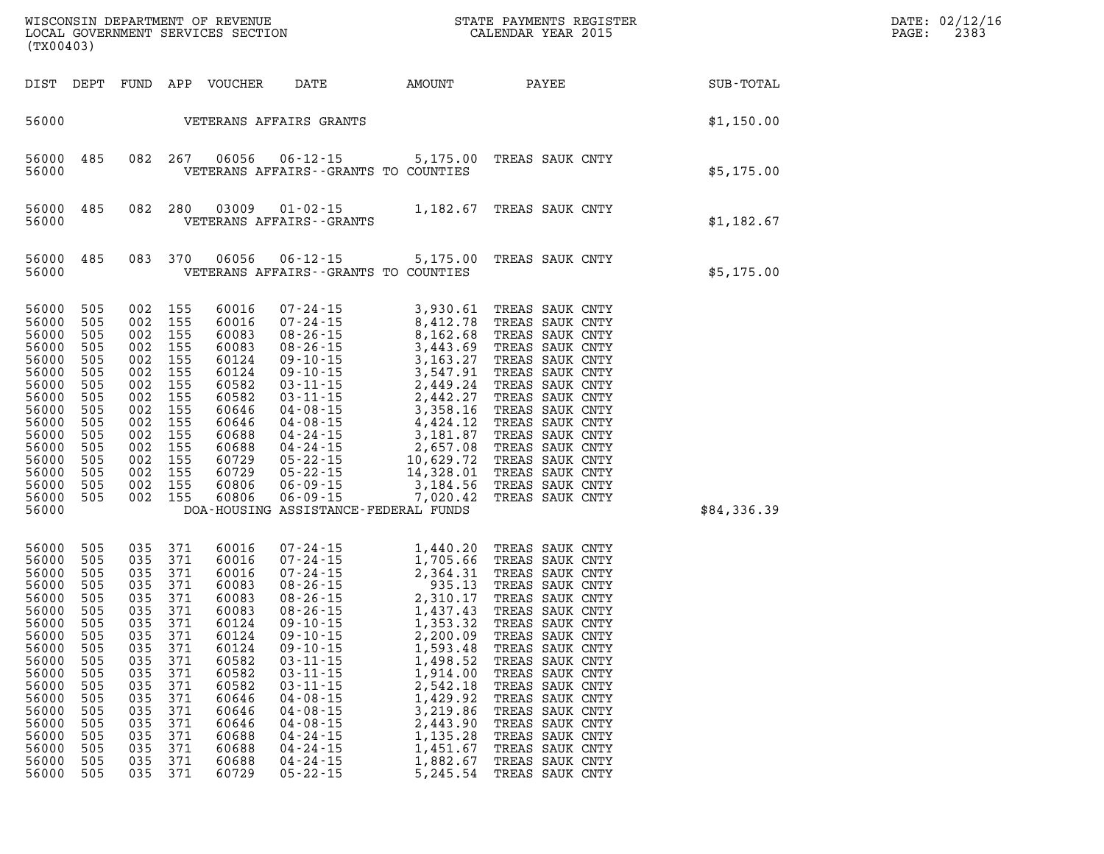| (TX00403)                                                                                                                                                                                                                                                                                                    |                                                                                                |                                                                                                                                                                          |                                                                                                                                                                         |                                                                                                                                                                                                                                                                                                                                        |                                                                                                                                                                                                                                                          |                                                                                                                                                                                                                                                                                                                                                                       |             | DATE: 02/12/16<br>2383<br>PAGE: |
|--------------------------------------------------------------------------------------------------------------------------------------------------------------------------------------------------------------------------------------------------------------------------------------------------------------|------------------------------------------------------------------------------------------------|--------------------------------------------------------------------------------------------------------------------------------------------------------------------------|-------------------------------------------------------------------------------------------------------------------------------------------------------------------------|----------------------------------------------------------------------------------------------------------------------------------------------------------------------------------------------------------------------------------------------------------------------------------------------------------------------------------------|----------------------------------------------------------------------------------------------------------------------------------------------------------------------------------------------------------------------------------------------------------|-----------------------------------------------------------------------------------------------------------------------------------------------------------------------------------------------------------------------------------------------------------------------------------------------------------------------------------------------------------------------|-------------|---------------------------------|
| DIST DEPT                                                                                                                                                                                                                                                                                                    |                                                                                                |                                                                                                                                                                          | FUND APP VOUCHER                                                                                                                                                        | DATE                                                                                                                                                                                                                                                                                                                                   | AMOUNT                                                                                                                                                                                                                                                   | PAYEE                                                                                                                                                                                                                                                                                                                                                                 | SUB-TOTAL   |                                 |
| 56000                                                                                                                                                                                                                                                                                                        |                                                                                                |                                                                                                                                                                          |                                                                                                                                                                         | VETERANS AFFAIRS GRANTS                                                                                                                                                                                                                                                                                                                |                                                                                                                                                                                                                                                          |                                                                                                                                                                                                                                                                                                                                                                       | \$1,150.00  |                                 |
| 56000<br>485<br>56000                                                                                                                                                                                                                                                                                        |                                                                                                | 082 267                                                                                                                                                                  | 06056                                                                                                                                                                   | $06 - 12 - 15$<br>VETERANS AFFAIRS -- GRANTS TO COUNTIES                                                                                                                                                                                                                                                                               | 5,175.00                                                                                                                                                                                                                                                 | TREAS SAUK CNTY                                                                                                                                                                                                                                                                                                                                                       | \$5,175.00  |                                 |
| 56000<br>485<br>56000                                                                                                                                                                                                                                                                                        |                                                                                                | 082 280                                                                                                                                                                  | 03009                                                                                                                                                                   | 01-02-15<br>VETERANS AFFAIRS - - GRANTS                                                                                                                                                                                                                                                                                                |                                                                                                                                                                                                                                                          | 1,182.67 TREAS SAUK CNTY                                                                                                                                                                                                                                                                                                                                              | \$1,182.67  |                                 |
| 56000<br>485<br>56000                                                                                                                                                                                                                                                                                        |                                                                                                | 083 370                                                                                                                                                                  | 06056                                                                                                                                                                   | $06 - 12 - 15$<br>VETERANS AFFAIRS -- GRANTS TO COUNTIES                                                                                                                                                                                                                                                                               | 5,175.00                                                                                                                                                                                                                                                 | TREAS SAUK CNTY                                                                                                                                                                                                                                                                                                                                                       | \$5,175.00  |                                 |
| 56000<br>505<br>56000<br>505<br>56000<br>505<br>56000<br>505<br>56000<br>505<br>56000<br>505<br>56000<br>505<br>56000<br>505<br>56000<br>505<br>56000<br>505<br>56000<br>505<br>56000<br>505<br>56000<br>505<br>56000<br>505<br>56000<br>505<br>56000<br>505<br>56000                                        | 002                                                                                            | 002 155<br>002 155<br>002 155<br>002 155<br>002 155<br>002 155<br>002 155<br>002 155<br>002 155<br>002 155<br>002 155<br>002 155<br>002 155<br>002 155<br>155<br>002 155 |                                                                                                                                                                         | $\begin{array}{cccc} .&15&3,\\ 08-26-15&8,1\\ 09-10-15&3,44\\ 70124&09-10-15&3,547.5\\ 82&03-11-15&2,449.24\\ 2&03-11-15&2,449.24\\ 2&04-08-15&3,583.16\\ 04-08-15&4,424.12\text{ Th}\\ 04-24-15&2,657.08\text{ TREA}\\ 22-15&10,629.72\text{ TREA}\\ 22-15&14,328.01\$<br>DOA-HOUSING ASSISTANCE-FEDERAL FUNDS                        |                                                                                                                                                                                                                                                          | TREAS SAUK CNTY<br>TREAS SAUK CNTY<br>TREAS SAUK CNTY<br>TREAS SAUK CNTY<br>TREAS SAUK CNTY<br>TREAS SAUK CNTY<br>TREAS SAUK CNTY<br>TREAS SAUK CNTY<br>TREAS SAUK CNTY<br>TREAS SAUK CNTY<br>TREAS SAUK CNTY<br>TREAS SAUK CNTY<br>TREAS SAUK CNTY<br>TREAS SAUK CNTY<br>TREAS SAUK CNTY<br>TREAS SAUK CNTY                                                          | \$84,336.39 |                                 |
| 505<br>56000<br>56000<br>505<br>56000<br>505<br>56000<br>505<br>56000<br>505<br>56000<br>505<br>56000<br>505<br>56000<br>505<br>56000<br>505<br>56000<br>505<br>505<br>56000<br>56000<br>505<br>56000<br>505<br>56000<br>505<br>56000<br>505<br>56000<br>505<br>56000<br>505<br>56000<br>505<br>56000<br>505 | 035<br>035<br>035<br>035<br>035<br>035<br>035<br>035<br>035<br>035<br>035<br>035<br>035<br>035 | 035 371<br>371<br>035 371<br>371<br>035 371<br>371<br>035 371<br>371<br>371<br>371<br>371<br>371<br>371<br>371<br>371<br>371<br>371<br>371<br>035 371                    | 60016<br>60016<br>60016<br>60083<br>60083<br>60083<br>60124<br>60124<br>60124<br>60582<br>60582<br>60582<br>60646<br>60646<br>60646<br>60688<br>60688<br>60688<br>60729 | $07 - 24 - 15$<br>$07 - 24 - 15$<br>07-24-15<br>$08 - 26 - 15$<br>08-26-15<br>$08 - 26 - 15$<br>$09 - 10 - 15$<br>$09 - 10 - 15$<br>$09 - 10 - 15$<br>$03 - 11 - 15$<br>$03 - 11 - 15$<br>$03 - 11 - 15$<br>$04 - 08 - 15$<br>$04 - 08 - 15$<br>$04 - 08 - 15$<br>$04 - 24 - 15$<br>$04 - 24 - 15$<br>$04 - 24 - 15$<br>$05 - 22 - 15$ | 1,440.20<br>1,705.66<br>$1, 705.66$<br>$2, 364.31$<br>$935.13$<br>$2, 310.17$<br>$1, 437.33$<br>1,353.32<br>2,200.09<br>1,593.48<br>1,498.52<br>1,914.00<br>2,542.18<br>1,429.92<br>3,219.86<br>2,443.90<br>1,135.28<br>1,451.67<br>1,882.67<br>5,245.54 | TREAS SAUK CNTY<br>TREAS SAUK CNTY<br>TREAS SAUK CNTY<br>TREAS SAUK CNTY<br>TREAS SAUK CNTY<br>TREAS SAUK CNTY<br>TREAS SAUK CNTY<br>TREAS SAUK CNTY<br>TREAS SAUK CNTY<br>TREAS SAUK CNTY<br>TREAS SAUK CNTY<br>TREAS SAUK CNTY<br>TREAS SAUK CNTY<br>TREAS SAUK CNTY<br>TREAS SAUK CNTY<br>TREAS SAUK CNTY<br>TREAS SAUK CNTY<br>TREAS SAUK CNTY<br>TREAS SAUK CNTY |             |                                 |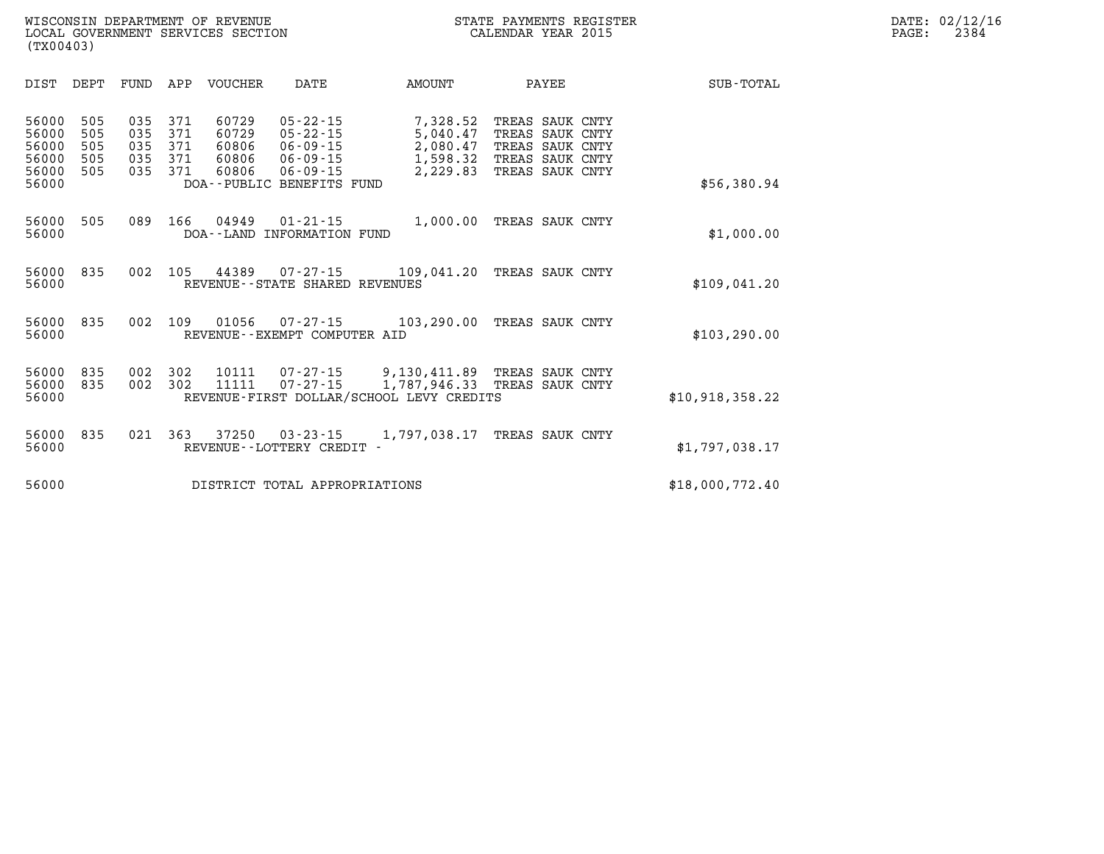| SUB-TOTAL       |                                     | PAYEE                                                         | AMOUNT                                                                   | DATE                                                                                                                | <b>VOUCHER</b>                            | APP                             | FUND                            | DEPT                            | DIST                                               |
|-----------------|-------------------------------------|---------------------------------------------------------------|--------------------------------------------------------------------------|---------------------------------------------------------------------------------------------------------------------|-------------------------------------------|---------------------------------|---------------------------------|---------------------------------|----------------------------------------------------|
| \$56,380.94     | SAUK CNTY<br>SAUK CNTY<br>SAUK CNTY | TREAS SAUK CNTY<br>TREAS<br>TREAS<br>TREAS<br>TREAS SAUK CNTY | 7,328.52<br>5,040.47<br>2,080.47<br>1,598.32<br>2,229.83                 | $05 - 22 - 15$<br>$05 - 22 - 15$<br>$06 - 09 - 15$<br>$06 - 09 - 15$<br>$06 - 09 - 15$<br>DOA--PUBLIC BENEFITS FUND | 60729<br>60729<br>60806<br>60806<br>60806 | 371<br>371<br>371<br>371<br>371 | 035<br>035<br>035<br>035<br>035 | 505<br>505<br>505<br>505<br>505 | 56000<br>56000<br>56000<br>56000<br>56000<br>56000 |
| \$1,000.00      |                                     | TREAS SAUK CNTY                                               | 1,000.00                                                                 | $01 - 21 - 15$<br>INFORMATION FUND                                                                                  | 04949<br>DOA - - LAND                     | 166                             | 089                             | 505                             | 56000<br>56000                                     |
| \$109,041.20    |                                     | TREAS SAUK CNTY                                               | 109,041.20                                                               | $07 - 27 - 15$<br>REVENUE--STATE SHARED REVENUES                                                                    | 44389                                     | 105                             | 002                             | 835                             | 56000<br>56000                                     |
| \$103, 290.00   |                                     | TREAS SAUK CNTY                                               | 103,290.00                                                               | 07-27-15<br>REVENUE - - EXEMPT COMPUTER AID                                                                         | 01056                                     | 109                             | 002                             | 835                             | 56000<br>56000                                     |
| \$10,918,358.22 |                                     | TREAS SAUK CNTY<br>TREAS SAUK CNTY                            | 9,130,411.89<br>1,787,946.33<br>REVENUE-FIRST DOLLAR/SCHOOL LEVY CREDITS | 07-27-15<br>$07 - 27 - 15$                                                                                          | 10111<br>11111                            | 302<br>302                      | 002<br>002                      | 835<br>835                      | 56000<br>56000<br>56000                            |
| \$1,797,038.17  |                                     | TREAS SAUK CNTY                                               | 1,797,038.17                                                             | $03 - 23 - 15$<br>REVENUE - - LOTTERY CREDIT -                                                                      | 37250                                     | 363                             | 021                             | 835                             | 56000<br>56000                                     |
| \$18,000,772.40 |                                     |                                                               |                                                                          | DISTRICT TOTAL APPROPRIATIONS                                                                                       |                                           |                                 |                                 |                                 | 56000                                              |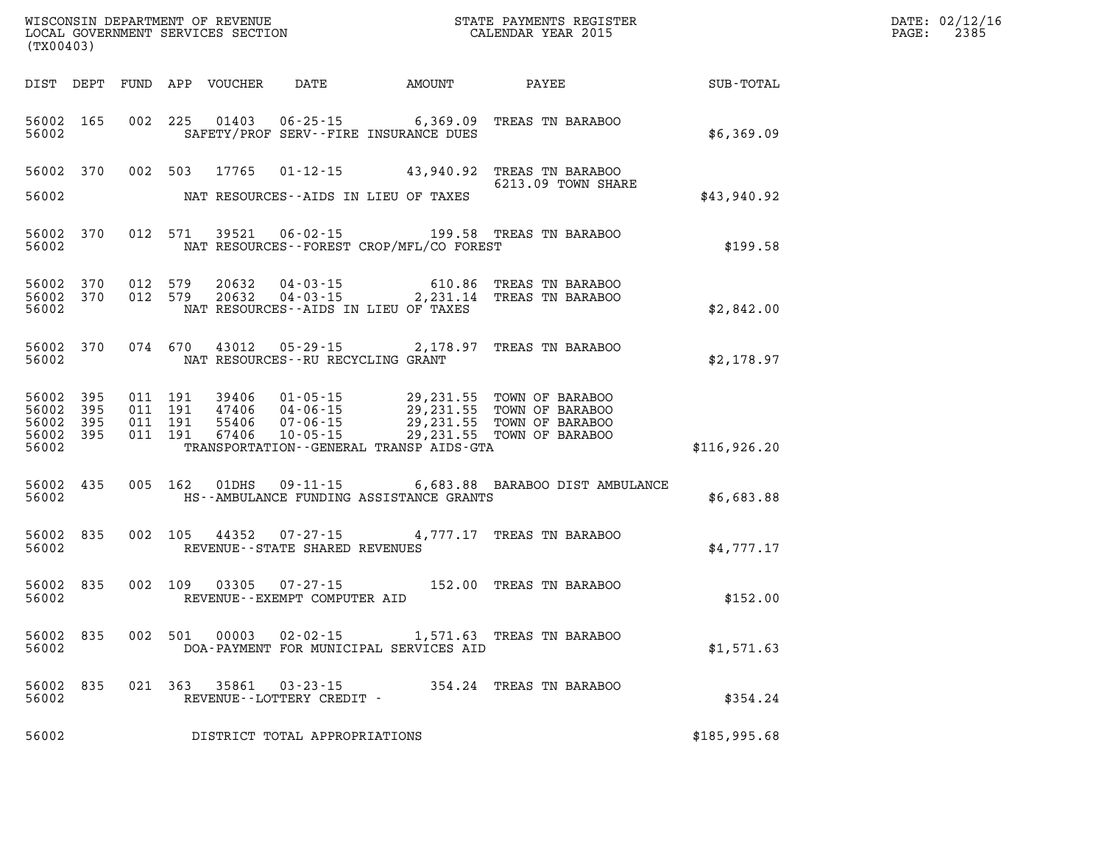| (TX00403)                                             |           |                                          |         | WISCONSIN DEPARTMENT OF REVENUE<br>LOCAL GOVERNMENT SERVICES SECTION |                                      |                                          | STATE PAYMENTS REGISTER<br>CALENDAR YEAR 2015                                                                                                                                              |              | DATE: 02/12/16<br>PAGE: 2385 |
|-------------------------------------------------------|-----------|------------------------------------------|---------|----------------------------------------------------------------------|--------------------------------------|------------------------------------------|--------------------------------------------------------------------------------------------------------------------------------------------------------------------------------------------|--------------|------------------------------|
|                                                       |           |                                          |         |                                                                      |                                      |                                          | DIST DEPT FUND APP VOUCHER DATE AMOUNT PAYEE TOTAL                                                                                                                                         |              |                              |
| 56002 165<br>56002                                    |           | 002 225                                  |         |                                                                      |                                      | SAFETY/PROF SERV--FIRE INSURANCE DUES    | 01403  06-25-15   6,369.09  TREAS TN BARABOO                                                                                                                                               | \$6,369.09   |                              |
|                                                       |           |                                          |         |                                                                      |                                      |                                          | 56002 370 002 503 17765 01-12-15 43,940.92 TREAS TN BARABOO<br>6213.09 TOWN SHARE                                                                                                          |              |                              |
| 56002                                                 |           |                                          |         |                                                                      |                                      | NAT RESOURCES--AIDS IN LIEU OF TAXES     |                                                                                                                                                                                            | \$43,940.92  |                              |
| 56002 370<br>56002                                    |           |                                          |         |                                                                      |                                      | NAT RESOURCES--FOREST CROP/MFL/CO FOREST | 012 571 39521 06-02-15 199.58 TREAS TN BARABOO                                                                                                                                             | \$199.58     |                              |
| 56002 370<br>56002                                    | 56002 370 | 012 579                                  | 012 579 |                                                                      |                                      | NAT RESOURCES--AIDS IN LIEU OF TAXES     | 20632  04-03-15  610.86  TREAS TN BARABOO<br>20632  04-03-15  2,231.14  TREAS TN BARABOO                                                                                                   | \$2,842.00   |                              |
| 56002                                                 | 56002 370 |                                          |         |                                                                      | NAT RESOURCES - - RU RECYCLING GRANT |                                          | 074 670 43012 05-29-15 2,178.97 TREAS TN BARABOO                                                                                                                                           | \$2,178.97   |                              |
| 56002 395<br>56002<br>56002 395<br>56002 395<br>56002 | -395      | 011 191<br>011 191<br>011 191<br>011 191 |         | 39406<br>67406                                                       | 01-05-15<br>10-05-15                 | TRANSPORTATION--GENERAL TRANSP AIDS-GTA  | 29,231.55 TOWN OF BARABOO<br>39406 01-05-15 29,231.55 TOWN OF BARABOO<br>47406 04-06-15 29,231.55 TOWN OF BARABOO<br>55406 07-06-15 29,231.55 TOWN OF BARABOO<br>29,231.55 TOWN OF BARABOO | \$116,926.20 |                              |
| 56002 435<br>56002                                    |           |                                          |         | 005 162 01DHS                                                        |                                      | HS--AMBULANCE FUNDING ASSISTANCE GRANTS  | 09-11-15 6,683.88 BARABOO DIST AMBULANCE                                                                                                                                                   | \$6,683.88   |                              |
| 56002 835<br>56002                                    |           |                                          |         |                                                                      | REVENUE - - STATE SHARED REVENUES    |                                          | 002 105 44352 07-27-15 4,777.17 TREAS TN BARABOO                                                                                                                                           | \$4,777.17   |                              |
| 56002 835<br>56002                                    |           |                                          | 002 109 |                                                                      | REVENUE--EXEMPT COMPUTER AID         |                                          | 03305  07-27-15  152.00  TREAS TN BARABOO                                                                                                                                                  | \$152.00     |                              |
| 56002 835<br>56002                                    |           | 002 501                                  |         | 00003                                                                |                                      | DOA-PAYMENT FOR MUNICIPAL SERVICES AID   | 02-02-15 1,571.63 TREAS TN BARABOO                                                                                                                                                         | \$1,571.63   |                              |
| 56002                                                 | 56002 835 |                                          |         |                                                                      | REVENUE--LOTTERY CREDIT -            |                                          | 021 363 35861 03-23-15 354.24 TREAS TN BARABOO                                                                                                                                             | \$354.24     |                              |
| 56002                                                 |           |                                          |         |                                                                      | DISTRICT TOTAL APPROPRIATIONS        |                                          |                                                                                                                                                                                            | \$185,995.68 |                              |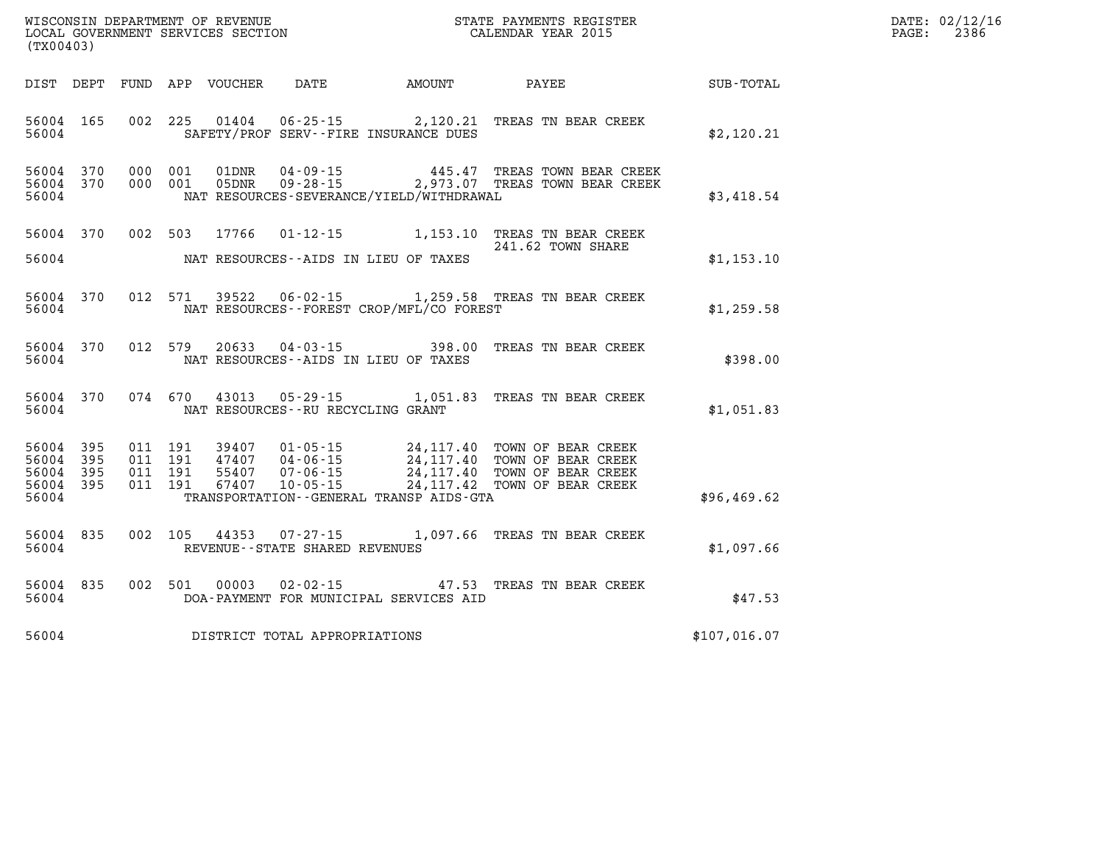| WISCONSIN DEPARTMENT OF REVENUE      | PAYMENTS REGISTER<br>3TATE | DATE: | 02/12/16 |
|--------------------------------------|----------------------------|-------|----------|
| GOVERNMENT SERVICES SECTION<br>LOCAL | CALENDAR YEAR 2015         | PAGE  | 2386     |

| (TX00403)                                                 |                    |                    | LOCAL GOVERNMENT SERVICES SECTION |                                            |                                                                                                                                                                                                                                                                          |                                                        | CALENDAR YEAR 2015 | PAGE: | 2386 |
|-----------------------------------------------------------|--------------------|--------------------|-----------------------------------|--------------------------------------------|--------------------------------------------------------------------------------------------------------------------------------------------------------------------------------------------------------------------------------------------------------------------------|--------------------------------------------------------|--------------------|-------|------|
|                                                           |                    |                    |                                   |                                            |                                                                                                                                                                                                                                                                          | DIST DEPT FUND APP VOUCHER DATE AMOUNT PAYEE SUB-TOTAL |                    |       |      |
| 56004 165<br>56004                                        |                    |                    |                                   |                                            | 002 225 01404 06-25-15 2,120.21 TREAS TN BEAR CREEK<br>SAFETY/PROF SERV--FIRE INSURANCE DUES                                                                                                                                                                             |                                                        | \$2,120.21         |       |      |
| 56004 370<br>56004 370<br>56004                           |                    |                    |                                   |                                            | $\begin{array}{cccc} 000 & 001 & 01 \text{DNR} & 04\text{-}09\text{-}15 & 445.47 & \text{TREAS TOWN BEAR CREEK} \\ 000 & 001 & 05 \text{DNR} & 09\text{-}28\text{-}15 & 2,973.07 & \text{TREAS TOWN BEAR CREEK} \end{array}$<br>NAT RESOURCES-SEVERANCE/YIELD/WITHDRAWAL |                                                        | \$3,418.54         |       |      |
| 56004                                                     |                    |                    |                                   |                                            | 56004 370 002 503 17766 01-12-15 1,153.10 TREAS TN BEAR CREEK<br>241.62 TOWN SHARE<br>NAT RESOURCES--AIDS IN LIEU OF TAXES                                                                                                                                               |                                                        | \$1,153.10         |       |      |
| 56004 370<br>56004                                        |                    |                    |                                   |                                            | 012 571 39522 06-02-15 1,259.58 TREAS TN BEAR CREEK<br>NAT RESOURCES--FOREST CROP/MFL/CO FOREST                                                                                                                                                                          |                                                        | \$1,259.58         |       |      |
| 56004 370                                                 |                    |                    |                                   | 56004 NAT RESOURCES--AIDS IN LIEU OF TAXES | 012 579 20633 04-03-15 398.00 TREAS TN BEAR CREEK                                                                                                                                                                                                                        |                                                        | \$398.00           |       |      |
| 56004 370                                                 |                    |                    |                                   |                                            | 074 670 43013 05-29-15 1,051.83 TREAS TN BEAR CREEK<br>56004 NAT RESOURCES--RU RECYCLING GRANT                                                                                                                                                                           |                                                        | \$1,051.83         |       |      |
| 56004 395<br>56004 395<br>56004 395<br>56004 395<br>56004 | 011 191<br>011 191 | 011 191<br>011 191 |                                   |                                            | 39407  01-05-15  24,117.40 TOWN OF BEAR CREEK<br>47407  04-06-15  24,117.40 TOWN OF BEAR CREEK<br>55407  07-06-15  24,117.40 TOWN OF BEAR CREEK<br>67407  10-05-15  24,117.42 TOWN OF BEAR CREEK<br>TRANSPORTATION - - GENERAL TRANSP AIDS - GTA                         |                                                        | \$96,469.62        |       |      |
| 56004 835<br>56004                                        |                    |                    |                                   | REVENUE--STATE SHARED REVENUES             | 002 105 44353 07-27-15 1,097.66 TREAS TN BEAR CREEK                                                                                                                                                                                                                      |                                                        | \$1,097.66         |       |      |
| 56004 835<br>56004                                        |                    |                    |                                   |                                            | 002 501 00003 02-02-15 47.53 TREAS TN BEAR CREEK<br>DOA-PAYMENT FOR MUNICIPAL SERVICES AID                                                                                                                                                                               |                                                        | \$47.53            |       |      |
|                                                           |                    |                    |                                   | 56004 DISTRICT TOTAL APPROPRIATIONS        |                                                                                                                                                                                                                                                                          |                                                        | \$107,016.07       |       |      |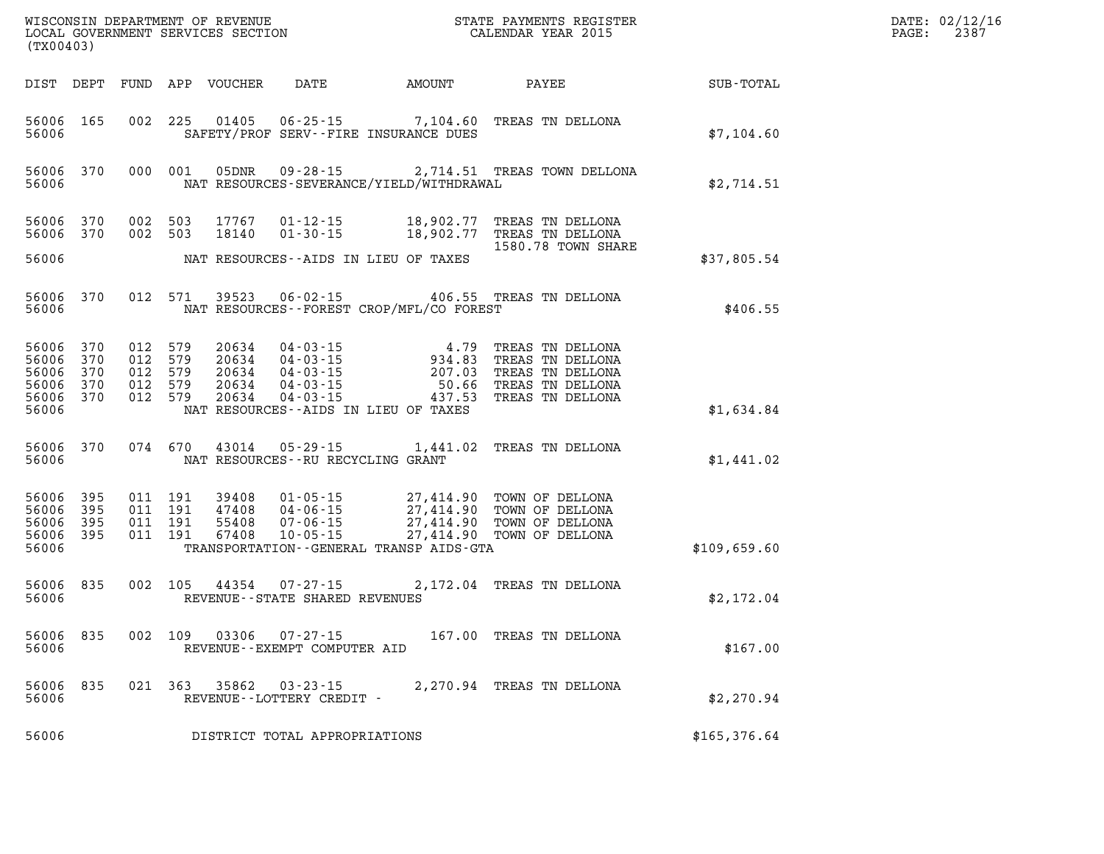| (TX00403)                                                          |           |                                                     |                            |                                                         |                                             | DATE: 02/12/16<br>$\mathtt{PAGE}$ :<br>2387                                                                                                                                                                                 |              |  |
|--------------------------------------------------------------------|-----------|-----------------------------------------------------|----------------------------|---------------------------------------------------------|---------------------------------------------|-----------------------------------------------------------------------------------------------------------------------------------------------------------------------------------------------------------------------------|--------------|--|
|                                                                    |           |                                                     | DIST DEPT FUND APP VOUCHER | DATE                                                    | AMOUNT                                      | PAYEE                                                                                                                                                                                                                       | SUB-TOTAL    |  |
| 56006                                                              | 56006 165 |                                                     |                            |                                                         | SAFETY/PROF SERV--FIRE INSURANCE DUES       | 002 225 01405 06-25-15 7,104.60 TREAS TN DELLONA                                                                                                                                                                            | \$7,104.60   |  |
| 56006                                                              | 56006 370 |                                                     |                            |                                                         | NAT RESOURCES-SEVERANCE/YIELD/WITHDRAWAL    | 000 001 05DNR 09-28-15 2,714.51 TREAS TOWN DELLONA                                                                                                                                                                          | \$2,714.51   |  |
| 56006 370                                                          | 56006 370 | 002 503<br>002 503                                  | 18140                      |                                                         |                                             | 17767  01-12-15  18,902.77  TREAS TN DELLONA<br>01-30-15 18,902.77 TREAS TN DELLONA<br>1580.78 TOWN SHARE                                                                                                                   |              |  |
| 56006                                                              |           |                                                     |                            |                                                         | NAT RESOURCES -- AIDS IN LIEU OF TAXES      |                                                                                                                                                                                                                             | \$37,805.54  |  |
| 56006                                                              | 56006 370 |                                                     |                            |                                                         | NAT RESOURCES - - FOREST CROP/MFL/CO FOREST | 012 571 39523 06-02-15 406.55 TREAS TN DELLONA                                                                                                                                                                              | \$406.55     |  |
| 56006 370<br>56006<br>56006 370<br>56006 370<br>56006 370<br>56006 | 370       | 012 579<br>012 579<br>012 579<br>012 579<br>012 579 |                            |                                                         | NAT RESOURCES--AIDS IN LIEU OF TAXES        | 20634  04-03-15  4.79  TREAS TN DELLONA<br>20634  04-03-15  934.83  TREAS TN DELLONA<br>20634  04-03-15  207.03  TREAS TN DELLONA<br>20634  04-03-15  50.66  TREAS TN DELLONA<br>20634  04-03-15   437.53  TREAS TN DELLONA | \$1,634.84   |  |
| 56006                                                              |           |                                                     |                            | NAT RESOURCES--RU RECYCLING GRANT                       |                                             | 56006 370 074 670 43014 05-29-15 1,441.02 TREAS TN DELLONA                                                                                                                                                                  | \$1,441.02   |  |
| 56006 395<br>56006<br>56006 395<br>56006 395<br>56006              | 395       | 011 191<br>011 191<br>011 191<br>011 191            |                            |                                                         | TRANSPORTATION--GENERAL TRANSP AIDS-GTA     | 39408 01-05-15 27,414.90 TOWN OF DELLONA<br>47408 04-06-15 27,414.90 TOWN OF DELLONA<br>55408 07-06-15 27,414.90 TOWN OF DELLONA<br>67408 10-05-15 27,414.90 TOWN OF DELLONA                                                | \$109,659.60 |  |
|                                                                    | 56006 835 | 002 105                                             |                            | 44354 07-27-15<br>56006 REVENUE - STATE SHARED REVENUES |                                             | 2,172.04 TREAS TN DELLONA                                                                                                                                                                                                   | \$2,172.04   |  |
| 56006 835<br>56006                                                 |           |                                                     | 002 109 03306              | $07 - 27 - 15$<br>REVENUE--EXEMPT COMPUTER AID          |                                             | 167.00 TREAS TN DELLONA                                                                                                                                                                                                     | \$167.00     |  |
| 56006<br>56006                                                     | 835       | 021 363                                             | 35862                      | $03 - 23 - 15$<br>REVENUE - - LOTTERY CREDIT -          |                                             | 2,270.94 TREAS TN DELLONA                                                                                                                                                                                                   | \$2,270.94   |  |
| 56006                                                              |           |                                                     |                            | DISTRICT TOTAL APPROPRIATIONS                           |                                             |                                                                                                                                                                                                                             | \$165,376.64 |  |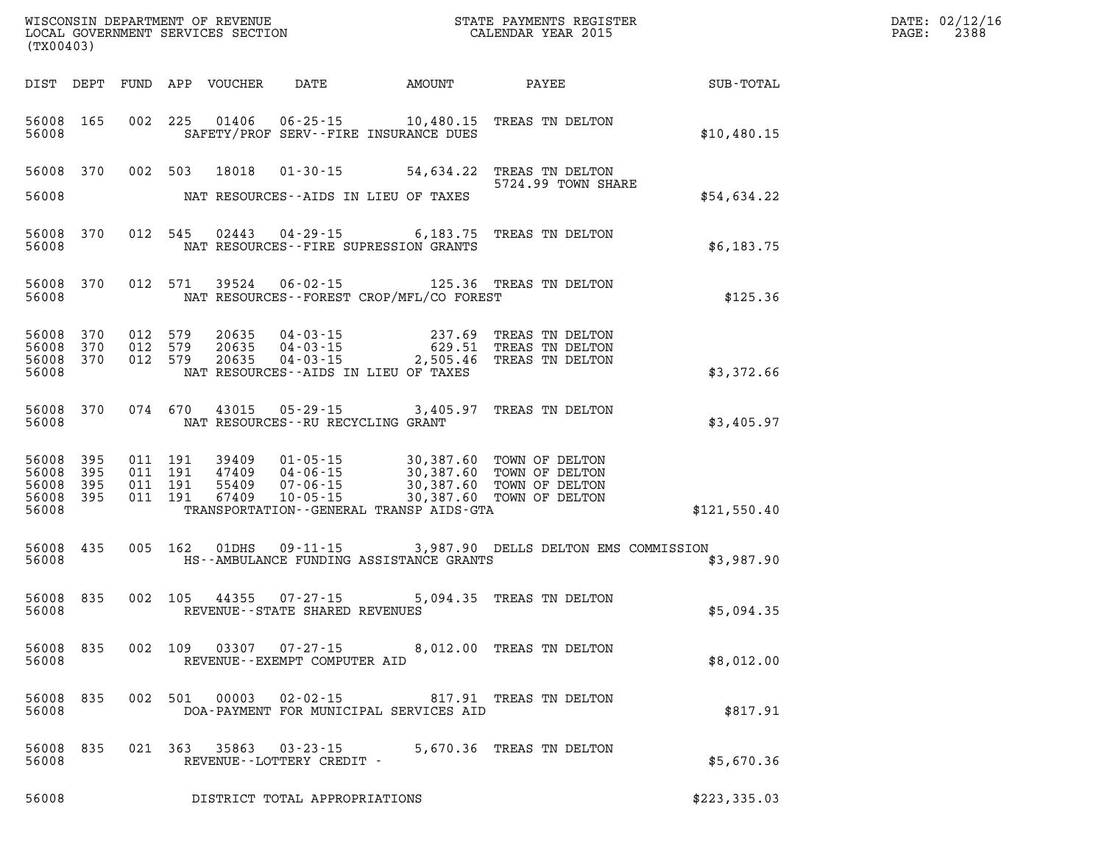| (TX00403)                       |                                     |                               |         |                            |                                                                    |                                                                                                      | WISCONSIN DEPARTMENT OF REVENUE<br>LOCAL GOVERNMENT SERVICES SECTION<br>(TYO0403)                                                  | DATE: 02/12/16<br>$\mathtt{PAGE:}$<br>2388 |  |
|---------------------------------|-------------------------------------|-------------------------------|---------|----------------------------|--------------------------------------------------------------------|------------------------------------------------------------------------------------------------------|------------------------------------------------------------------------------------------------------------------------------------|--------------------------------------------|--|
|                                 |                                     |                               |         | DIST DEPT FUND APP VOUCHER |                                                                    |                                                                                                      |                                                                                                                                    | DATE AMOUNT PAYEE SUB-TOTAL                |  |
| 56008                           | 56008 165                           |                               |         |                            |                                                                    | 002 225 01406 06-25-15 10,480.15 TREAS TN DELTON<br>SAFETY/PROF SERV--FIRE INSURANCE DUES            |                                                                                                                                    | \$10,480.15                                |  |
|                                 |                                     |                               |         |                            |                                                                    | 56008 370 002 503 18018 01-30-15 54,634.22 TREAS TN DELTON<br>5724.99 TOWN SH                        | 5724.99 TOWN SHARE                                                                                                                 |                                            |  |
| 56008                           |                                     |                               |         |                            |                                                                    | NAT RESOURCES--AIDS IN LIEU OF TAXES                                                                 |                                                                                                                                    | \$54.634.22                                |  |
| 56008                           |                                     |                               |         |                            |                                                                    | 56008 370 012 545 02443 04-29-15 6,183.75 TREAS TN DELTON<br>NAT RESOURCES -- FIRE SUPRESSION GRANTS |                                                                                                                                    | \$6,183.75                                 |  |
| 56008                           | 56008 370                           |                               |         |                            |                                                                    | 012 571 39524 06-02-15 125.36 TREAS TN DELTON<br>NAT RESOURCES--FOREST CROP/MFL/CO FOREST            |                                                                                                                                    | \$125.36                                   |  |
|                                 | 56008 370<br>56008 370<br>56008 370 | 012 579<br>012 579<br>012 579 |         |                            |                                                                    |                                                                                                      | 20635  04-03-15  237.69  TREAS TN DELTON<br>20635  04-03-15  629.51  TREAS TN DELTON<br>20635  04-03-15  2,505.46  TREAS TN DELTON |                                            |  |
| 56008                           |                                     |                               |         |                            |                                                                    | NAT RESOURCES -- AIDS IN LIEU OF TAXES                                                               |                                                                                                                                    | \$3,372.66                                 |  |
| 56008                           | 56008 370                           |                               |         |                            |                                                                    | 074 670 43015 05-29-15 3,405.97 TREAS TN DELTON<br>NAT RESOURCES--RU RECYCLING GRANT                 |                                                                                                                                    | \$3,405.97                                 |  |
| 56008 395<br>56008 395          |                                     |                               |         |                            |                                                                    |                                                                                                      |                                                                                                                                    |                                            |  |
| 56008 395<br>56008 395<br>56008 |                                     |                               |         |                            |                                                                    | TRANSPORTATION - - GENERAL TRANSP AIDS - GTA                                                         |                                                                                                                                    | \$121,550.40                               |  |
| 56008                           | 56008 435                           |                               |         |                            |                                                                    | HS--AMBULANCE FUNDING ASSISTANCE GRANTS                                                              | 005 162 01DHS 09-11-15 3,987.90 DELLS DELTON EMS COMMISSION                                                                        | \$3,987.90                                 |  |
| 56008                           |                                     |                               |         |                            | 56008 835 002 105 44355 07-27-15<br>REVENUE--STATE SHARED REVENUES |                                                                                                      | 5,094.35 TREAS TN DELTON                                                                                                           | \$5,094.35                                 |  |
| 56008 835<br>56008              |                                     |                               | 002 109 | 03307                      | REVENUE - - EXEMPT COMPUTER AID                                    | 07-27-15 8,012.00 TREAS TN DELTON                                                                    |                                                                                                                                    | \$8,012.00                                 |  |
| 56008 835<br>56008              |                                     |                               | 002 501 | 00003                      |                                                                    | 02-02-15 817.91 TREAS TN DELTON<br>DOA-PAYMENT FOR MUNICIPAL SERVICES AID                            |                                                                                                                                    | \$817.91                                   |  |
| 56008 835<br>56008              |                                     |                               | 021 363 | 35863                      | $03 - 23 - 15$<br>REVENUE--LOTTERY CREDIT -                        |                                                                                                      | 5,670.36 TREAS TN DELTON                                                                                                           | \$5,670.36                                 |  |
| 56008                           |                                     |                               |         |                            | DISTRICT TOTAL APPROPRIATIONS                                      |                                                                                                      |                                                                                                                                    | \$223,335.03                               |  |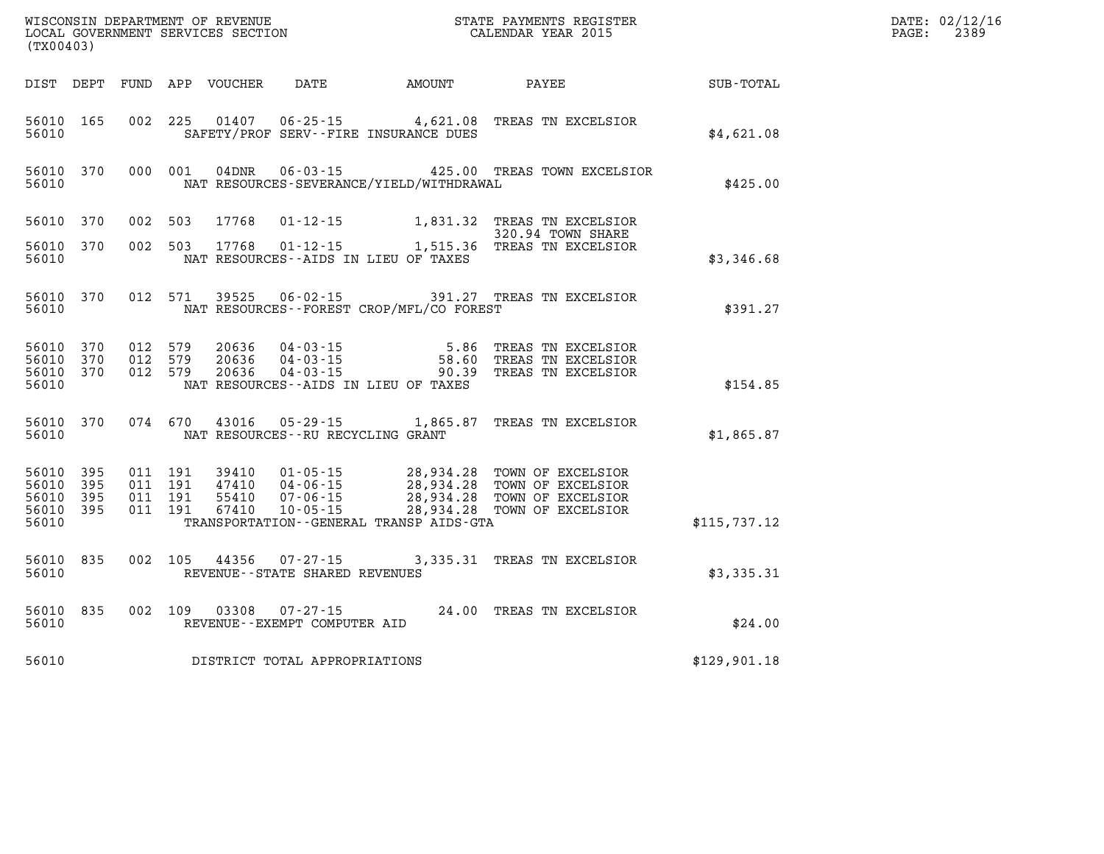| (TX00403)                                    |                    |  |               |                                                        |                                              |                                                                                                                                                                                                                      |              | DATE: 02/12/16<br>$\mathtt{PAGE}$ :<br>2389 |
|----------------------------------------------|--------------------|--|---------------|--------------------------------------------------------|----------------------------------------------|----------------------------------------------------------------------------------------------------------------------------------------------------------------------------------------------------------------------|--------------|---------------------------------------------|
|                                              |                    |  |               |                                                        |                                              | DIST DEPT FUND APP VOUCHER DATE AMOUNT PAYEE SUB-TOTAL                                                                                                                                                               |              |                                             |
| 56010                                        | 56010 165          |  |               |                                                        | SAFETY/PROF SERV--FIRE INSURANCE DUES        | 002 225 01407 06-25-15 4,621.08 TREAS TN EXCELSIOR                                                                                                                                                                   | \$4,621.08   |                                             |
| 56010                                        | 56010 370          |  |               |                                                        | NAT RESOURCES-SEVERANCE/YIELD/WITHDRAWAL     | 000 001 04DNR 06-03-15 425.00 TREAS TOWN EXCELSIOR                                                                                                                                                                   | \$425.00     |                                             |
| 56010 370                                    |                    |  | 002 503 17768 |                                                        |                                              | 01-12-15 1,831.32 TREAS TN EXCELSIOR<br>320.94 TOWN SHARE                                                                                                                                                            |              |                                             |
| 56010                                        | 56010 370          |  |               |                                                        | NAT RESOURCES--AIDS IN LIEU OF TAXES         | 002 503 17768 01-12-15 1,515.36 TREAS TN EXCELSIOR                                                                                                                                                                   | \$3,346.68   |                                             |
| 56010                                        |                    |  |               |                                                        | NAT RESOURCES -- FOREST CROP/MFL/CO FOREST   | 56010 370 012 571 39525 06-02-15 391.27 TREAS TN EXCELSIOR                                                                                                                                                           | \$391.27     |                                             |
| 56010                                        |                    |  |               |                                                        | NAT RESOURCES--AIDS IN LIEU OF TAXES         | 56010 370 012 579 20636 04-03-15 5.86 TREAS TN EXCELSIOR<br>56010 370 012 579 20636 04-03-15 58.60 TREAS TN EXCELSIOR<br>56010 370 012 579 20636 04-03-15 90.39 TREAS TN EXCELSIOR                                   | \$154.85     |                                             |
| 56010                                        | 56010 370          |  |               | NAT RESOURCES -- RU RECYCLING GRANT                    |                                              | 074 670 43016 05-29-15 1,865.87 TREAS TN EXCELSIOR                                                                                                                                                                   | \$1,865.87   |                                             |
| 56010 395<br>56010 395<br>56010 395<br>56010 | 56010 395          |  |               |                                                        | TRANSPORTATION - - GENERAL TRANSP AIDS - GTA | 011 191 39410 01-05-15 28,934.28 TOWN OF EXCELSIOR<br>011 191 47410 04-06-15 28,934.28 TOWN OF EXCELSIOR<br>011 191 67410 10-05-15 28,934.28 TOWN OF EXCELSIOR<br>011 191 67410 10-05-15 28,934.28 TOWN OF EXCELSIOR | \$115,737.12 |                                             |
|                                              |                    |  |               |                                                        |                                              | 002 105 44356 07-27-15 3,335.31 TREAS TN EXCELSIOR                                                                                                                                                                   |              |                                             |
|                                              | 56010 835<br>56010 |  |               | REVENUE--STATE SHARED REVENUES                         |                                              |                                                                                                                                                                                                                      | \$3,335.31   |                                             |
| 56010                                        | 56010 835          |  |               | 002 109 03308 07-27-15<br>REVENUE--EXEMPT COMPUTER AID |                                              | 24.00 TREAS TN EXCELSIOR                                                                                                                                                                                             | \$24.00      |                                             |
| 56010                                        |                    |  |               | DISTRICT TOTAL APPROPRIATIONS                          |                                              |                                                                                                                                                                                                                      | \$129,901.18 |                                             |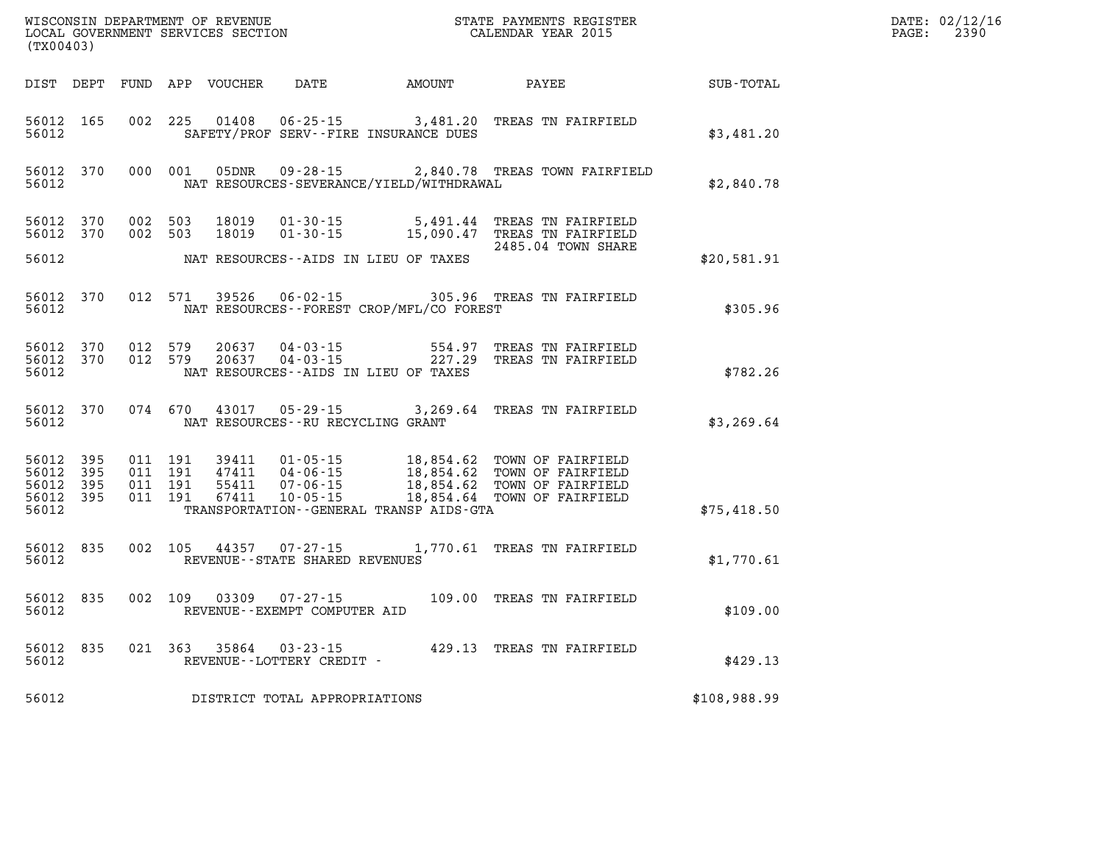| (TX00403)                                |              |                                          |         | WISCONSIN DEPARTMENT OF REVENUE<br>LOCAL GOVERNMENT SERVICES SECTION |                                                        | STATE PAYMENTS REGISTER<br>CALENDAR YEAR 2015    |                                                                                                                                                     |              | DATE: 02/12/16<br>$\mathtt{PAGE:}$<br>2390 |
|------------------------------------------|--------------|------------------------------------------|---------|----------------------------------------------------------------------|--------------------------------------------------------|--------------------------------------------------|-----------------------------------------------------------------------------------------------------------------------------------------------------|--------------|--------------------------------------------|
|                                          |              |                                          |         |                                                                      | DIST DEPT FUND APP VOUCHER DATE AMOUNT                 |                                                  | PAYEE                                                                                                                                               | SUB-TOTAL    |                                            |
| 56012 165<br>56012                       |              | 002 225                                  |         | 01408                                                                | $06 - 25 - 15$                                         | SAFETY/PROF SERV--FIRE INSURANCE DUES            | 3,481.20 TREAS TN FAIRFIELD                                                                                                                         | \$3,481.20   |                                            |
| 56012 370<br>56012                       |              |                                          | 000 001 |                                                                      |                                                        | NAT RESOURCES-SEVERANCE/YIELD/WITHDRAWAL         | 05DNR  09-28-15  2,840.78 TREAS TOWN FAIRFIELD                                                                                                      | \$2,840.78   |                                            |
| 56012 370<br>56012 370                   |              | 002 503<br>002 503                       |         | 18019<br>18019                                                       |                                                        |                                                  | 01-30-15 5,491.44 TREAS TN FAIRFIELD<br>01-30-15 15,090.47 TREAS TN FAIRFIELD<br>2485.04 TOWN SHARE                                                 |              |                                            |
| 56012                                    |              |                                          |         |                                                                      |                                                        | NAT RESOURCES--AIDS IN LIEU OF TAXES             |                                                                                                                                                     | \$20,581.91  |                                            |
| 56012 370<br>56012                       |              | 012 571                                  |         |                                                                      |                                                        | NAT RESOURCES - - FOREST CROP/MFL/CO FOREST      | 39526  06-02-15  305.96  TREAS TN FAIRFIELD                                                                                                         | \$305.96     |                                            |
| 56012 370<br>56012 370<br>56012          |              | 012 579<br>012 579                       |         | 20637<br>20637                                                       | 04-03-15<br>04-03-15                                   | 554.97<br>NAT RESOURCES -- AIDS IN LIEU OF TAXES | TREAS TN FAIRFIELD<br>227.29 TREAS TN FAIRFIELD                                                                                                     | \$782.26     |                                            |
| 56012 370<br>56012                       |              | 074 670                                  |         |                                                                      | 43017 05-29-15<br>NAT RESOURCES - - RU RECYCLING GRANT |                                                  | 3,269.64 TREAS TN FAIRFIELD                                                                                                                         | \$3,269.64   |                                            |
| 56012 395<br>56012<br>56012<br>56012 395 | 395<br>- 395 | 011 191<br>011 191<br>011 191<br>011 191 |         | 39411<br>47411<br>55411<br>67411                                     | $10 - 05 - 15$                                         |                                                  | 01-05-15 18,854.62 TOWN OF FAIRFIELD<br>04-06-15 18,854.62 TOWN OF FAIRFIELD<br>07-06-15 18,854.62 TOWN OF FAIRFIELD<br>18,854.64 TOWN OF FAIRFIELD |              |                                            |
| 56012                                    |              |                                          |         |                                                                      |                                                        | TRANSPORTATION - - GENERAL TRANSP AIDS - GTA     |                                                                                                                                                     | \$75,418.50  |                                            |
| 56012 835<br>56012                       |              | 002 105                                  |         |                                                                      | 44357 07-27-15<br>REVENUE - - STATE SHARED REVENUES    |                                                  | 1,770.61 TREAS TN FAIRFIELD                                                                                                                         | \$1,770.61   |                                            |
| 56012 835<br>56012                       |              | 002 109                                  |         | 03309                                                                | 07-27-15<br>REVENUE--EXEMPT COMPUTER AID               |                                                  | 109.00 TREAS TN FAIRFIELD                                                                                                                           | \$109.00     |                                            |
| 56012 835<br>56012                       |              |                                          |         | 021 363 35864                                                        | REVENUE--LOTTERY CREDIT -                              |                                                  | 03-23-15 429.13 TREAS TN FAIRFIELD                                                                                                                  | \$429.13     |                                            |
| 56012                                    |              |                                          |         |                                                                      | DISTRICT TOTAL APPROPRIATIONS                          |                                                  |                                                                                                                                                     | \$108,988.99 |                                            |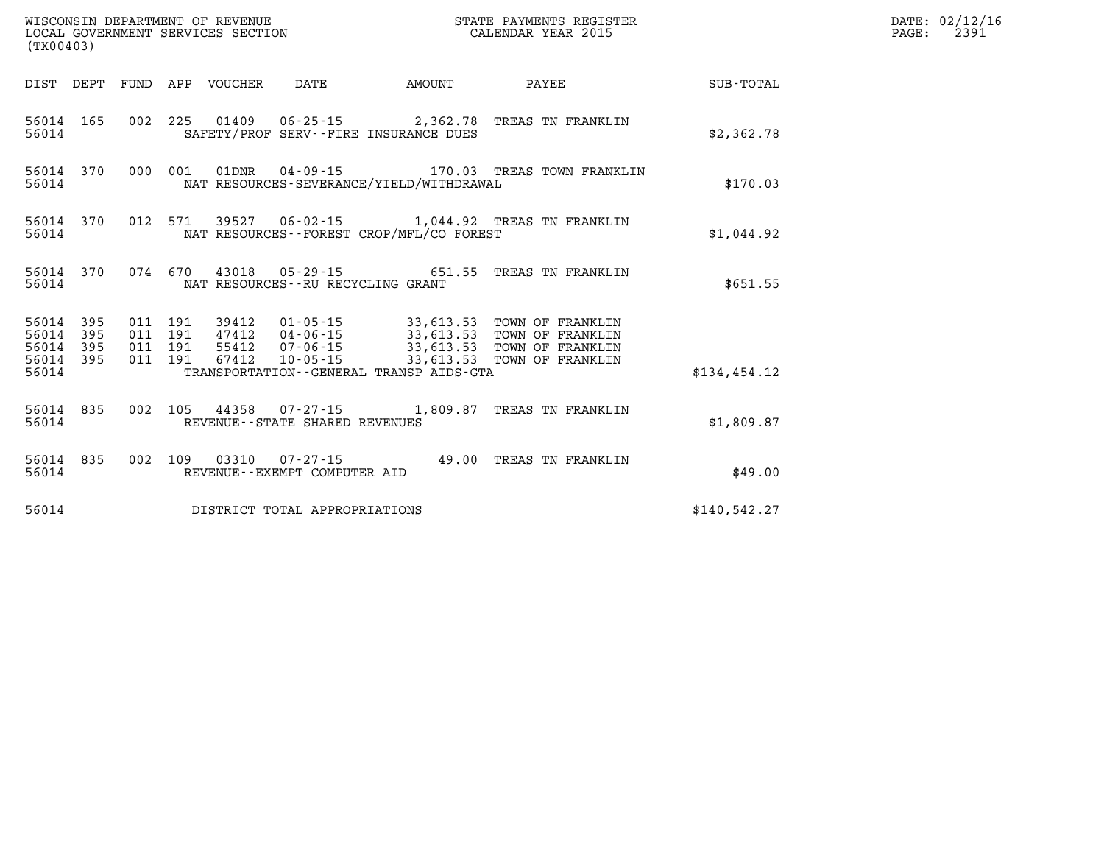| $\tt WISCONSIM DEPARTMENT OF REVENUE$ $\tt WISCONSIMENT$ SERVICES SECTION $\tt CALENDAR$ YEAR 2015<br>(TX00403) |                                            |  |         |                                 |                                   |                                          |                                                             |              | DATE: 02/12/16<br>PAGE:<br>2391 |
|-----------------------------------------------------------------------------------------------------------------|--------------------------------------------|--|---------|---------------------------------|-----------------------------------|------------------------------------------|-------------------------------------------------------------|--------------|---------------------------------|
|                                                                                                                 |                                            |  |         | DIST DEPT FUND APP VOUCHER DATE |                                   | AMOUNT                                   | <b>PAYEE</b>                                                | SUB-TOTAL    |                                 |
| 56014                                                                                                           | 56014 165                                  |  |         |                                 |                                   | SAFETY/PROF SERV--FIRE INSURANCE DUES    | 002 225 01409 06-25-15 2,362.78 TREAS TN FRANKLIN           | \$2,362.78   |                                 |
| 56014                                                                                                           |                                            |  |         |                                 |                                   | NAT RESOURCES-SEVERANCE/YIELD/WITHDRAWAL | 56014 370 000 001 01DNR 04-09-15 170.03 TREAS TOWN FRANKLIN | \$170.03     |                                 |
| 56014                                                                                                           |                                            |  |         |                                 |                                   | NAT RESOURCES--FOREST CROP/MFL/CO FOREST | 56014 370 012 571 39527 06-02-15 1,044.92 TREAS TN FRANKLIN | \$1,044.92   |                                 |
| 56014                                                                                                           | 56014 370                                  |  |         |                                 | NAT RESOURCES--RU RECYCLING GRANT |                                          | 074 670 43018 05-29-15 651.55 TREAS TN FRANKLIN             | \$651.55     |                                 |
| 56014                                                                                                           | 56014 395<br>395<br>56014 395<br>56014 395 |  |         |                                 |                                   |                                          |                                                             |              |                                 |
| 56014                                                                                                           |                                            |  |         |                                 |                                   | TRANSPORTATION--GENERAL TRANSP AIDS-GTA  |                                                             | \$134,454.12 |                                 |
| 56014                                                                                                           | 56014 835                                  |  |         |                                 | REVENUE--STATE SHARED REVENUES    |                                          | 002 105 44358 07-27-15 1,809.87 TREAS TN FRANKLIN           | \$1,809.87   |                                 |
| 56014                                                                                                           | 56014 835                                  |  | 002 109 |                                 | REVENUE--EXEMPT COMPUTER AID      |                                          | 03310  07-27-15  49.00 TREAS TN FRANKLIN                    | \$49.00      |                                 |
| 56014                                                                                                           |                                            |  |         |                                 | DISTRICT TOTAL APPROPRIATIONS     |                                          |                                                             | \$140,542.27 |                                 |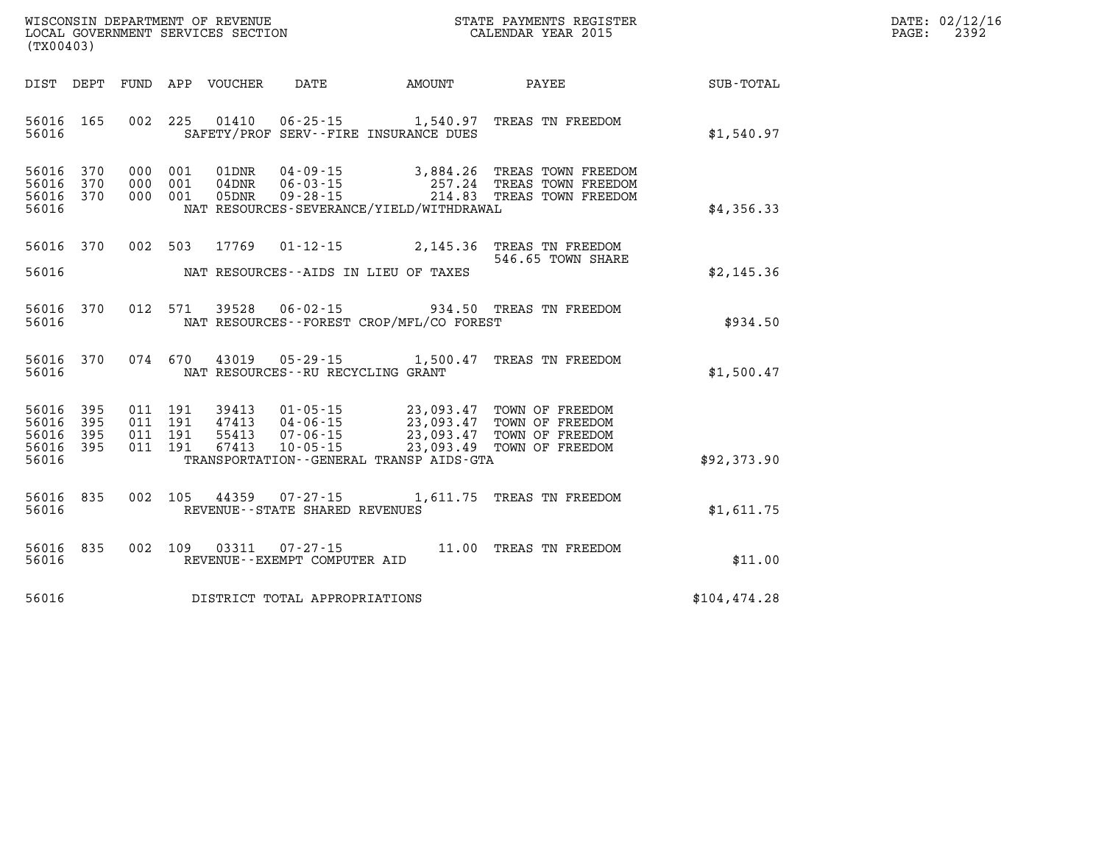| WISCONSIN DEPARTMENT OF REVENUE   | STATE PAYMENTS REGISTER |       | DATE: 02/12/16 |
|-----------------------------------|-------------------------|-------|----------------|
| LOCAL GOVERNMENT SERVICES SECTION | CALENDAR YEAR 2015      | PAGE: | 2392           |

| (TX00403)                                                             |                          |                                                                                                                                                                                      |                                                  |                                                                          |               |
|-----------------------------------------------------------------------|--------------------------|--------------------------------------------------------------------------------------------------------------------------------------------------------------------------------------|--------------------------------------------------|--------------------------------------------------------------------------|---------------|
| DIST<br>DEPT                                                          | <b>FUND</b>              | APP<br>VOUCHER<br><b>DATE</b>                                                                                                                                                        | AMOUNT                                           | PAYEE                                                                    | SUB-TOTAL     |
| 56016<br>165<br>56016                                                 | 002                      | 225<br>01410<br>$06 - 25 - 15$<br>SAFETY/PROF SERV--FIRE INSURANCE DUES                                                                                                              | 1,540.97                                         | TREAS TN FREEDOM                                                         | \$1,540.97    |
| 56016<br>370<br>370<br>56016<br>56016<br>370<br>56016                 | 000<br>000<br>000        | 001<br>01DNR<br>$04 - 09 - 15$<br>$06 - 03 - 15$<br>001<br>04DNR<br>001<br>05DNR<br>$09 - 28 - 15$<br>NAT RESOURCES-SEVERANCE/YIELD/WITHDRAWAL                                       | 3,884.26<br>257.24<br>214.83                     | TREAS TOWN FREEDOM<br>TREAS TOWN FREEDOM<br>TREAS TOWN FREEDOM           | \$4,356.33    |
| 56016<br>370<br>56016                                                 | 002                      | 503<br>17769<br>$01 - 12 - 15$<br>NAT RESOURCES -- AIDS IN LIEU OF TAXES                                                                                                             | 2,145.36                                         | TREAS TN FREEDOM<br>546.65 TOWN SHARE                                    | \$2,145.36    |
| 56016<br>370<br>56016                                                 | 012                      | 571<br>39528<br>$06 - 02 - 15$<br>NAT RESOURCES - - FOREST CROP/MFL/CO FOREST                                                                                                        |                                                  | 934.50 TREAS TN FREEDOM                                                  | \$934.50      |
| 56016<br>370<br>56016                                                 | 074                      | 670<br>43019<br>$05 - 29 - 15$<br>NAT RESOURCES - - RU RECYCLING GRANT                                                                                                               | 1,500.47                                         | TREAS TN FREEDOM                                                         | \$1,500.47    |
| 395<br>56016<br>395<br>56016<br>56016<br>395<br>56016<br>395<br>56016 | 011<br>011<br>011<br>011 | 191<br>39413<br>$01 - 05 - 15$<br>191<br>47413<br>$04 - 06 - 15$<br>191<br>55413<br>$07 - 06 - 15$<br>191<br>67413<br>$10 - 05 - 15$<br>TRANSPORTATION - - GENERAL TRANSP AIDS - GTA | 23,093.47<br>23,093.47<br>23,093.47<br>23,093.49 | TOWN OF FREEDOM<br>TOWN OF FREEDOM<br>TOWN OF FREEDOM<br>TOWN OF FREEDOM | \$92,373.90   |
| 835<br>56016<br>56016                                                 | 002                      | 105<br>44359<br>$07 - 27 - 15$<br>REVENUE - - STATE SHARED REVENUES                                                                                                                  | 1,611.75                                         | TREAS TN FREEDOM                                                         | \$1,611.75    |
| 835<br>56016<br>56016                                                 | 002                      | 109<br>03311<br>$07 - 27 - 15$<br>REVENUE--EXEMPT COMPUTER AID                                                                                                                       | 11.00                                            | TREAS TN FREEDOM                                                         | \$11.00       |
| 56016                                                                 |                          | DISTRICT TOTAL APPROPRIATIONS                                                                                                                                                        |                                                  |                                                                          | \$104, 474.28 |

WISCONSIN DEPARTMENT OF REVENUE **STATE PAYMENTS REGISTER**<br>LOCAL GOVERNMENT SERVICES SECTION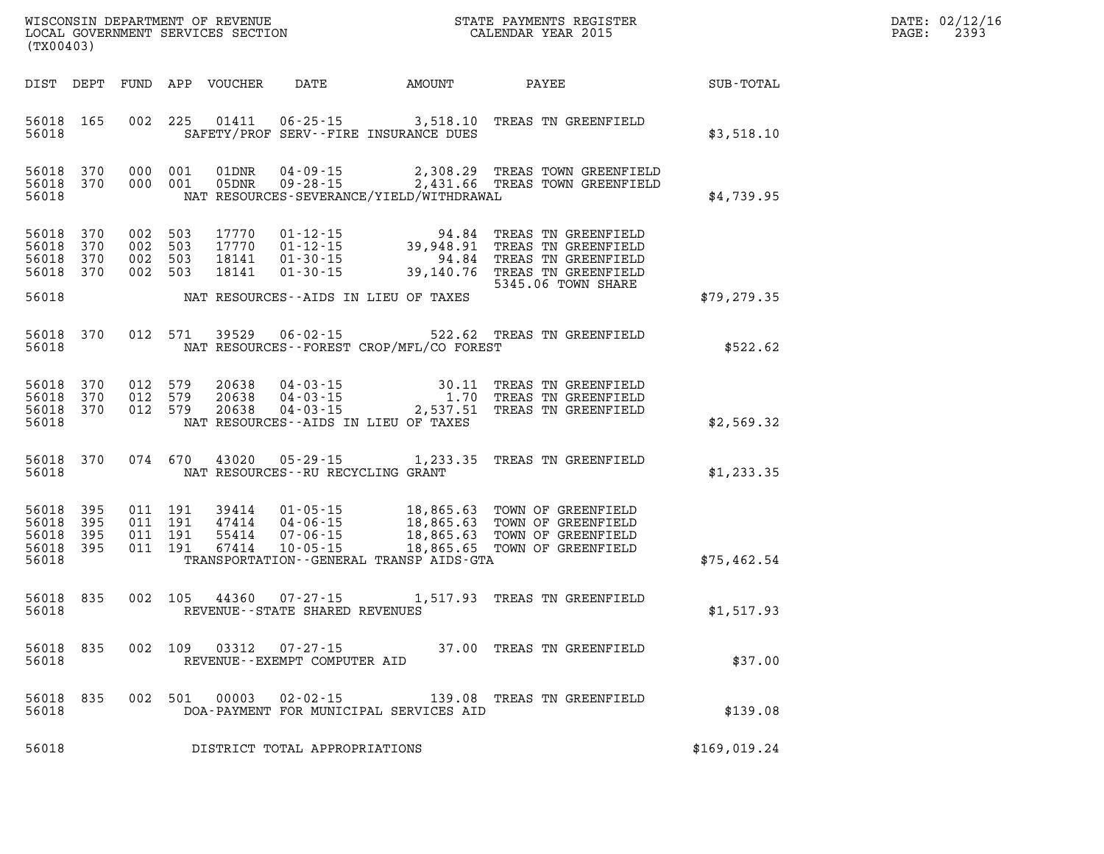| $\mathtt{DATE}$ : | 02/12/16 |
|-------------------|----------|
| PAGE:             | 2393     |

| (TX00403)                                                 |     |         |         |               |                                                          | WISCONSIN DEPARTMENT OF REVENUE<br>LOCAL GOVERNMENT SERVICES SECTION THE STATE PAYMENTS REGISTER<br>(TYO0402)                                                                                                                          | <b>TER EXECUTE:</b> | DATE: 02/12/1<br>$\mathtt{PAGE:}$<br>2393 |
|-----------------------------------------------------------|-----|---------|---------|---------------|----------------------------------------------------------|----------------------------------------------------------------------------------------------------------------------------------------------------------------------------------------------------------------------------------------|---------------------|-------------------------------------------|
|                                                           |     |         |         |               |                                                          | DIST DEPT FUND APP VOUCHER DATE AMOUNT PAYEE TOTAL                                                                                                                                                                                     |                     |                                           |
| 56018 165<br>56018                                        |     |         |         |               | SAFETY/PROF SERV--FIRE INSURANCE DUES                    | 002 225 01411 06-25-15 3,518.10 TREAS TN GREENFIELD                                                                                                                                                                                    | \$3,518.10          |                                           |
| 56018 370<br>56018 370<br>56018                           |     |         |         |               | NAT RESOURCES-SEVERANCE/YIELD/WITHDRAWAL                 | 000 001 01DNR 04-09-15 2,308.29 TREAS TOWN GREENFIELD<br>000 001 05DNR 09-28-15 2,431.66 TREAS TOWN GREENFIELD                                                                                                                         | \$4,739.95          |                                           |
| 56018 370<br>56018 370<br>56018 370<br>56018 370<br>56018 |     | 002 503 |         |               | NAT RESOURCES--AIDS IN LIEU OF TAXES                     | 002 503 17770 01-12-15 94.84 TREAS TN GREENFIELD<br>002 503 18141 01-30-15 94.84 TREAS TN GREENFIELD<br>002 503 18141 01-30-15 94.84 TREAS TN GREENFIELD<br>002 503 18141 01-30-15 39,140.76 TREAS TN GREENFIELD<br>5345.06 TOWN SHARE | \$79,279.35         |                                           |
| 56018 370                                                 |     |         |         |               |                                                          | 012 571 39529 06-02-15 522.62 TREAS TN GREENFIELD<br>56018 MAT RESOURCES--FOREST CROP/MFL/CO FOREST                                                                                                                                    | \$522.62            |                                           |
| 56018 370<br>56018 370<br>56018 370<br>56018              |     |         |         | 012 579 20638 | NAT RESOURCES--AIDS IN LIEU OF TAXES                     | 012 579  20638  04-03-15  30.11 TREAS TN GREENFIELD<br>012 579  20638  04-03-15   1.70 TREAS TN GREENFIELD<br>012 579  20638  04-03-15   2,537.51 TREAS TN GREENFIELD                                                                  | \$2,569.32          |                                           |
| 56018 370                                                 |     |         |         |               | 56018 MAT RESOURCES--RU RECYCLING GRANT                  | 074 670 43020 05-29-15 1,233.35 TREAS TN GREENFIELD                                                                                                                                                                                    | \$1,233.35          |                                           |
| 56018 395<br>56018 395<br>56018 395<br>56018 395          |     |         |         |               | 56018 TRANSPORTATION--GENERAL TRANSP AIDS-GTA            | 011 191 39414 01-05-15 18,865.63 TOWN OF GREENFIELD<br>011 191 47414 04-06-15 18,865.63 TOWN OF GREENFIELD<br>011 191 55414 07-06-15 18,865.63 TOWN OF GREENFIELD<br>011 191 67414 10-05-15 18,865.65 TOWN OF GREENFIELD               | \$75,462.54         |                                           |
| 56018 835<br>56018                                        |     |         |         |               | REVENUE--STATE SHARED REVENUES                           | 002 105 44360 07-27-15 1,517.93 TREAS TN GREENFIELD                                                                                                                                                                                    | \$1,517.93          |                                           |
| 56018 835<br>56018                                        |     |         | 002 109 | 03312         | $07 - 27 - 15$<br>REVENUE--EXEMPT COMPUTER AID           | 37.00 TREAS TN GREENFIELD                                                                                                                                                                                                              | \$37.00             |                                           |
| 56018<br>56018                                            | 835 |         | 002 501 | 00003         | $02 - 02 - 15$<br>DOA-PAYMENT FOR MUNICIPAL SERVICES AID | 139.08 TREAS TN GREENFIELD                                                                                                                                                                                                             | \$139.08            |                                           |
| 56018                                                     |     |         |         |               | DISTRICT TOTAL APPROPRIATIONS                            |                                                                                                                                                                                                                                        | \$169,019.24        |                                           |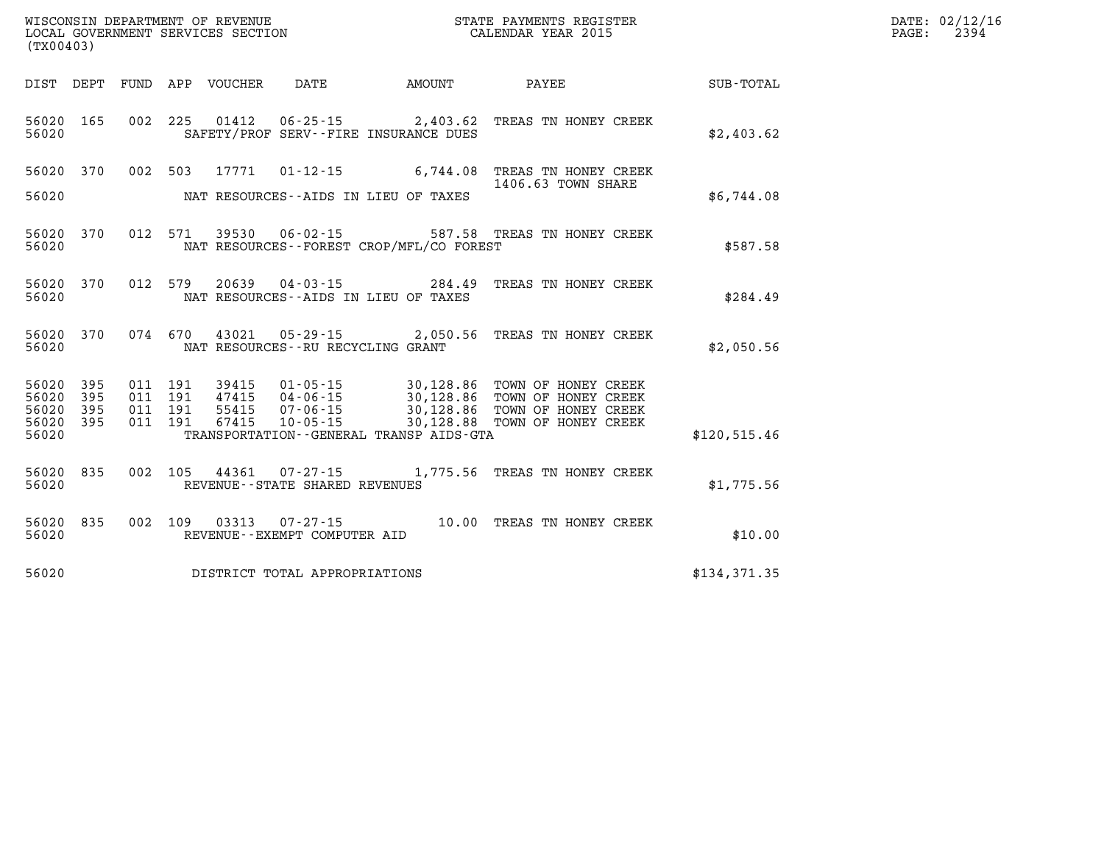| WISCONSIN DEPARTMENT OF REVENUE<br>LOCAL GOVERNMENT SERVICES SECTION<br>CALENDAR YEAR 2015<br>(TX00403) |           |  |  |  |                                   |                                              |                                                                                                                                                                                                                              |              | DATE: 02/12/16<br>$\mathtt{PAGE:}$<br>2394 |
|---------------------------------------------------------------------------------------------------------|-----------|--|--|--|-----------------------------------|----------------------------------------------|------------------------------------------------------------------------------------------------------------------------------------------------------------------------------------------------------------------------------|--------------|--------------------------------------------|
|                                                                                                         |           |  |  |  |                                   |                                              | DIST DEPT FUND APP VOUCHER DATE AMOUNT PAYEE PAYER SUB-TOTAL                                                                                                                                                                 |              |                                            |
| 56020                                                                                                   |           |  |  |  |                                   | SAFETY/PROF SERV--FIRE INSURANCE DUES        | 56020 165 002 225 01412 06-25-15 2,403.62 TREAS TN HONEY CREEK                                                                                                                                                               | \$2,403.62   |                                            |
|                                                                                                         |           |  |  |  |                                   |                                              | 56020 370 002 503 17771 01-12-15 6,744.08 TREAS TN HONEY CREEK<br>1406.63 TOWN SHARE                                                                                                                                         |              |                                            |
|                                                                                                         | 56020     |  |  |  |                                   | NAT RESOURCES--AIDS IN LIEU OF TAXES         |                                                                                                                                                                                                                              | \$6,744.08   |                                            |
| 56020                                                                                                   |           |  |  |  |                                   | NAT RESOURCES--FOREST CROP/MFL/CO FOREST     | 56020 370 012 571 39530 06-02-15 587.58 TREAS TN HONEY CREEK                                                                                                                                                                 | \$587.58     |                                            |
| 56020                                                                                                   |           |  |  |  |                                   | NAT RESOURCES--AIDS IN LIEU OF TAXES         | 56020 370 012 579 20639 04-03-15 284.49 TREAS TN HONEY CREEK                                                                                                                                                                 | \$284.49     |                                            |
|                                                                                                         | 56020     |  |  |  | NAT RESOURCES--RU RECYCLING GRANT |                                              | 56020 370 074 670 43021 05-29-15 2,050.56 TREAS TN HONEY CREEK                                                                                                                                                               | \$2,050.56   |                                            |
| 56020 395                                                                                               | 56020 395 |  |  |  |                                   |                                              | 011 191 39415 01-05-15 30,128.86 TOWN OF HONEY CREEK<br>011 191 47415 04-06-15 30,128.86 TOWN OF HONEY CREEK<br>011 191 55415 07-06-15 30,128.86 TOWN OF HONEY CREEK<br>011 191 67415 10-05-15 30,128.88 TOWN OF HONEY CREEK |              |                                            |
| 56020 395<br>56020                                                                                      | 56020 395 |  |  |  |                                   | TRANSPORTATION - - GENERAL TRANSP AIDS - GTA |                                                                                                                                                                                                                              | \$120,515.46 |                                            |
|                                                                                                         | 56020     |  |  |  | REVENUE--STATE SHARED REVENUES    |                                              | 56020 835 002 105 44361 07-27-15 1,775.56 TREAS TN HONEY CREEK                                                                                                                                                               | \$1,775.56   |                                            |
| 56020                                                                                                   |           |  |  |  | REVENUE--EXEMPT COMPUTER AID      |                                              | 56020 835 002 109 03313 07-27-15 10.00 TREAS TN HONEY CREEK                                                                                                                                                                  | \$10.00      |                                            |
| 56020                                                                                                   |           |  |  |  | DISTRICT TOTAL APPROPRIATIONS     |                                              |                                                                                                                                                                                                                              | \$134,371.35 |                                            |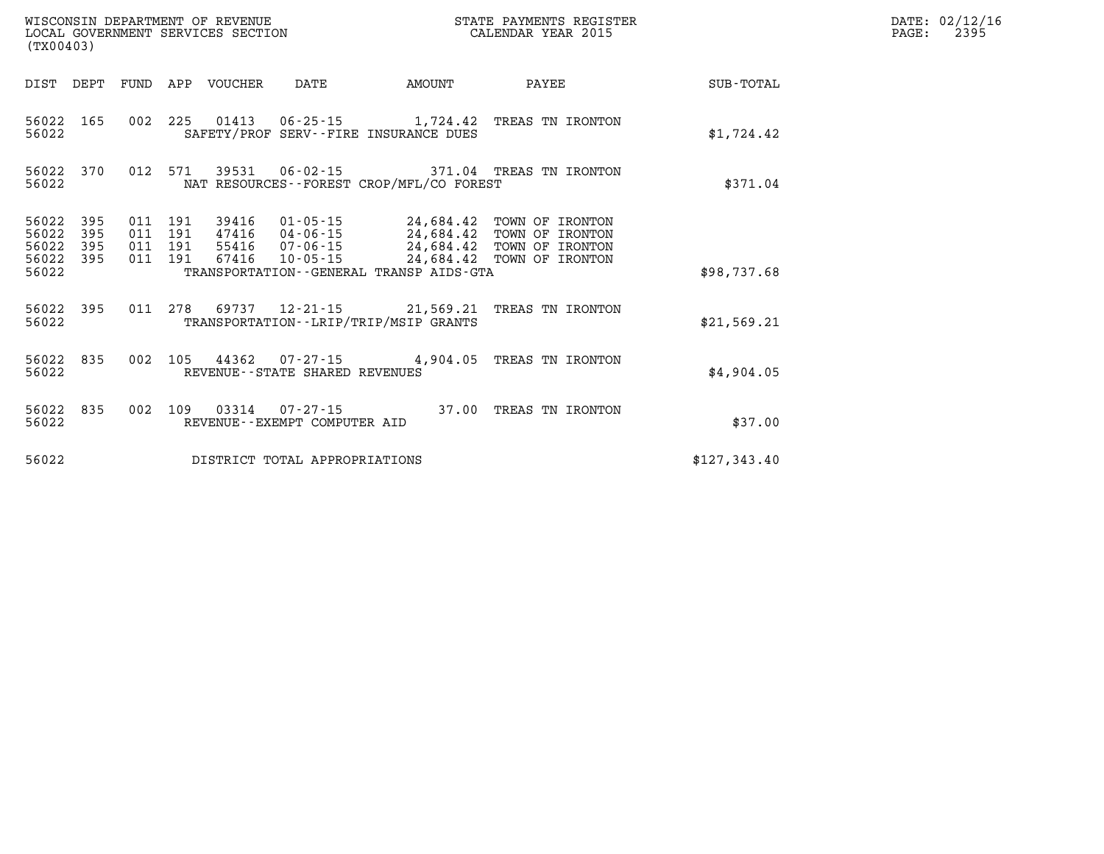| (TX00403)                                 |                          |                          |                          | WISCONSIN DEPARTMENT OF REVENUE<br>LOCAL GOVERNMENT SERVICES SECTION |                                                                |                                                                                             | STATE PAYMENTS REGISTER<br>CALENDAR YEAR 2015                            |                  |
|-------------------------------------------|--------------------------|--------------------------|--------------------------|----------------------------------------------------------------------|----------------------------------------------------------------|---------------------------------------------------------------------------------------------|--------------------------------------------------------------------------|------------------|
| DIST                                      | DEPT                     | <b>FUND</b>              | APP                      | <b>VOUCHER</b>                                                       | DATE                                                           | AMOUNT                                                                                      | PAYEE                                                                    | <b>SUB-TOTAL</b> |
| 56022<br>56022                            | 165                      | 002                      | 225                      |                                                                      | 01413   06-25-15                                               | 1,724.42<br>SAFETY/PROF SERV--FIRE INSURANCE DUES                                           | TREAS TN IRONTON                                                         | \$1,724.42       |
| 56022<br>56022                            | 370                      | 012                      | 571                      | 39531                                                                | $06 - 02 - 15$                                                 | NAT RESOURCES - - FOREST CROP/MFL/CO FOREST                                                 | 371.04 TREAS TN IRONTON                                                  | \$371.04         |
| 56022<br>56022<br>56022<br>56022<br>56022 | 395<br>395<br>395<br>395 | 011<br>011<br>011<br>011 | 191<br>191<br>191<br>191 | 39416<br>47416<br>55416<br>67416                                     | $01 - 05 - 15$<br>04-06-15<br>$07 - 06 - 15$<br>$10 - 05 - 15$ | 24,684.42<br>24,684.42<br>24,684.42<br>24,684.42<br>TRANSPORTATION--GENERAL TRANSP AIDS-GTA | TOWN OF IRONTON<br>TOWN OF IRONTON<br>TOWN OF IRONTON<br>TOWN OF IRONTON | \$98,737.68      |
| 56022<br>56022                            | 395                      | 011                      | 278                      | 69737                                                                |                                                                | $12 - 21 - 15$ 21,569.21<br>TRANSPORTATION - - LRIP/TRIP/MSIP GRANTS                        | TREAS TN IRONTON                                                         | \$21,569.21      |
| 56022<br>56022                            | 835                      | 002                      | 105                      | 44362                                                                | 07-27-15<br>REVENUE--STATE SHARED REVENUES                     | 4,904.05                                                                                    | TREAS TN IRONTON                                                         | \$4,904.05       |
| 56022<br>56022                            | 835                      | 002                      | 109                      | 03314                                                                | $07 - 27 - 15$<br>REVENUE - - EXEMPT COMPUTER AID              | 37.00                                                                                       | TREAS TN IRONTON                                                         | \$37.00          |
| 56022                                     |                          |                          |                          |                                                                      | DISTRICT TOTAL APPROPRIATIONS                                  |                                                                                             |                                                                          | \$127,343.40     |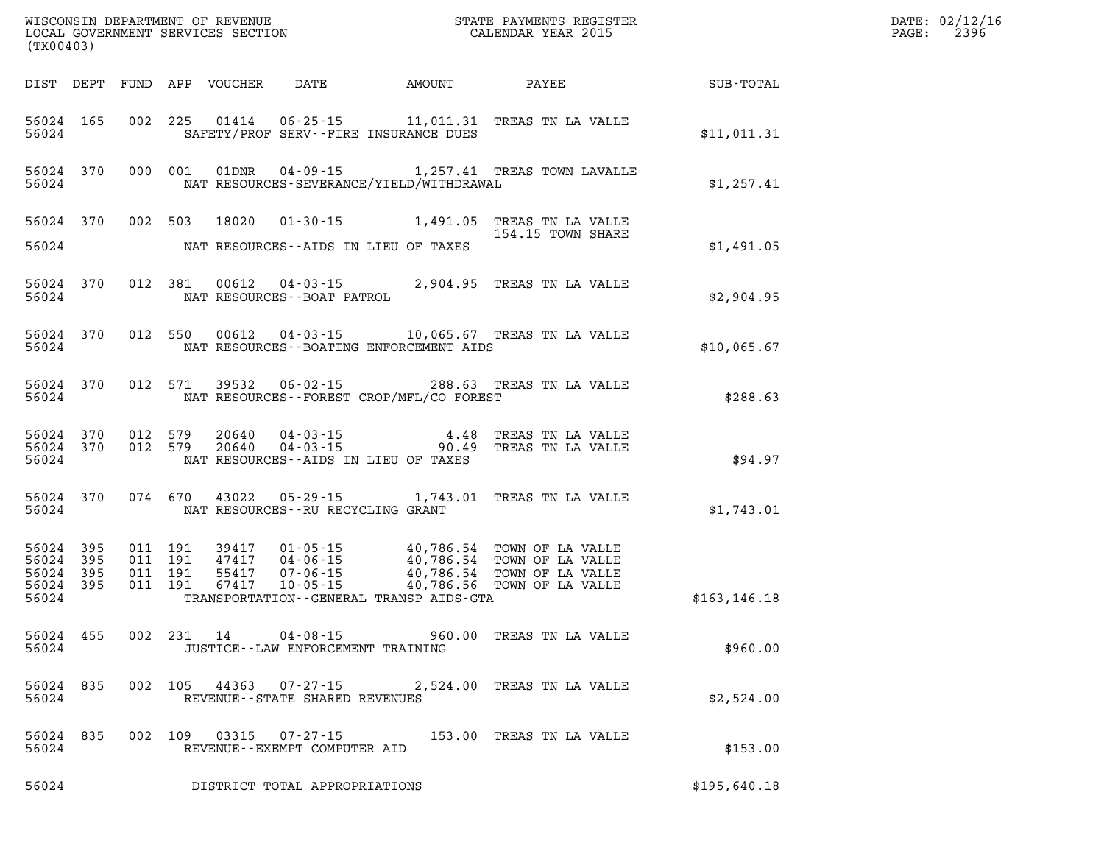| (TX00403) |                                              |       |  |                                                        |                                              | WISCONSIN DEPARTMENT OF REVENUE<br>LOCAL GOVERNMENT SERVICES SECTION<br>CALENDAR YEAR 2015                                                                                                                                                                                                                                                         | DATE: 02/12/16<br>PAGE: 2396 |  |
|-----------|----------------------------------------------|-------|--|--------------------------------------------------------|----------------------------------------------|----------------------------------------------------------------------------------------------------------------------------------------------------------------------------------------------------------------------------------------------------------------------------------------------------------------------------------------------------|------------------------------|--|
|           |                                              |       |  |                                                        |                                              | DIST DEPT FUND APP VOUCHER DATE AMOUNT PAYEE SUB-TOTAL                                                                                                                                                                                                                                                                                             |                              |  |
|           |                                              | 56024 |  |                                                        | SAFETY/PROF SERV--FIRE INSURANCE DUES        | 56024 165 002 225 01414 06-25-15 11,011.31 TREAS TN LA VALLE                                                                                                                                                                                                                                                                                       | \$11,011.31                  |  |
| 56024     |                                              |       |  |                                                        | NAT RESOURCES-SEVERANCE/YIELD/WITHDRAWAL     | 56024 370 000 001 01DNR 04-09-15 1,257.41 TREAS TOWN LAVALLE                                                                                                                                                                                                                                                                                       | \$1,257.41                   |  |
|           | 56024                                        |       |  |                                                        | NAT RESOURCES--AIDS IN LIEU OF TAXES         | 56024 370 002 503 18020 01-30-15 1,491.05 TREAS TN LA VALLE<br>154.15 TOWN SHARE                                                                                                                                                                                                                                                                   | \$1,491.05                   |  |
|           | 56024                                        |       |  | NAT RESOURCES - - BOAT PATROL                          |                                              | 56024 370 012 381 00612 04-03-15 2,904.95 TREAS TN LA VALLE                                                                                                                                                                                                                                                                                        | \$2,904.95                   |  |
|           | 56024                                        |       |  |                                                        | NAT RESOURCES - - BOATING ENFORCEMENT AIDS   | 56024 370 012 550 00612 04-03-15 10,065.67 TREAS TN LA VALLE                                                                                                                                                                                                                                                                                       | \$10.065.67                  |  |
|           | 56024                                        |       |  |                                                        | NAT RESOURCES--FOREST CROP/MFL/CO FOREST     | 56024 370 012 571 39532 06-02-15 288.63 TREAS TN LA VALLE                                                                                                                                                                                                                                                                                          | \$288.63                     |  |
|           | 56024                                        |       |  |                                                        | NAT RESOURCES--AIDS IN LIEU OF TAXES         | 56024 370 012 579 20640 04-03-15 4.48 TREAS TN LA VALLE 56024 370 012 579 20640 04-03-15 90.49 TREAS TN LA VALLE                                                                                                                                                                                                                                   | \$94.97                      |  |
|           |                                              |       |  | 56024 NAT RESOURCES--RU RECYCLING GRANT                |                                              | 56024 370 074 670 43022 05-29-15 1,743.01 TREAS TN LA VALLE                                                                                                                                                                                                                                                                                        | \$1,743.01                   |  |
| 56024 395 | 56024 395<br>56024 395<br>56024 395<br>56024 |       |  |                                                        | TRANSPORTATION - - GENERAL TRANSP AIDS - GTA | $\begin{array}{cccc} 011 & 191 & 39417 & 01\cdot 05\cdot 15 & 40\,,786\, .54 & \textrm{TOWN OF LA VALUE} \\ 011 & 191 & 47417 & 04\cdot 06\cdot 15 & 40\,,786\, .54 & \textrm{TOWN OF LA VALUE} \\ 011 & 191 & 55417 & 07\cdot 06\cdot 15 & 40\,,786\, .54 & \textrm{TOWN OF LA VALUE} \\ 011 & 191 & 67417 & 10\cdot 05\cdot 15 & 40\,,786\, .56$ | \$163, 146.18                |  |
| 56024     |                                              |       |  | JUSTICE - - LAW ENFORCEMENT TRAINING                   |                                              | 56024 455 002 231 14 04-08-15 960.00 TREAS TN LA VALLE                                                                                                                                                                                                                                                                                             | \$960.00                     |  |
| 56024     | 56024 835                                    |       |  | REVENUE--STATE SHARED REVENUES                         |                                              | 002 105 44363 07-27-15 2,524.00 TREAS TN LA VALLE                                                                                                                                                                                                                                                                                                  | \$2,524.00                   |  |
| 56024     | 56024 835                                    |       |  | 002 109 03315 07-27-15<br>REVENUE--EXEMPT COMPUTER AID |                                              | 153.00 TREAS TN LA VALLE                                                                                                                                                                                                                                                                                                                           | \$153.00                     |  |
| 56024     |                                              |       |  | DISTRICT TOTAL APPROPRIATIONS                          |                                              |                                                                                                                                                                                                                                                                                                                                                    | \$195,640.18                 |  |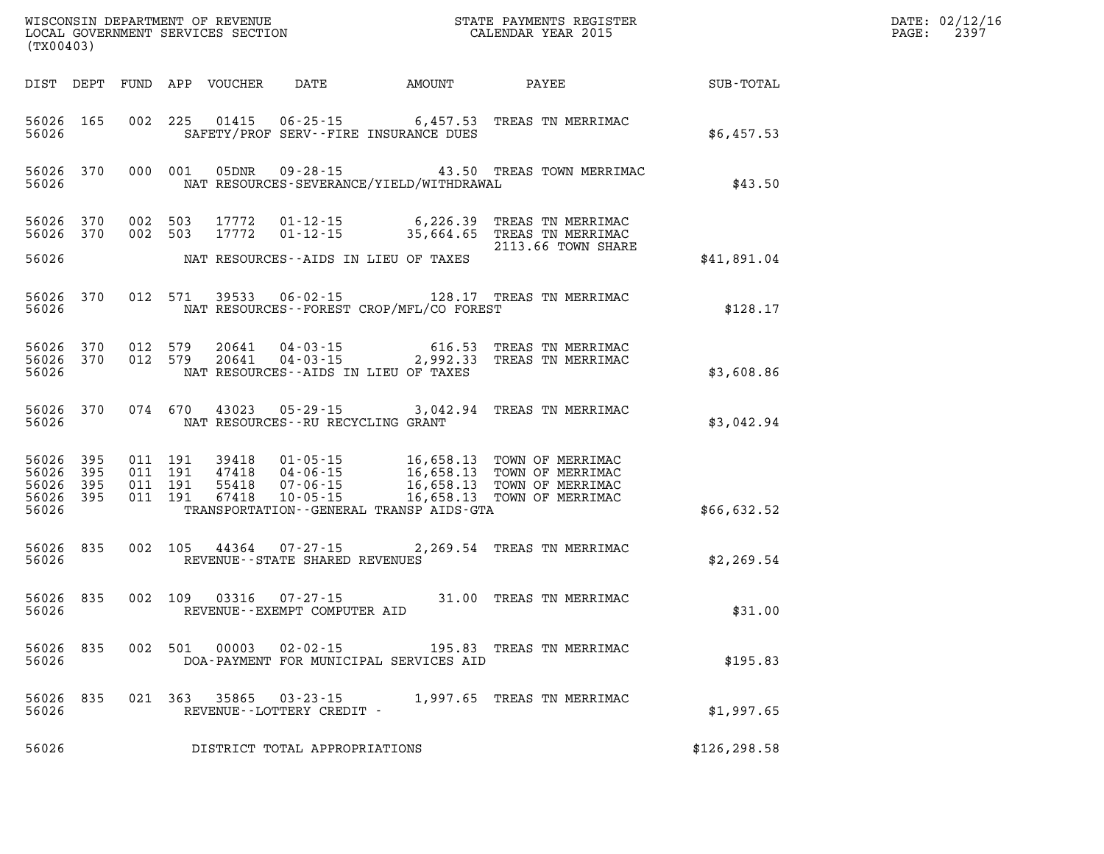| (TX00403)                                    |           |         |               |                                                                     |                                          |                                                                                                                                                   | $\mathbb{E} \mathbf{R}$ | DATE: 02/12/16<br>2397<br>$\mathtt{PAGE:}$ |
|----------------------------------------------|-----------|---------|---------------|---------------------------------------------------------------------|------------------------------------------|---------------------------------------------------------------------------------------------------------------------------------------------------|-------------------------|--------------------------------------------|
|                                              |           |         |               |                                                                     |                                          | DIST DEPT FUND APP VOUCHER DATE AMOUNT PAYEE                                                                                                      | SUB-TOTAL               |                                            |
| 56026                                        | 56026 165 |         |               |                                                                     | SAFETY/PROF SERV--FIRE INSURANCE DUES    | 002 225 01415 06-25-15 6,457.53 TREAS TN MERRIMAC                                                                                                 | \$6,457.53              |                                            |
| 56026                                        |           |         |               |                                                                     | NAT RESOURCES-SEVERANCE/YIELD/WITHDRAWAL | 56026 370 000 001 05DNR 09-28-15 43.50 TREAS TOWN MERRIMAC                                                                                        | \$43.50                 |                                            |
|                                              |           |         |               |                                                                     |                                          | 56026 370 002 503 17772 01-12-15 6,226.39 TREAS TN MERRIMAC<br>56026 370 002 503 17772 01-12-15 35,664.65 TREAS TN MERRIMAC<br>2113.66 TOWN SHARE |                         |                                            |
| 56026                                        |           |         |               |                                                                     | NAT RESOURCES--AIDS IN LIEU OF TAXES     |                                                                                                                                                   | \$41,891.04             |                                            |
| 56026                                        |           |         |               |                                                                     | NAT RESOURCES--FOREST CROP/MFL/CO FOREST | 56026 370 012 571 39533 06-02-15 128.17 TREAS TN MERRIMAC                                                                                         | \$128.17                |                                            |
| 56026                                        |           |         |               |                                                                     | NAT RESOURCES--AIDS IN LIEU OF TAXES     | 56026 370 012 579 20641 04-03-15 616.53 TREAS TN MERRIMAC<br>56026 370 012 579 20641 04-03-15 2,992.33 TREAS TN MERRIMAC                          | \$3,608.86              |                                            |
| 56026                                        | 56026 370 |         |               | NAT RESOURCES--RU RECYCLING GRANT                                   |                                          | 074 670 43023 05-29-15 3,042.94 TREAS TN MERRIMAC                                                                                                 | \$3,042.94              |                                            |
| 56026 395<br>56026 395<br>56026 395<br>56026 | 56026 395 |         |               |                                                                     | TRANSPORTATION--GENERAL TRANSP AIDS-GTA  |                                                                                                                                                   | \$66,632.52             |                                            |
|                                              |           |         |               |                                                                     |                                          |                                                                                                                                                   |                         |                                            |
| 56026                                        |           |         |               | 56026 835 002 105 44364 07-27-15<br>REVENUE--STATE SHARED REVENUES  |                                          | 2,269.54 TREAS TN MERRIMAC                                                                                                                        | \$2,269.54              |                                            |
| 56026                                        |           |         |               | 56026 835 002 109 03316 07-27-15<br>REVENUE - - EXEMPT COMPUTER AID |                                          | 31.00 TREAS TN MERRIMAC                                                                                                                           | \$31.00                 |                                            |
| 56026 835<br>56026                           |           |         | 002 501 00003 | 02-02-15                                                            | DOA-PAYMENT FOR MUNICIPAL SERVICES AID   | 195.83 TREAS TN MERRIMAC                                                                                                                          | \$195.83                |                                            |
| 56026 835<br>56026                           |           | 021 363 | 35865         | 03-23-15<br>REVENUE--LOTTERY CREDIT -                               |                                          | 1,997.65 TREAS TN MERRIMAC                                                                                                                        | \$1,997.65              |                                            |
| 56026                                        |           |         |               | DISTRICT TOTAL APPROPRIATIONS                                       |                                          |                                                                                                                                                   | \$126, 298.58           |                                            |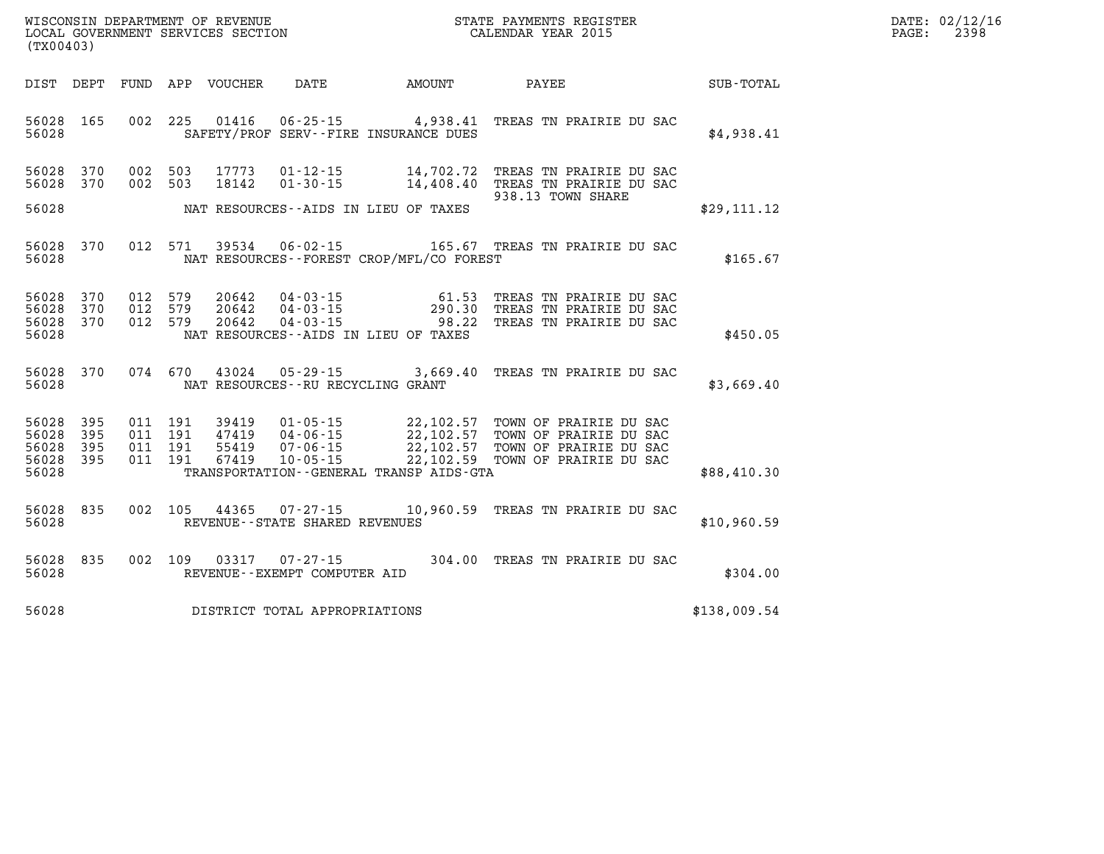| $\mathtt{DATE}$ : | 02/12/16 |
|-------------------|----------|
| PAGE:             | 2398     |

|                         | WISCONSIN DEPARTMENT OF REVENUE<br>STATE PAYMENTS REGISTER<br>LOCAL GOVERNMENT SERVICES SECTION<br>CALENDAR YEAR 2015<br>(TX00403) |                   |                   |                         |                                                                                  |                          |                                                                               |              |  |  |
|-------------------------|------------------------------------------------------------------------------------------------------------------------------------|-------------------|-------------------|-------------------------|----------------------------------------------------------------------------------|--------------------------|-------------------------------------------------------------------------------|--------------|--|--|
| DIST                    | DEPT                                                                                                                               | FUND              | APP               | VOUCHER                 | DATE                                                                             | AMOUNT                   | PAYEE                                                                         | SUB-TOTAL    |  |  |
| 56028<br>56028          | 165                                                                                                                                | 002               | 225               | 01416                   | $06 - 25 - 15$<br>SAFETY/PROF SERV--FIRE INSURANCE DUES                          | 4,938.41                 | TREAS TN PRAIRIE DU SAC                                                       | \$4,938.41   |  |  |
| 56028<br>56028          | 370<br>370                                                                                                                         | 002<br>002        | 503<br>503        | 17773<br>18142          | $01 - 12 - 15$<br>$01 - 30 - 15$                                                 | 14,702.72<br>14,408.40   | TREAS TN PRAIRIE DU SAC<br>TREAS TN PRAIRIE DU SAC<br>938.13 TOWN SHARE       |              |  |  |
| 56028                   |                                                                                                                                    |                   |                   |                         | NAT RESOURCES--AIDS IN LIEU OF TAXES                                             |                          |                                                                               | \$29,111.12  |  |  |
| 56028<br>56028          | 370                                                                                                                                | 012               | 571               | 39534                   | $06 - 02 - 15$<br>NAT RESOURCES - - FOREST CROP/MFL/CO FOREST                    |                          | 165.67 TREAS TN PRAIRIE DU SAC                                                | \$165.67     |  |  |
| 56028<br>56028<br>56028 | 370<br>370<br>370                                                                                                                  | 012<br>012<br>012 | 579<br>579<br>579 | 20642<br>20642<br>20642 | $04 - 03 - 15$<br>$04 - 03 - 15$<br>$04 - 03 - 15$                               | 61.53<br>290.30<br>98.22 | TREAS TN PRAIRIE DU SAC<br>TREAS TN PRAIRIE DU SAC<br>TREAS TN PRAIRIE DU SAC |              |  |  |
| 56028                   |                                                                                                                                    |                   |                   |                         | NAT RESOURCES -- AIDS IN LIEU OF TAXES                                           |                          |                                                                               | \$450.05     |  |  |
| 56028<br>56028          | 370                                                                                                                                | 074               | 670               | 43024                   | $05 - 29 - 15$<br>NAT RESOURCES - - RU RECYCLING GRANT                           | 3,669.40                 | TREAS TN PRAIRIE DU SAC                                                       | \$3,669.40   |  |  |
| 56028<br>56028<br>56028 | 395<br>395                                                                                                                         | 011<br>011        | 191<br>191<br>191 | 39419<br>47419<br>55419 | $01 - 05 - 15$<br>$04 - 06 - 15$                                                 | 22,102.57<br>22,102.57   | TOWN OF PRAIRIE DU SAC<br>TOWN OF PRAIRIE DU SAC                              |              |  |  |
| 56028<br>56028          | 395<br>395                                                                                                                         | 011<br>011        | 191               | 67419                   | $07 - 06 - 15$<br>$10 - 05 - 15$<br>TRANSPORTATION - - GENERAL TRANSP AIDS - GTA | 22,102.57<br>22,102.59   | TOWN OF PRAIRIE DU SAC<br>TOWN OF PRAIRIE DU SAC                              | \$88,410.30  |  |  |
| 56028<br>56028          | 835                                                                                                                                | 002               | 105               | 44365                   | $07 - 27 - 15$<br>REVENUE - - STATE SHARED REVENUES                              | 10,960.59                | TREAS TN PRAIRIE DU SAC                                                       | \$10,960.59  |  |  |
| 56028<br>56028          | 835                                                                                                                                | 002               | 109               | 03317                   | $07 - 27 - 15$<br>REVENUE - - EXEMPT COMPUTER AID                                | 304.00                   | TREAS TN PRAIRIE DU SAC                                                       | \$304.00     |  |  |
| 56028                   |                                                                                                                                    |                   |                   |                         | DISTRICT TOTAL APPROPRIATIONS                                                    |                          |                                                                               | \$138,009.54 |  |  |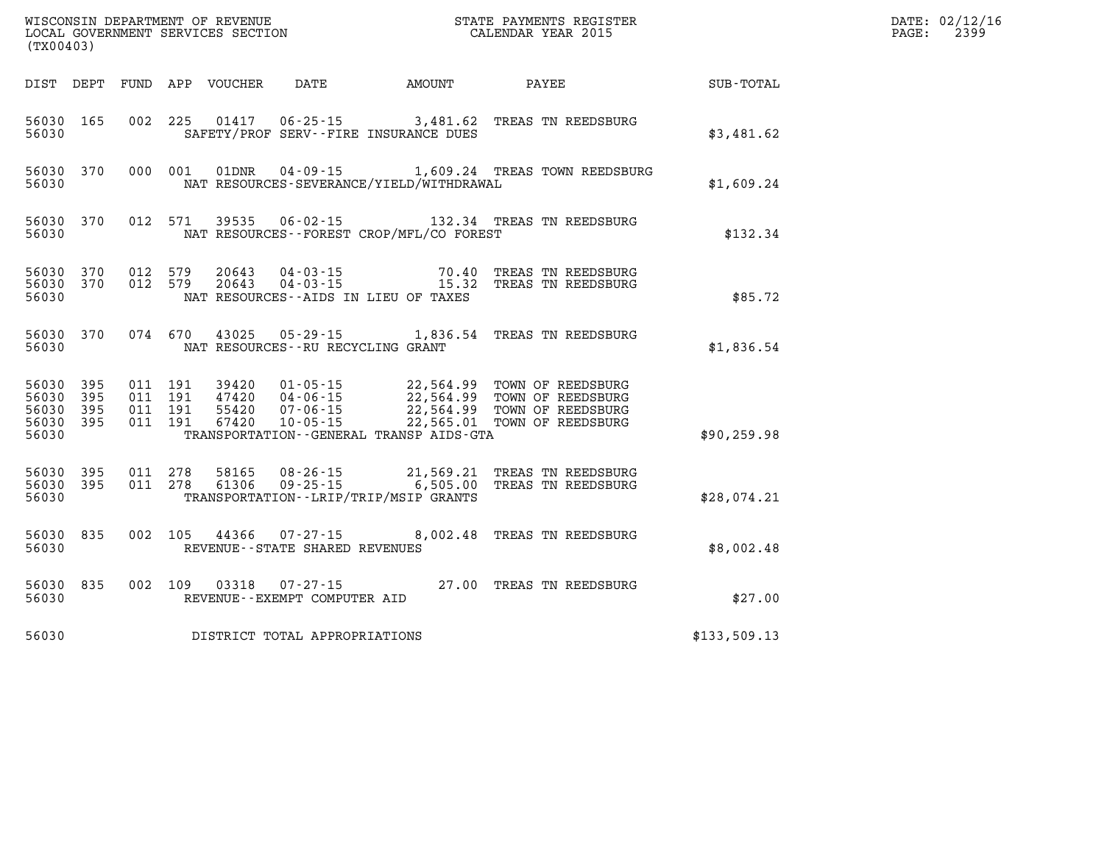| (TX00403)          |  |  |                                   |                                          |                                                                                                                                                                                                                                         |              | DATE: 02/12/16<br>2399<br>$\mathtt{PAGE:}$ |
|--------------------|--|--|-----------------------------------|------------------------------------------|-----------------------------------------------------------------------------------------------------------------------------------------------------------------------------------------------------------------------------------------|--------------|--------------------------------------------|
|                    |  |  |                                   | DIST DEPT FUND APP VOUCHER DATE AMOUNT   | PAYEE SUB-TOTAL                                                                                                                                                                                                                         |              |                                            |
| 56030              |  |  |                                   | SAFETY/PROF SERV--FIRE INSURANCE DUES    | 56030 165 002 225 01417 06-25-15 3,481.62 TREAS TN REEDSBURG                                                                                                                                                                            | \$3,481.62   |                                            |
| 56030              |  |  |                                   | NAT RESOURCES-SEVERANCE/YIELD/WITHDRAWAL | 56030 370 000 001 01DNR 04-09-15 1,609.24 TREAS TOWN REEDSBURG                                                                                                                                                                          | \$1,609.24   |                                            |
| 56030              |  |  |                                   | NAT RESOURCES--FOREST CROP/MFL/CO FOREST | 56030 370 012 571 39535 06-02-15 132.34 TREAS TN REEDSBURG                                                                                                                                                                              | \$132.34     |                                            |
| 56030              |  |  |                                   | NAT RESOURCES--AIDS IN LIEU OF TAXES     | 56030 370 012 579 20643 04-03-15 70.40 TREAS TN REEDSBURG<br>56030 370 012 579 20643 04-03-15 15.32 TREAS TN REEDSBURG                                                                                                                  | \$85.72      |                                            |
| 56030              |  |  | NAT RESOURCES--RU RECYCLING GRANT |                                          | 56030 370 074 670 43025 05-29-15 1,836.54 TREAS TN REEDSBURG                                                                                                                                                                            | \$1,836.54   |                                            |
| 56030              |  |  |                                   | TRANSPORTATION--GENERAL TRANSP AIDS-GTA  | 56030 395 011 191 39420 01-05-15 22,564.99 TOWN OF REEDSBURG<br>56030 395 011 191 47420 04-06-15 22,564.99 TOWN OF REEDSBURG<br>56030 395 011 191 55420 07-06-15 22,564.99 TOWN OF REEDSBURG<br>56030 395 011 191 67420 10-05-15 22,565 | \$90, 259.98 |                                            |
| 56030              |  |  |                                   | TRANSPORTATION - - LRIP/TRIP/MSIP GRANTS | 56030 395 011 278 58165 08-26-15 21,569.21 TREAS TN REEDSBURG<br>56030 395 011 278 61306 09-25-15 6,505.00 TREAS TN REEDSBURG                                                                                                           | \$28,074.21  |                                            |
| 56030 835<br>56030 |  |  | REVENUE - - STATE SHARED REVENUES |                                          | 002 105 44366 07-27-15 8,002.48 TREAS TN REEDSBURG                                                                                                                                                                                      | \$8,002.48   |                                            |

**56030 835 002 109 03318 07-27-15 27.00 TREAS TN REEDSBURG 56030 REVENUE--EXEMPT COMPUTER AID \$27.00** 

| 56030 | DISTRICT TOTAL APPROPRIATIONS | \$133,509.13 |
|-------|-------------------------------|--------------|
|-------|-------------------------------|--------------|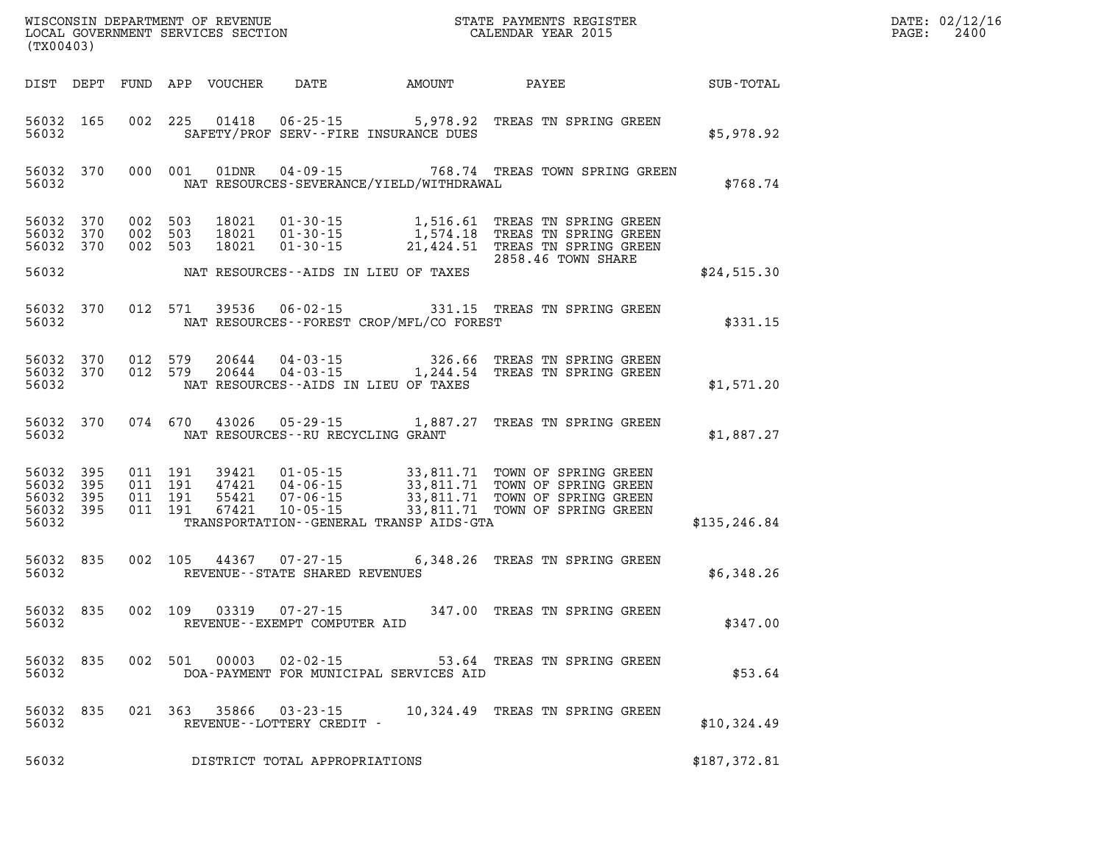| (TX00403)                   |                               |                                          |         |                            |                                                     |                                          |                                                                                                                                                                              | $\mathbb{E} \mathbf{R}$ | DATE: 02/12/16<br>PAGE:<br>2400 |
|-----------------------------|-------------------------------|------------------------------------------|---------|----------------------------|-----------------------------------------------------|------------------------------------------|------------------------------------------------------------------------------------------------------------------------------------------------------------------------------|-------------------------|---------------------------------|
|                             |                               |                                          |         | DIST DEPT FUND APP VOUCHER | DATE                                                | AMOUNT                                   | PAYEE                                                                                                                                                                        | SUB-TOTAL               |                                 |
| 56032                       | 56032 165                     |                                          |         |                            |                                                     | SAFETY/PROF SERV--FIRE INSURANCE DUES    | 002 225 01418 06-25-15 5,978.92 TREAS TN SPRING GREEN                                                                                                                        | \$5,978.92              |                                 |
| 56032                       |                               |                                          |         |                            |                                                     | NAT RESOURCES-SEVERANCE/YIELD/WITHDRAWAL | 56032 370 000 001 01DNR 04-09-15 768.74 TREAS TOWN SPRING GREEN                                                                                                              | \$768.74                |                                 |
| 56032 370                   | 56032 370<br>56032 370        | 002 503<br>002 503<br>002 503            |         |                            |                                                     |                                          | 18021  01-30-15  1,516.61 TREAS TN SPRING GREEN<br>18021  01-30-15  1,574.18 TREAS TN SPRING GREEN<br>18021  01-30-15  21,424.51 TREAS TN SPRING GREEN<br>2858.46 TOWN SHARE |                         |                                 |
| 56032                       |                               |                                          |         |                            |                                                     | NAT RESOURCES--AIDS IN LIEU OF TAXES     |                                                                                                                                                                              | \$24,515.30             |                                 |
| 56032                       | 56032 370                     |                                          | 012 571 |                            |                                                     | NAT RESOURCES--FOREST CROP/MFL/CO FOREST | 39536  06-02-15  331.15  TREAS TN SPRING GREEN                                                                                                                               | \$331.15                |                                 |
| 56032                       | 56032 370<br>56032 370        |                                          |         |                            |                                                     | NAT RESOURCES--AIDS IN LIEU OF TAXES     | 012 579  20644  04-03-15  326.66 TREAS TN SPRING GREEN<br>012 579  20644  04-03-15  1,244.54 TREAS TN SPRING GREEN                                                           | \$1,571.20              |                                 |
| 56032                       | 56032 370                     |                                          |         |                            | NAT RESOURCES--RU RECYCLING GRANT                   |                                          | 074 670 43026 05-29-15 1,887.27 TREAS TN SPRING GREEN                                                                                                                        | \$1,887.27              |                                 |
| 56032<br>56032 395<br>56032 | 56032 395<br>395<br>56032 395 | 011 191<br>011 191<br>011 191<br>011 191 |         |                            |                                                     | TRANSPORTATION--GENERAL TRANSP AIDS-GTA  |                                                                                                                                                                              | \$135, 246.84           |                                 |
| 56032                       | 56032 835                     | 002 105                                  |         |                            | REVENUE - - STATE SHARED REVENUES                   |                                          | 44367 07-27-15 6,348.26 TREAS TN SPRING GREEN                                                                                                                                | \$6,348.26              |                                 |
| 56032 835<br>56032          |                               |                                          | 002 109 |                            | REVENUE--EXEMPT COMPUTER AID                        |                                          | 03319  07-27-15  347.00  TREAS TN SPRING GREEN                                                                                                                               | \$347.00                |                                 |
| 56032 835<br>56032          |                               |                                          |         |                            | 002 501 00003 02-02-15                              | DOA-PAYMENT FOR MUNICIPAL SERVICES AID   | 53.64 TREAS TN SPRING GREEN                                                                                                                                                  | \$53.64                 |                                 |
| 56032 835<br>56032          |                               |                                          |         |                            | 021 363 35866 03-23-15<br>REVENUE--LOTTERY CREDIT - |                                          | 10,324.49 TREAS TN SPRING GREEN                                                                                                                                              | \$10,324.49             |                                 |
| 56032                       |                               |                                          |         |                            | DISTRICT TOTAL APPROPRIATIONS                       |                                          |                                                                                                                                                                              | \$187,372.81            |                                 |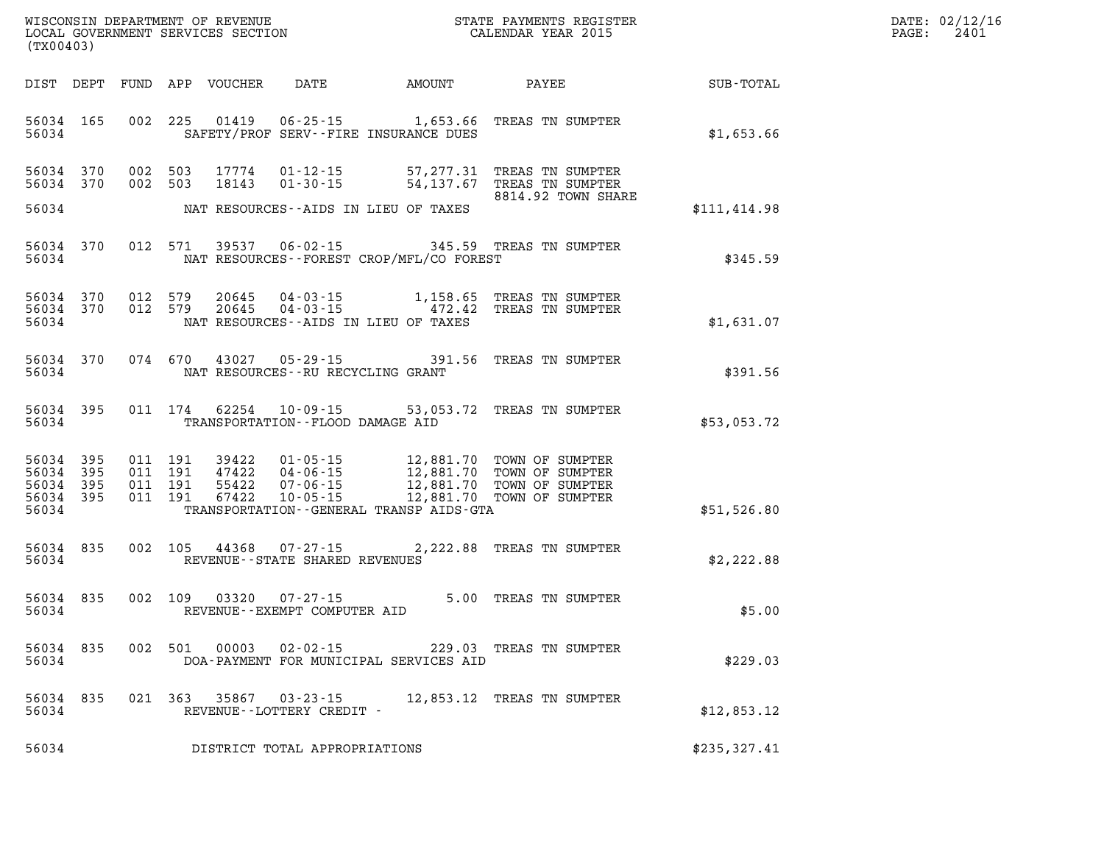| $\mathtt{DATE}$ : | 02/12/16 |
|-------------------|----------|
| PAGE:             | 2401     |

| (TX00403)                                                    | LOCAL GOVERNMENT SERVICES SECTION                                                                                                                                                                                                                                               | CALENDAR YEAR 2015                                                                               |               | PAGE: | 2401 |
|--------------------------------------------------------------|---------------------------------------------------------------------------------------------------------------------------------------------------------------------------------------------------------------------------------------------------------------------------------|--------------------------------------------------------------------------------------------------|---------------|-------|------|
|                                                              | DIST DEPT FUND APP VOUCHER DATE AMOUNT PAYEE                                                                                                                                                                                                                                    |                                                                                                  | SUB-TOTAL     |       |      |
| 56034 165<br>56034                                           | 002 225<br>01419<br>SAFETY/PROF SERV--FIRE INSURANCE DUES                                                                                                                                                                                                                       | 06-25-15 1,653.66 TREAS TN SUMPTER                                                               | \$1,653.66    |       |      |
| 56034 370<br>56034 370                                       | 002 503<br>17774<br>002 503<br>18143                                                                                                                                                                                                                                            | 01-12-15 57,277.31 TREAS TN SUMPTER<br>01-30-15 54,137.67 TREAS TN SUMPTER<br>8814.92 TOWN SHARE |               |       |      |
| 56034                                                        | NAT RESOURCES--AIDS IN LIEU OF TAXES                                                                                                                                                                                                                                            |                                                                                                  | \$111, 414.98 |       |      |
| 56034 370<br>56034                                           | $06 - 02 - 15$<br>012 571<br>39537<br>NAT RESOURCES--FOREST CROP/MFL/CO FOREST                                                                                                                                                                                                  | 345.59 TREAS TN SUMPTER                                                                          | \$345.59      |       |      |
| 56034 370<br>56034 370<br>56034                              | 012 579<br>20645<br>012 579<br>20645<br>NAT RESOURCES--AIDS IN LIEU OF TAXES                                                                                                                                                                                                    | 04-03-15 1,158.65 TREAS TN SUMPTER<br>04-03-15 172.42 TREAS TN SUMPTER                           | \$1,631.07    |       |      |
| 56034 370<br>56034                                           | 074 670 43027 05-29-15<br>NAT RESOURCES--RU RECYCLING GRANT                                                                                                                                                                                                                     | 391.56 TREAS TN SUMPTER                                                                          | \$391.56      |       |      |
| 56034 395<br>56034                                           | 62254 10-09-15 53,053.72 TREAS TN SUMPTER<br>011 174<br>TRANSPORTATION -- FLOOD DAMAGE AID                                                                                                                                                                                      |                                                                                                  | \$53,053.72   |       |      |
| 395<br>56034<br>56034 395<br>56034 395<br>56034 395<br>56034 | 39422  01-05-15  12,881.70  TOWN OF SUMPTER<br>47422  04-06-15  12,881.70  TOWN OF SUMPTER<br>55422  07-06-15  12,881.70  TOWN OF SUMPTER<br>67422  10-05-15  12,881.70  TOWN OF SUMPTER<br>011 191<br>011 191<br>011 191<br>011 191<br>TRANSPORTATION--GENERAL TRANSP AIDS-GTA |                                                                                                  | \$51,526.80   |       |      |
| 56034 835<br>56034                                           | $07 - 27 - 15$<br>002 105<br>44368<br>REVENUE--STATE SHARED REVENUES                                                                                                                                                                                                            | 2,222.88 TREAS TN SUMPTER                                                                        | \$2,222.88    |       |      |
| 56034 835<br>56034                                           | 002 109 03320 07-27-15<br>REVENUE--EXEMPT COMPUTER AID                                                                                                                                                                                                                          | 5.00 TREAS TN SUMPTER                                                                            | \$5.00        |       |      |
| 56034 835<br>56034                                           | 002 501 00003<br>DOA-PAYMENT FOR MUNICIPAL SERVICES AID                                                                                                                                                                                                                         | 02-02-15 229.03 TREAS TN SUMPTER                                                                 | \$229.03      |       |      |
| 56034 835<br>56034                                           |                                                                                                                                                                                                                                                                                 |                                                                                                  | \$12,853.12   |       |      |
| 56034                                                        | DISTRICT TOTAL APPROPRIATIONS                                                                                                                                                                                                                                                   |                                                                                                  | \$235,327.41  |       |      |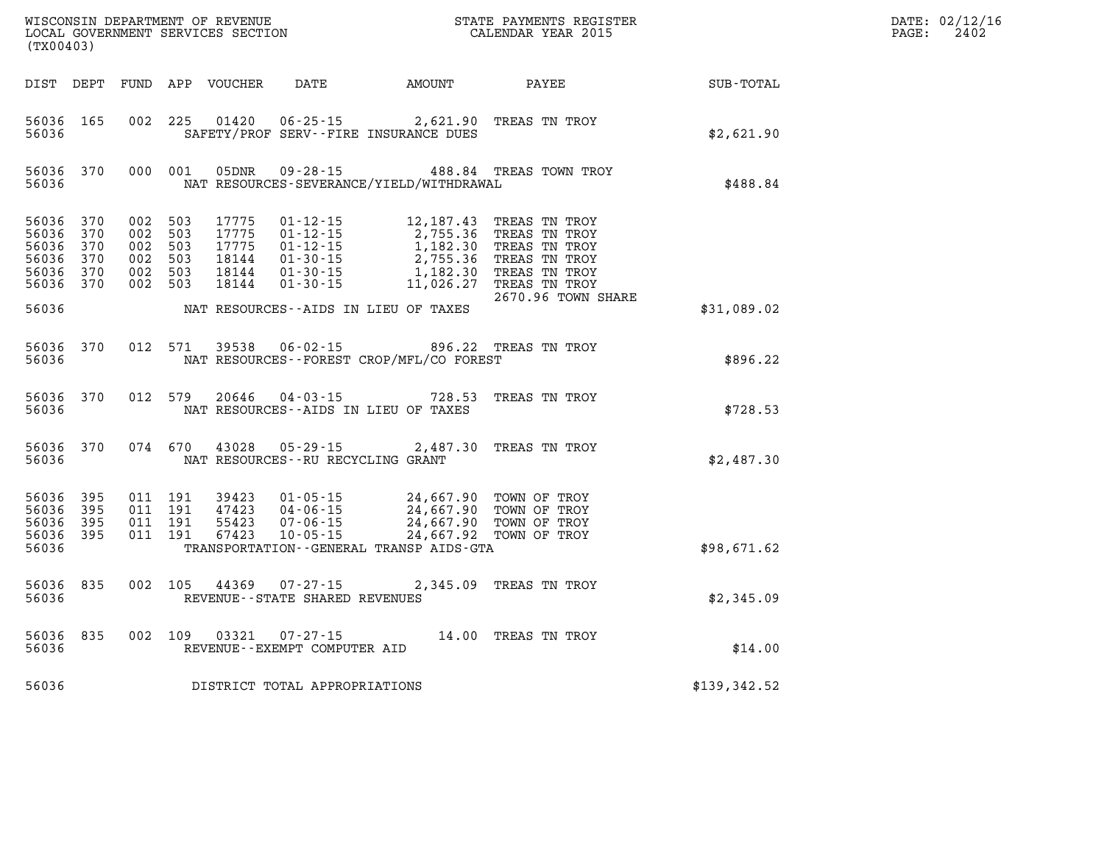| (TX00403)                                                      |                   |                                                                |         |               |                                                        |                                                                                                                                                                                                                         | ${\tt WISCONSIM\ DEPARTMENT\ OF\ REVENUE}\qquad \qquad {\tt STATE\ PAYMENTS\ REGISTER} \\ {\tt LOCAL\ GOVERNMENT\ SERVICES\ SECTION}\qquad \qquad {\tt CALENDAR\ YEAR\ 2015}$                                                                                 |              | DATE: 02/12/16<br>PAGE:<br>2402 |
|----------------------------------------------------------------|-------------------|----------------------------------------------------------------|---------|---------------|--------------------------------------------------------|-------------------------------------------------------------------------------------------------------------------------------------------------------------------------------------------------------------------------|---------------------------------------------------------------------------------------------------------------------------------------------------------------------------------------------------------------------------------------------------------------|--------------|---------------------------------|
|                                                                |                   |                                                                |         |               |                                                        | DIST DEPT FUND APP VOUCHER DATE AMOUNT PAYEE                                                                                                                                                                            |                                                                                                                                                                                                                                                               | SUB-TOTAL    |                                 |
| 56036 165<br>56036                                             |                   |                                                                |         |               |                                                        | 002 225 01420 06-25-15 2,621.90 TREAS TN TROY<br>SAFETY/PROF SERV--FIRE INSURANCE DUES                                                                                                                                  |                                                                                                                                                                                                                                                               | \$2,621.90   |                                 |
| 56036 370<br>56036                                             |                   | 000 001                                                        |         | 05DNR         |                                                        | NAT RESOURCES-SEVERANCE/YIELD/WITHDRAWAL                                                                                                                                                                                | 09-28-15 488.84 TREAS TOWN TROY                                                                                                                                                                                                                               | \$488.84     |                                 |
| 56036 370<br>56036<br>56036<br>56036<br>56036 370<br>56036 370 | 370<br>370<br>370 | 002 503<br>002 503<br>002 503<br>002 503<br>002 503<br>002 503 |         |               |                                                        |                                                                                                                                                                                                                         | 17775  01-12-15  12,187.43  TREAS  TN TROY<br>17775  01-12-15  2,755.36  TREAS  TN TROY<br>17775  01-12-15  1,182.30  TREAS  TN TROY<br>18144  01-30-15  1,182.30  TREAS  TN TROY<br>18144  01-30-15  1,182.30  TREAS  TN TROY<br>18144<br>2670.96 TOWN SHARE |              |                                 |
| 56036                                                          |                   |                                                                |         |               |                                                        | NAT RESOURCES--AIDS IN LIEU OF TAXES                                                                                                                                                                                    |                                                                                                                                                                                                                                                               | \$31,089.02  |                                 |
| 56036 370<br>56036                                             |                   |                                                                | 012 571 | 39538         |                                                        | 06-02-15 896.22 TREAS TN TROY<br>NAT RESOURCES - - FOREST CROP/MFL/CO FOREST                                                                                                                                            |                                                                                                                                                                                                                                                               | \$896.22     |                                 |
| 56036                                                          | 56036 370         |                                                                | 012 579 | 20646         |                                                        | NAT RESOURCES -- AIDS IN LIEU OF TAXES                                                                                                                                                                                  | 04-03-15 728.53 TREAS TN TROY                                                                                                                                                                                                                                 | \$728.53     |                                 |
| 56036 370<br>56036                                             |                   | 074 670                                                        |         | 43028         | $05 - 29 - 15$<br>NAT RESOURCES - - RU RECYCLING GRANT |                                                                                                                                                                                                                         | 2,487.30 TREAS TN TROY                                                                                                                                                                                                                                        | \$2,487.30   |                                 |
| 56036 395<br>56036<br>56036<br>56036 395<br>56036              | - 395<br>- 395    | 011 191<br>011 191<br>011 191<br>011 191                       |         |               |                                                        | 39423  01-05-15  24,667.90  TOWN OF TROY<br>47423  04-06-15  24,667.90  TOWN OF TROY<br>55423  07-06-15  24,667.90  TOWN OF TROY<br>67423  10-05-15  24,667.92  TOWN OF TROY<br>TRANSPORTATION--GENERAL TRANSP AIDS-GTA | 24,667.92 TOWN OF TROY                                                                                                                                                                                                                                        | \$98,671.62  |                                 |
| 56036 835<br>56036                                             |                   | 002 105                                                        |         |               | 44369 07-27-15<br>REVENUE - - STATE SHARED REVENUES    |                                                                                                                                                                                                                         | 2,345.09 TREAS TN TROY                                                                                                                                                                                                                                        | \$2,345.09   |                                 |
| 56036                                                          | 56036 835         |                                                                |         | 002 109 03321 | REVENUE--EXEMPT COMPUTER AID                           | 07-27-15 14.00 TREAS TN TROY                                                                                                                                                                                            |                                                                                                                                                                                                                                                               | \$14.00      |                                 |
| 56036                                                          |                   |                                                                |         |               | DISTRICT TOTAL APPROPRIATIONS                          |                                                                                                                                                                                                                         |                                                                                                                                                                                                                                                               | \$139,342.52 |                                 |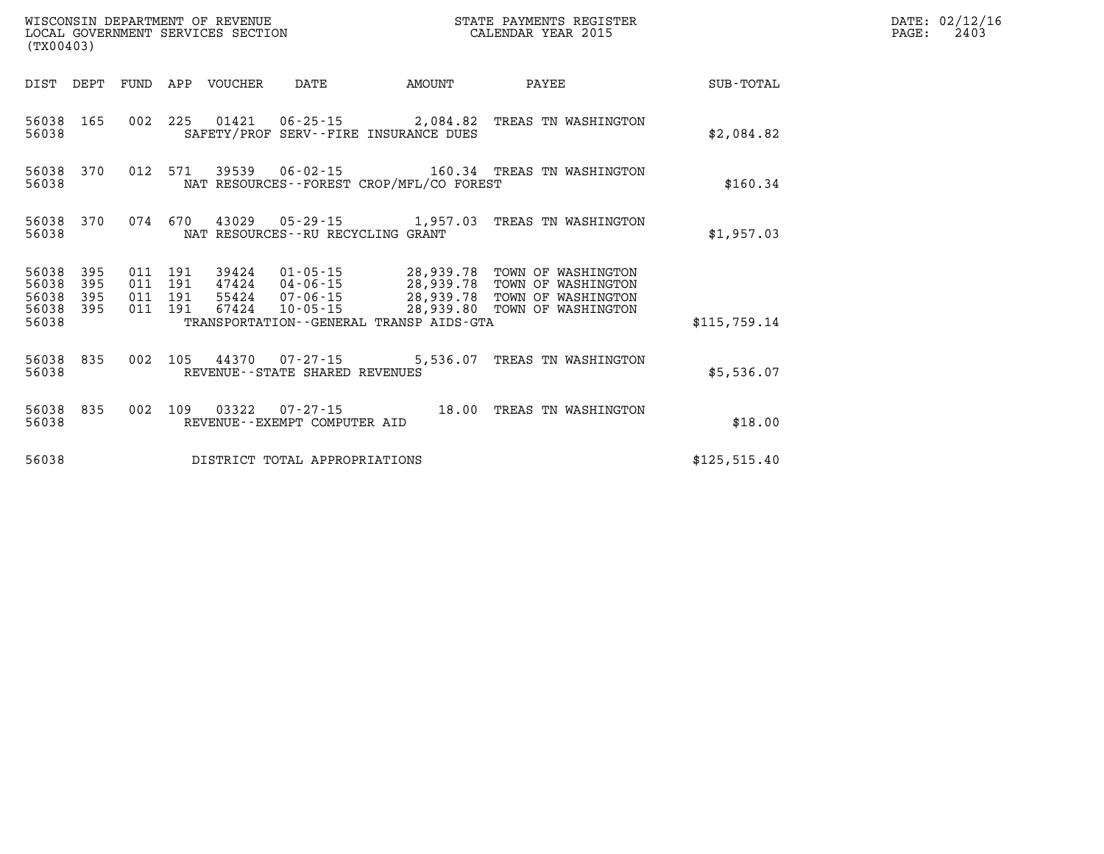| (TX00403)               |                   |                               |  |                            |                                   |                                             | STATE PAYMENTS REGISTER                                                                                                                                                                              |               | DATE: 02/12/16<br>2403<br>$\mathtt{PAGE:}$ |
|-------------------------|-------------------|-------------------------------|--|----------------------------|-----------------------------------|---------------------------------------------|------------------------------------------------------------------------------------------------------------------------------------------------------------------------------------------------------|---------------|--------------------------------------------|
|                         |                   |                               |  | DIST DEPT FUND APP VOUCHER | DATE                              | <b>EXAMPLE THE PROPERTY OF AMOUNT</b>       | PAYEE                                                                                                                                                                                                | SUB-TOTAL     |                                            |
| 56038 165<br>56038      |                   |                               |  |                            |                                   | SAFETY/PROF SERV--FIRE INSURANCE DUES       | 002 225 01421 06-25-15 2,084.82 TREAS TN WASHINGTON                                                                                                                                                  | \$2.084.82    |                                            |
| 56038 370<br>56038      |                   |                               |  |                            |                                   | NAT RESOURCES - - FOREST CROP/MFL/CO FOREST | 012 571 39539 06-02-15 160.34 TREAS TN WASHINGTON                                                                                                                                                    | \$160.34      |                                            |
| 56038 370<br>56038      |                   |                               |  |                            | NAT RESOURCES--RU RECYCLING GRANT |                                             | 074 670 43029 05-29-15 1,957.03 TREAS TN WASHINGTON                                                                                                                                                  | \$1,957.03    |                                            |
| 56038<br>56038<br>56038 | 395<br>395<br>395 | 011 191<br>011 191<br>011 191 |  |                            |                                   |                                             | 39424  01-05-15  28,939.78  TOWN OF WASHINGTON<br>47424  04-06-15  28,939.78  TOWN OF WASHINGTON<br>55424  07-06-15  28,939.78  TOWN OF WASHINGTON<br>67424  10-05-15  28,939.80  TOWN OF WASHINGTON |               |                                            |
| 56038 395<br>56038      |                   | 011 191                       |  |                            |                                   | TRANSPORTATION--GENERAL TRANSP AIDS-GTA     |                                                                                                                                                                                                      | \$115.759.14  |                                            |
| 56038                   |                   |                               |  |                            | REVENUE - - STATE SHARED REVENUES |                                             | 56038 835 002 105 44370 07-27-15 5,536.07 TREAS TN WASHINGTON                                                                                                                                        | \$5,536.07    |                                            |
| 56038                   | 56038 835         |                               |  |                            | REVENUE--EXEMPT COMPUTER AID      |                                             | 002 109 03322 07-27-15 18.00 TREAS TN WASHINGTON                                                                                                                                                     | \$18.00       |                                            |
| 56038                   |                   |                               |  |                            | DISTRICT TOTAL APPROPRIATIONS     |                                             |                                                                                                                                                                                                      | \$125, 515.40 |                                            |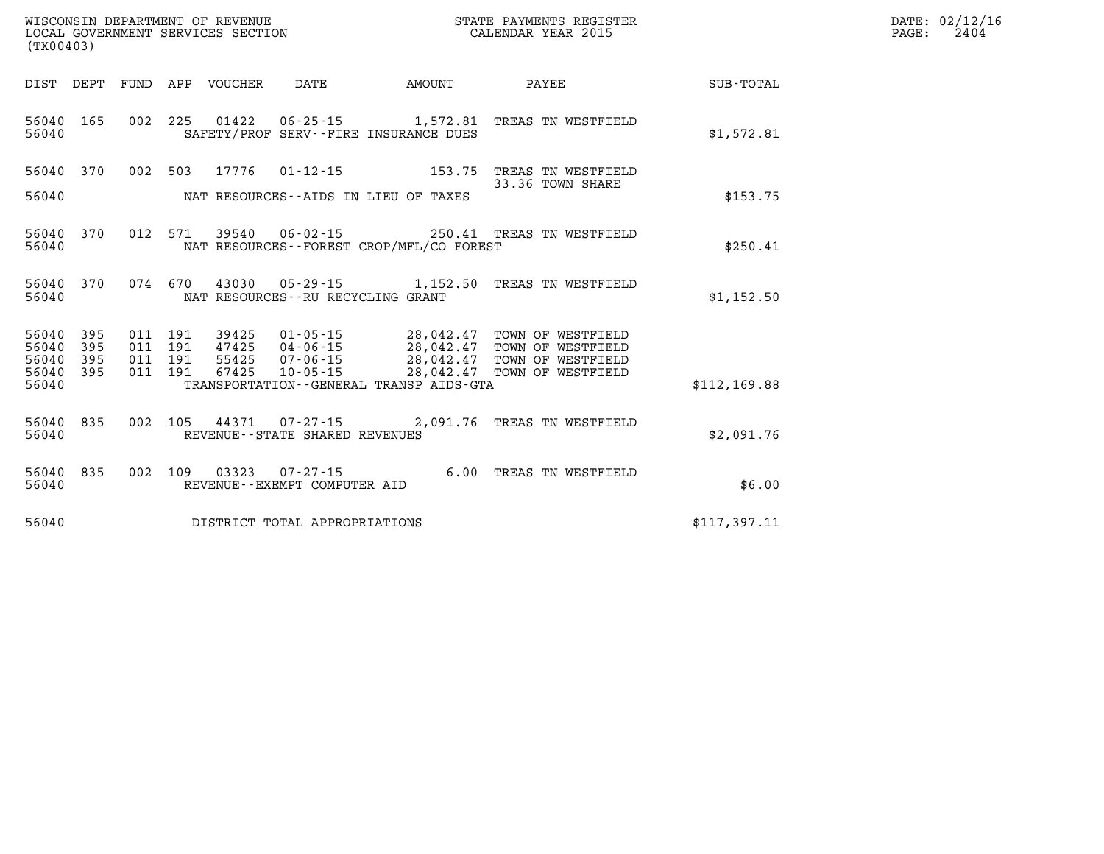| (TX00403)               |                   |                   | WISCONSIN DEPARTMENT OF REVENUE<br>LOCAL GOVERNMENT SERVICES SECTION |                                                         | STATE PAYMENTS REGISTER<br>CALENDAR YEAR 2015        |                                                             |                  |  |  |
|-------------------------|-------------------|-------------------|----------------------------------------------------------------------|---------------------------------------------------------|------------------------------------------------------|-------------------------------------------------------------|------------------|--|--|
| DIST                    | DEPT              | FUND              | APP<br>VOUCHER                                                       | DATE                                                    | AMOUNT                                               | PAYEE                                                       | <b>SUB-TOTAL</b> |  |  |
| 56040<br>56040          | 165               | 002               | 225<br>01422                                                         | $06 - 25 - 15$<br>SAFETY/PROF SERV--FIRE INSURANCE DUES | 1,572.81                                             | TREAS TN WESTFIELD                                          | \$1,572.81       |  |  |
| 56040                   | 370               | 002               | 17776<br>503                                                         | $01 - 12 - 15$                                          | 153.75                                               | TREAS TN WESTFIELD<br>33.36 TOWN SHARE                      |                  |  |  |
| 56040                   |                   |                   |                                                                      | NAT RESOURCES - AIDS IN LIEU OF TAXES                   |                                                      |                                                             | \$153.75         |  |  |
| 56040<br>56040          | 370               | 012               | 571<br>39540                                                         | $06 - 02 - 15$                                          | NAT RESOURCES - - FOREST CROP/MFL/CO FOREST          | 250.41 TREAS TN WESTFIELD                                   | \$250.41         |  |  |
| 56040<br>56040          | 370               | 074               | 670<br>43030                                                         | $05 - 29 - 15$<br>NAT RESOURCES - - RU RECYCLING GRANT  | 1,152.50                                             | TREAS TN WESTFIELD                                          | \$1,152.50       |  |  |
| 56040<br>56040<br>56040 | 395<br>395<br>395 | 011<br>011<br>011 | 191<br>39425<br>191<br>47425<br>191<br>55425                         | $01 - 05 - 15$<br>$04 - 06 - 15$<br>$07 - 06 - 15$      | 28,042.47<br>28,042.47<br>28,042.47                  | TOWN OF WESTFIELD<br>TOWN OF WESTFIELD<br>TOWN OF WESTFIELD |                  |  |  |
| 56040<br>56040          | 395               | 011               | 191<br>67425                                                         | $10 - 05 - 15$                                          | 28,042.47<br>TRANSPORTATION--GENERAL TRANSP AIDS-GTA | TOWN OF WESTFIELD                                           | \$112, 169.88    |  |  |
| 56040<br>56040          | 835               | 002               | 105<br>44371                                                         | $07 - 27 - 15$<br>REVENUE - - STATE SHARED REVENUES     | 2,091.76                                             | TREAS TN WESTFIELD                                          | \$2,091.76       |  |  |
| 56040<br>56040          | 835               | 002               | 03323<br>109                                                         | $07 - 27 - 15$<br>REVENUE - - EXEMPT COMPUTER AID       | 6.00                                                 | TREAS TN WESTFIELD                                          | \$6.00           |  |  |
| 56040                   |                   |                   |                                                                      | DISTRICT TOTAL APPROPRIATIONS                           |                                                      |                                                             | \$117,397.11     |  |  |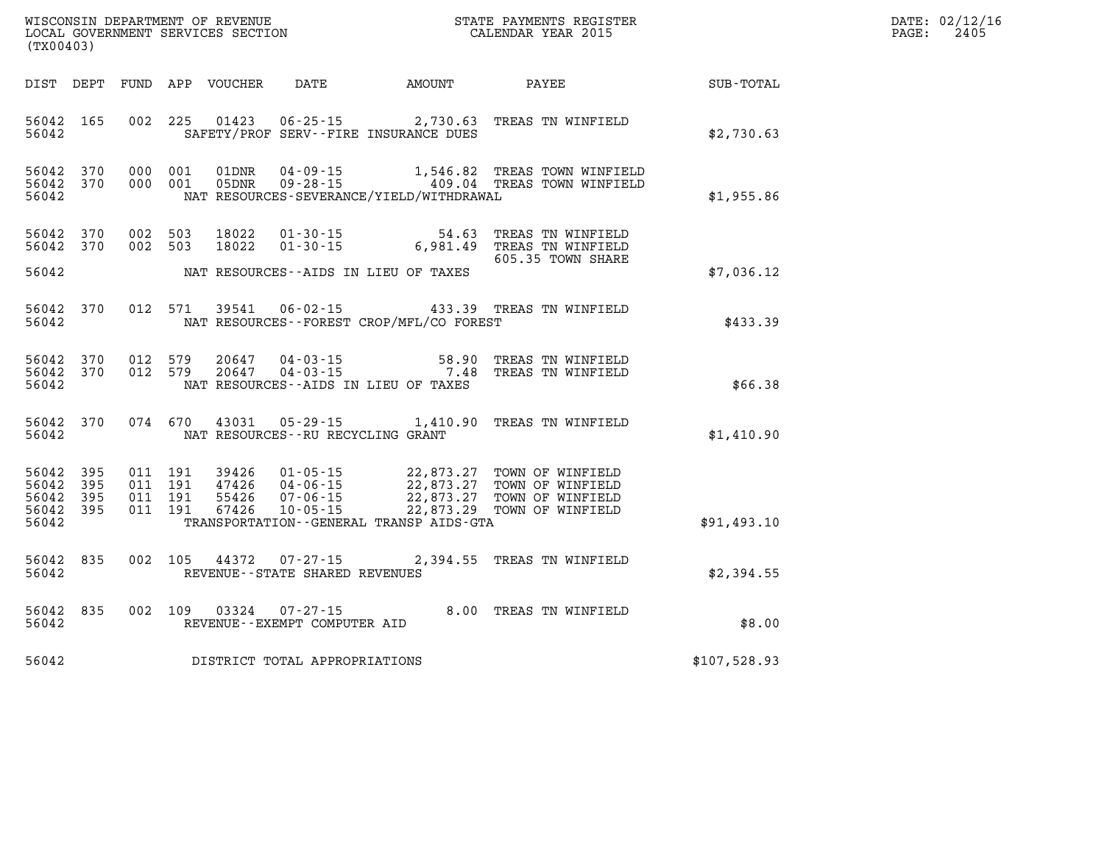| WISCONSIN DEPARTMENT OF REVENUE      | PAYMENTS REGISTER<br>3TATE | DATE: | 02/12/16 |
|--------------------------------------|----------------------------|-------|----------|
| GOVERNMENT SERVICES SECTION<br>LOCAL | CALENDAR YEAR 2015         | PAGE  | 2405     |

| (TX00403)                                         |            |  | LOCAL GOVERNMENT SERVICES SECTION |                                                          |                                             | CALENDAR YEAR 2015                                                                                                                                                                                               |                                                        | PAGE: | 2405 |
|---------------------------------------------------|------------|--|-----------------------------------|----------------------------------------------------------|---------------------------------------------|------------------------------------------------------------------------------------------------------------------------------------------------------------------------------------------------------------------|--------------------------------------------------------|-------|------|
|                                                   |            |  |                                   |                                                          |                                             |                                                                                                                                                                                                                  | DIST DEPT FUND APP VOUCHER DATE AMOUNT PAYEE SUB-TOTAL |       |      |
| 56042                                             | 56042 165  |  |                                   |                                                          | SAFETY/PROF SERV--FIRE INSURANCE DUES       | 002 225 01423 06-25-15 2,730.63 TREAS TN WINFIELD                                                                                                                                                                | \$2,730.63                                             |       |      |
| 56042 370<br>56042                                | 56042 370  |  |                                   |                                                          | NAT RESOURCES-SEVERANCE/YIELD/WITHDRAWAL    | 000 001 01DNR 04-09-15 1,546.82 TREAS TOWN WINFIELD<br>000 001 05DNR 09-28-15 409.04 TREAS TOWN WINFIELD                                                                                                         | \$1,955.86                                             |       |      |
| 56042 370<br>56042 370                            |            |  |                                   |                                                          |                                             | 002 503 18022 01-30-15 54.63 TREAS TN WINFIELD<br>002 503 18022 01-30-15 6,981.49 TREAS TN WINFIELD                                                                                                              |                                                        |       |      |
| 56042                                             |            |  |                                   |                                                          | NAT RESOURCES--AIDS IN LIEU OF TAXES        | 605.35 TOWN SHARE                                                                                                                                                                                                | \$7,036.12                                             |       |      |
| 56042                                             | 56042 370  |  |                                   |                                                          | NAT RESOURCES - - FOREST CROP/MFL/CO FOREST | 012 571 39541 06-02-15 433.39 TREAS TN WINFIELD                                                                                                                                                                  | \$433.39                                               |       |      |
| 56042                                             |            |  |                                   |                                                          | NAT RESOURCES--AIDS IN LIEU OF TAXES        | 56042 370 012 579 20647 04-03-15 58.90 TREAS TN WINFIELD<br>56042 370 012 579 20647 04-03-15 7.48 TREAS TN WINFIELD                                                                                              | \$66.38                                                |       |      |
| 56042                                             |            |  |                                   | NAT RESOURCES--RU RECYCLING GRANT                        |                                             | 56042 370 074 670 43031 05-29-15 1,410.90 TREAS TN WINFIELD                                                                                                                                                      | \$1,410.90                                             |       |      |
| 56042 395<br>56042<br>56042<br>56042 395<br>56042 | 395<br>395 |  |                                   |                                                          | TRANSPORTATION--GENERAL TRANSP AIDS-GTA     | 011 191 39426 01-05-15 22,873.27 TOWN OF WINFIELD<br>011 191 47426 04-06-15 22,873.27 TOWN OF WINFIELD<br>011 191 55426 07-06-15 22,873.27 TOWN OF WINFIELD<br>011 191 67426 10-05-15 22,873.29 TOWN OF WINFIELD | \$91,493.10                                            |       |      |
| 56042 835<br>56042                                |            |  |                                   | 002 105 44372 07-27-15<br>REVENUE--STATE SHARED REVENUES |                                             | 2,394.55 TREAS TN WINFIELD                                                                                                                                                                                       | \$2,394.55                                             |       |      |
| 56042                                             | 56042 835  |  |                                   | REVENUE--EXEMPT COMPUTER AID                             |                                             | 002 109 03324 07-27-15 8.00 TREAS TN WINFIELD                                                                                                                                                                    | \$8.00                                                 |       |      |
| 56042                                             |            |  |                                   | DISTRICT TOTAL APPROPRIATIONS                            |                                             |                                                                                                                                                                                                                  | \$107,528.93                                           |       |      |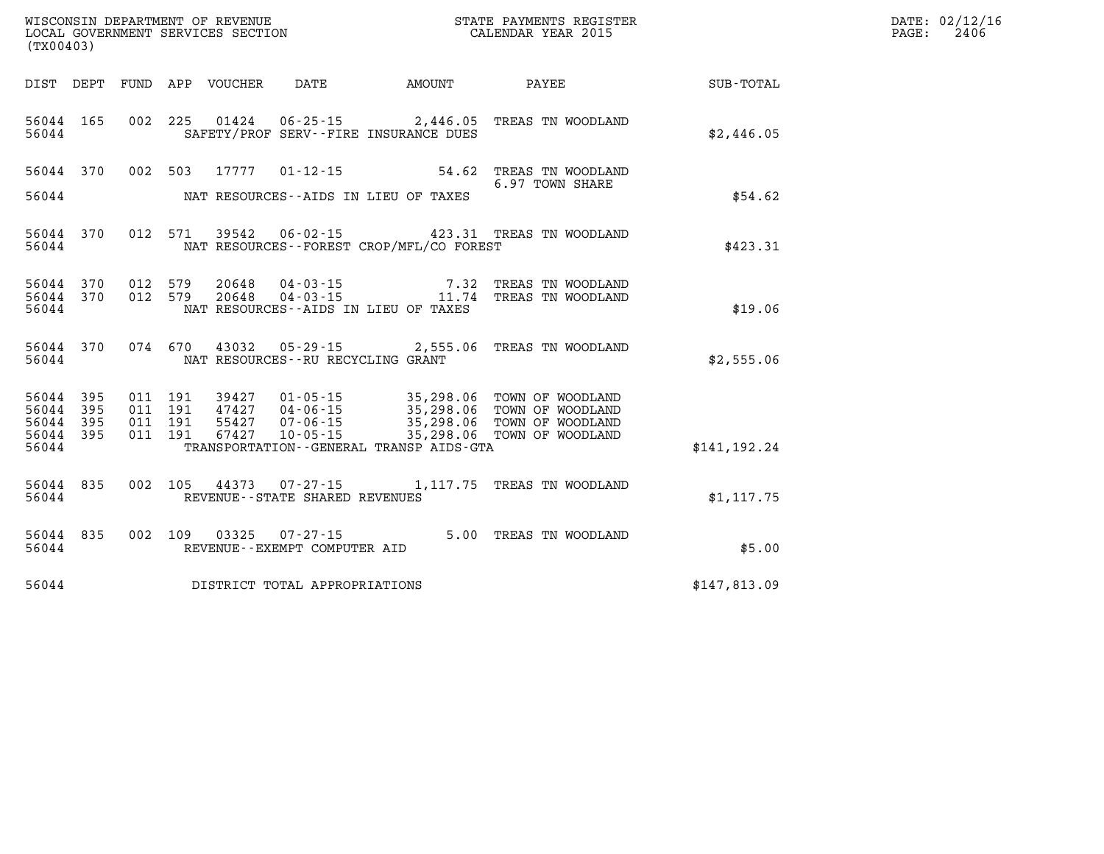| (TX00403)                           |           |                               |         |                                      |                                          | WISCONSIN DEPARTMENT OF REVENUE<br>LOCAL GOVERNMENT SERVICES SECTION FOR THE STATE PAYMENTS REGISTER<br>(TX00403)                                                                            |               | DATE: 02/12/16<br>$\mathtt{PAGE:}$<br>2406 |
|-------------------------------------|-----------|-------------------------------|---------|--------------------------------------|------------------------------------------|----------------------------------------------------------------------------------------------------------------------------------------------------------------------------------------------|---------------|--------------------------------------------|
|                                     |           |                               |         |                                      | DIST DEPT FUND APP VOUCHER DATE AMOUNT   | PAYEE SUB-TOTAL                                                                                                                                                                              |               |                                            |
| 56044                               | 56044 165 |                               |         |                                      | SAFETY/PROF SERV--FIRE INSURANCE DUES    | 002 225 01424 06-25-15 2,446.05 TREAS TN WOODLAND                                                                                                                                            | \$2,446.05    |                                            |
|                                     |           |                               |         | 56044 370 002 503 17777 01-12-15     |                                          | 54.62 TREAS TN WOODLAND<br>6.97 TOWN SHARE                                                                                                                                                   |               |                                            |
| 56044                               |           |                               |         |                                      | NAT RESOURCES--AIDS IN LIEU OF TAXES     |                                                                                                                                                                                              | \$54.62       |                                            |
| 56044                               | 56044 370 |                               |         |                                      | NAT RESOURCES--FOREST CROP/MFL/CO FOREST | 012 571 39542 06-02-15 423.31 TREAS TN WOODLAND                                                                                                                                              | \$423.31      |                                            |
|                                     | 56044 370 | 56044 370 012 579             | 012 579 |                                      |                                          | $\begin{array}{cccc}\n 20648 & 04-03-15 & 7.32 & \text{TREAS TN WOODLAND} \\  20648 & 04-03-15 & 11.74 & \text{TREAS TN WOODLAND}\n \end{array}$                                             |               |                                            |
| 56044                               |           |                               |         |                                      | NAT RESOURCES--AIDS IN LIEU OF TAXES     |                                                                                                                                                                                              | \$19.06       |                                            |
| 56044                               |           |                               |         | NAT RESOURCES - - RU RECYCLING GRANT |                                          | 56044 370 074 670 43032 05-29-15 2,555.06 TREAS TN WOODLAND                                                                                                                                  | \$2,555.06    |                                            |
| 56044 395<br>56044 395<br>56044 395 |           | 011 191<br>011 191<br>011 191 |         |                                      |                                          | 39427  01-05-15  35,298.06  TOWN OF WOODLAND<br>47427  04-06-15  35,298.06  TOWN OF WOODLAND<br>55427  07-06-15  35,298.06  TOWN OF WOODLAND<br>67427  10-05-15  35,298.06  TOWN OF WOODLAND |               |                                            |
| 56044 395<br>56044                  |           | 011 191                       |         |                                      | TRANSPORTATION--GENERAL TRANSP AIDS-GTA  |                                                                                                                                                                                              | \$141, 192.24 |                                            |
| 56044                               |           |                               |         | REVENUE--STATE SHARED REVENUES       |                                          | 56044 835 002 105 44373 07-27-15 1,117.75 TREAS TN WOODLAND                                                                                                                                  | \$1,117.75    |                                            |
| 56044                               |           |                               |         | REVENUE--EXEMPT COMPUTER AID         |                                          | 56044 835 002 109 03325 07-27-15 5.00 TREAS TN WOODLAND                                                                                                                                      | \$5.00        |                                            |
| 56044                               |           |                               |         | DISTRICT TOTAL APPROPRIATIONS        |                                          |                                                                                                                                                                                              | \$147,813.09  |                                            |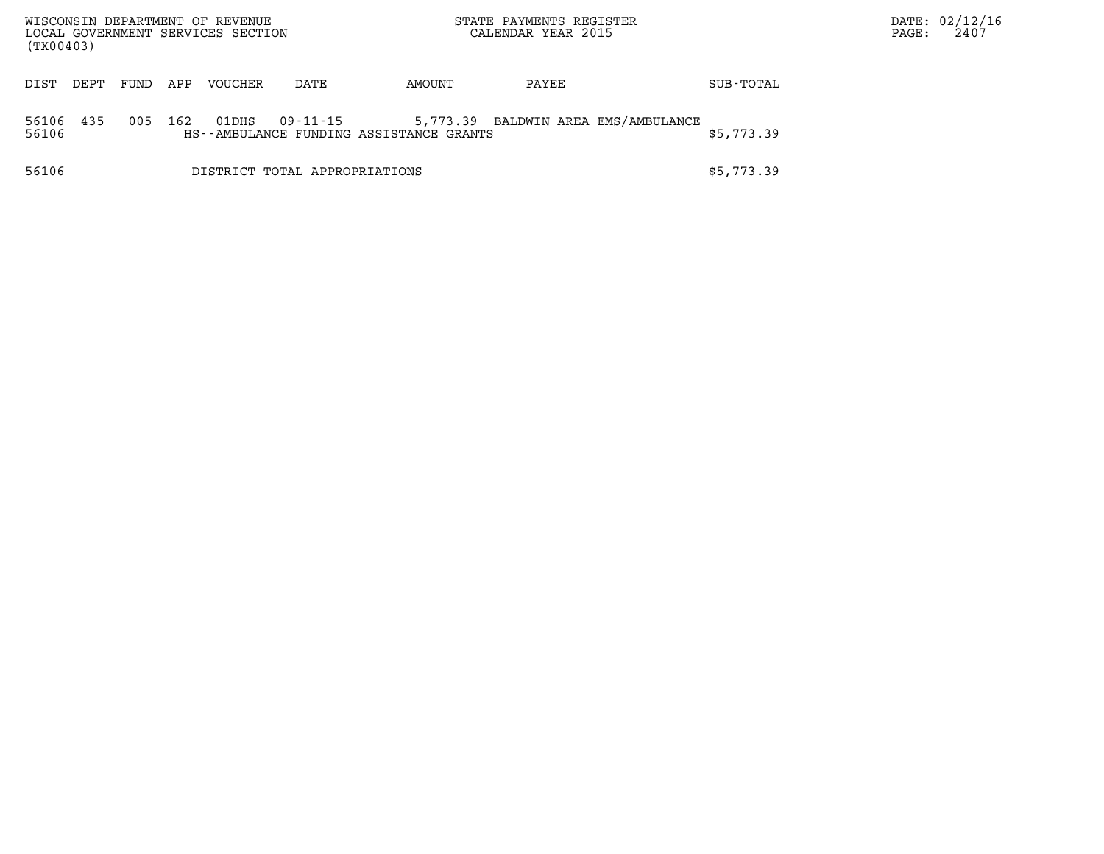| WISCONSIN DEPARTMENT OF REVENUE<br>LOCAL GOVERNMENT SERVICES SECTION<br>(TX00403) |      |      |     |                |                               | STATE PAYMENTS REGISTER<br>CALENDAR YEAR 2015 |                                     |  |            | PAGE: | DATE: 02/12/16<br>2407 |
|-----------------------------------------------------------------------------------|------|------|-----|----------------|-------------------------------|-----------------------------------------------|-------------------------------------|--|------------|-------|------------------------|
| DIST                                                                              | DEPT | FUND | APP | <b>VOUCHER</b> | DATE                          | AMOUNT                                        | PAYEE                               |  | SUB-TOTAL  |       |                        |
| 56106<br>56106                                                                    | 435  | 005  | 162 | 01DHS          | 09-11-15                      | HS--AMBULANCE FUNDING ASSISTANCE GRANTS       | 5,773.39 BALDWIN AREA EMS/AMBULANCE |  | \$5,773.39 |       |                        |
| 56106                                                                             |      |      |     |                | DISTRICT TOTAL APPROPRIATIONS |                                               |                                     |  | \$5,773.39 |       |                        |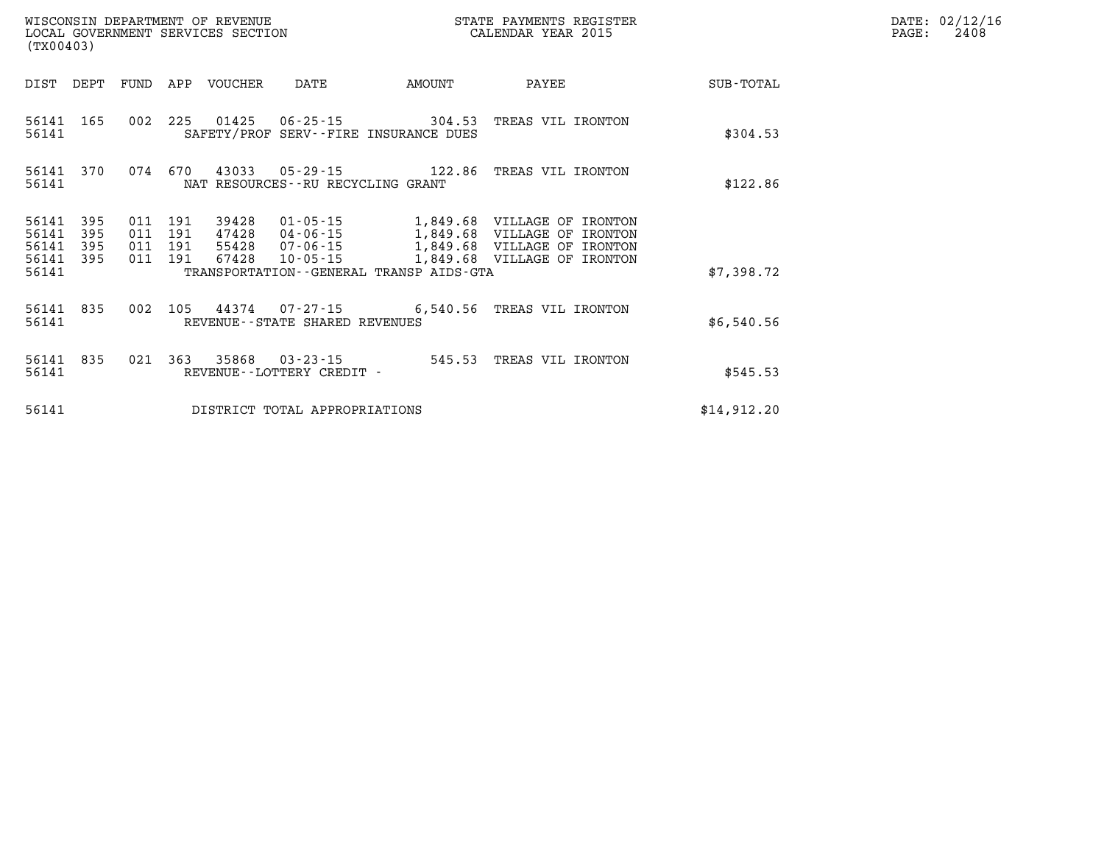| (TX00403)          |                |                    |     | WISCONSIN DEPARTMENT OF REVENUE<br>LOCAL GOVERNMENT SERVICES SECTION |                                      |                                                                    | STATE PAYMENTS REGISTER<br>CALENDAR YEAR 2015     |             | DATE: 02/12/16<br>2408<br>PAGE: |
|--------------------|----------------|--------------------|-----|----------------------------------------------------------------------|--------------------------------------|--------------------------------------------------------------------|---------------------------------------------------|-------------|---------------------------------|
|                    | DIST DEPT FUND |                    |     | APP VOUCHER                                                          | DATE                                 | <b>AMOUNT</b>                                                      | PAYEE                                             | SUB-TOTAL   |                                 |
| 56141 165<br>56141 |                | 002                | 225 |                                                                      |                                      | 01425   06-25-15   304.53<br>SAFETY/PROF SERV--FIRE INSURANCE DUES | TREAS VIL IRONTON                                 | \$304.53    |                                 |
| 56141              |                | 56141 370 074 670  |     |                                                                      | NAT RESOURCES - - RU RECYCLING GRANT |                                                                    | 43033  05-29-15  122.86  TREAS VIL IRONTON        | \$122.86    |                                 |
| 56141              | 395            | 011                | 191 | 39428                                                                | 01-05-15                             |                                                                    | 1,849.68 VILLAGE OF IRONTON                       |             |                                 |
| 56141<br>56141     | 395<br>395     | 011 191<br>011 191 |     |                                                                      |                                      |                                                                    | 47428  04-06-15   1,849.68   VILLAGE OF IRONTON   |             |                                 |
| 56141 395<br>56141 |                | 011 191            |     | 67428                                                                | 10-05-15                             | TRANSPORTATION--GENERAL TRANSP AIDS-GTA                            | 1,849.68 VILLAGE OF IRONTON                       | \$7,398.72  |                                 |
| 56141 835<br>56141 |                | 002                |     |                                                                      | REVENUE--STATE SHARED REVENUES       |                                                                    | 105  44374  07-27-15  6,540.56  TREAS VIL IRONTON | \$6,540.56  |                                 |
| 56141 835<br>56141 |                | 021 363            |     |                                                                      | REVENUE--LOTTERY CREDIT -            |                                                                    | 35868  03-23-15  545.53  TREAS VIL IRONTON        | \$545.53    |                                 |
| 56141              |                |                    |     |                                                                      | DISTRICT TOTAL APPROPRIATIONS        |                                                                    |                                                   | \$14,912.20 |                                 |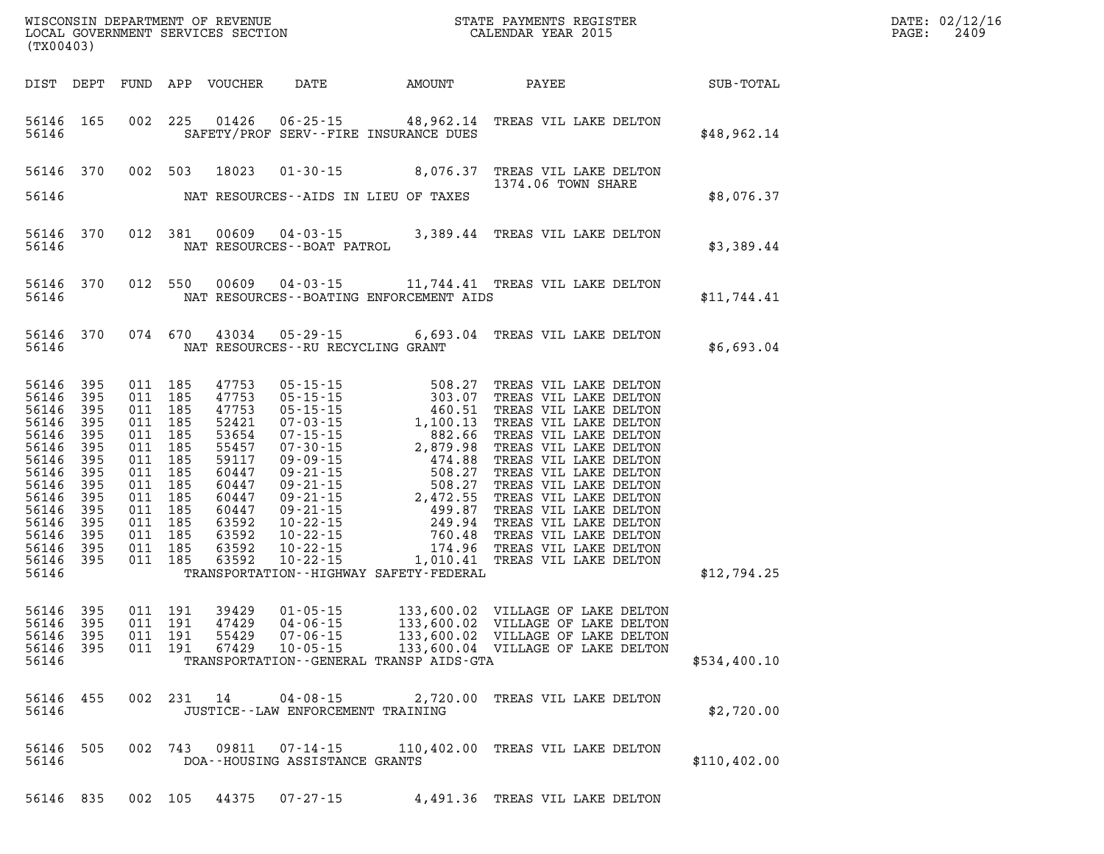|                | (TX00403)                                                                                                                                                                                       |     |                                                                                                                                                               |                                                                                                                                     |                                         |                                               |                                                                                                                                                                           | $\mathbb{R}^n$ | DATE: 02/12/16<br>PAGE:<br>2409 |
|----------------|-------------------------------------------------------------------------------------------------------------------------------------------------------------------------------------------------|-----|---------------------------------------------------------------------------------------------------------------------------------------------------------------|-------------------------------------------------------------------------------------------------------------------------------------|-----------------------------------------|-----------------------------------------------|---------------------------------------------------------------------------------------------------------------------------------------------------------------------------|----------------|---------------------------------|
|                |                                                                                                                                                                                                 |     |                                                                                                                                                               |                                                                                                                                     |                                         |                                               | DIST DEPT FUND APP VOUCHER DATE AMOUNT PAYEE SUB-TOTAL                                                                                                                    |                |                                 |
| 56146          | 56146 165                                                                                                                                                                                       |     |                                                                                                                                                               |                                                                                                                                     |                                         | SAFETY/PROF SERV--FIRE INSURANCE DUES         | 002 225 01426 06-25-15 48,962.14 TREAS VIL LAKE DELTON                                                                                                                    | \$48,962.14    |                                 |
|                |                                                                                                                                                                                                 |     |                                                                                                                                                               | 56146 370 002 503 18023                                                                                                             |                                         |                                               | 01-30-15 8,076.37 TREAS VIL LAKE DELTON<br>1374.06 TOWN SHARE                                                                                                             |                |                                 |
|                |                                                                                                                                                                                                 |     |                                                                                                                                                               |                                                                                                                                     |                                         | 56146 MAT RESOURCES--AIDS IN LIEU OF TAXES    |                                                                                                                                                                           | \$8,076.37     |                                 |
|                |                                                                                                                                                                                                 |     |                                                                                                                                                               |                                                                                                                                     |                                         |                                               | $\begin{tabular}{llllll} 56146 & 370 & 012 & 381 & 00609 & 04-03-15 & 3,389.44 & \texttt{TREAS VIL LAKE DELTON} \\ & \texttt{NAT RESOURCES--BORT PATROL} & \end{tabular}$ | \$3,389.44     |                                 |
|                |                                                                                                                                                                                                 |     |                                                                                                                                                               |                                                                                                                                     |                                         | 56146 MAT RESOURCES--BOATING ENFORCEMENT AIDS | 56146 370 012 550 00609 04-03-15 11,744.41 TREAS VIL LAKE DELTON                                                                                                          | \$11,744.41    |                                 |
|                |                                                                                                                                                                                                 |     |                                                                                                                                                               |                                                                                                                                     | 56146 MAT RESOURCES--RU RECYCLING GRANT |                                               | 56146 370 074 670 43034 05-29-15 6,693.04 TREAS VIL LAKE DELTON                                                                                                           | \$6,693.04     |                                 |
| 56146          | 56146 395<br>56146 395<br>56146 395<br>56146 395<br>56146 395<br>56146 395<br>56146 395<br>56146 395<br>56146 395<br>56146 395<br>56146 395<br>56146 395<br>56146 395<br>56146 395<br>56146 395 | 011 | 011 185<br>011 185<br>011 185<br>011 185<br>011 185<br>011 185<br>011 185<br>011 185<br>185<br>011 185<br>011 185<br>011 185<br>011 185<br>011 185<br>011 185 | 47753<br>47753<br>47753<br>52421<br>53654<br>55457<br>59117<br>60447<br>60447<br>60447<br>60447<br>63592<br>63592<br>63592<br>63592 |                                         | TRANSPORTATION - - HIGHWAY SAFETY - FEDERAL   |                                                                                                                                                                           | \$12,794.25    |                                 |
| 56146          | 56146 395<br>56146 395<br>56146 395<br>56146 395                                                                                                                                                |     | 011 191<br>011 191<br>011 191                                                                                                                                 | 39429<br>47429<br>55429                                                                                                             |                                         | TRANSPORTATION--GENERAL TRANSP AIDS-GTA       | 011 191 67429 10-05-15 133,600.04 VILLAGE OF LAKE DELTON                                                                                                                  | \$534,400.10   |                                 |
| 56146          | 56146 455                                                                                                                                                                                       |     |                                                                                                                                                               |                                                                                                                                     | JUSTICE - - LAW ENFORCEMENT TRAINING    |                                               | 002 231 14 04-08-15 2,720.00 TREAS VIL LAKE DELTON                                                                                                                        | \$2,720.00     |                                 |
| 56146<br>56146 | 505                                                                                                                                                                                             |     |                                                                                                                                                               |                                                                                                                                     | DOA--HOUSING ASSISTANCE GRANTS          |                                               | 002 743 09811 07-14-15 110,402.00 TREAS VIL LAKE DELTON                                                                                                                   | \$110,402.00   |                                 |
|                | 56146 835                                                                                                                                                                                       |     | 002 105                                                                                                                                                       | 44375                                                                                                                               | $07 - 27 - 15$                          |                                               | 4,491.36 TREAS VIL LAKE DELTON                                                                                                                                            |                |                                 |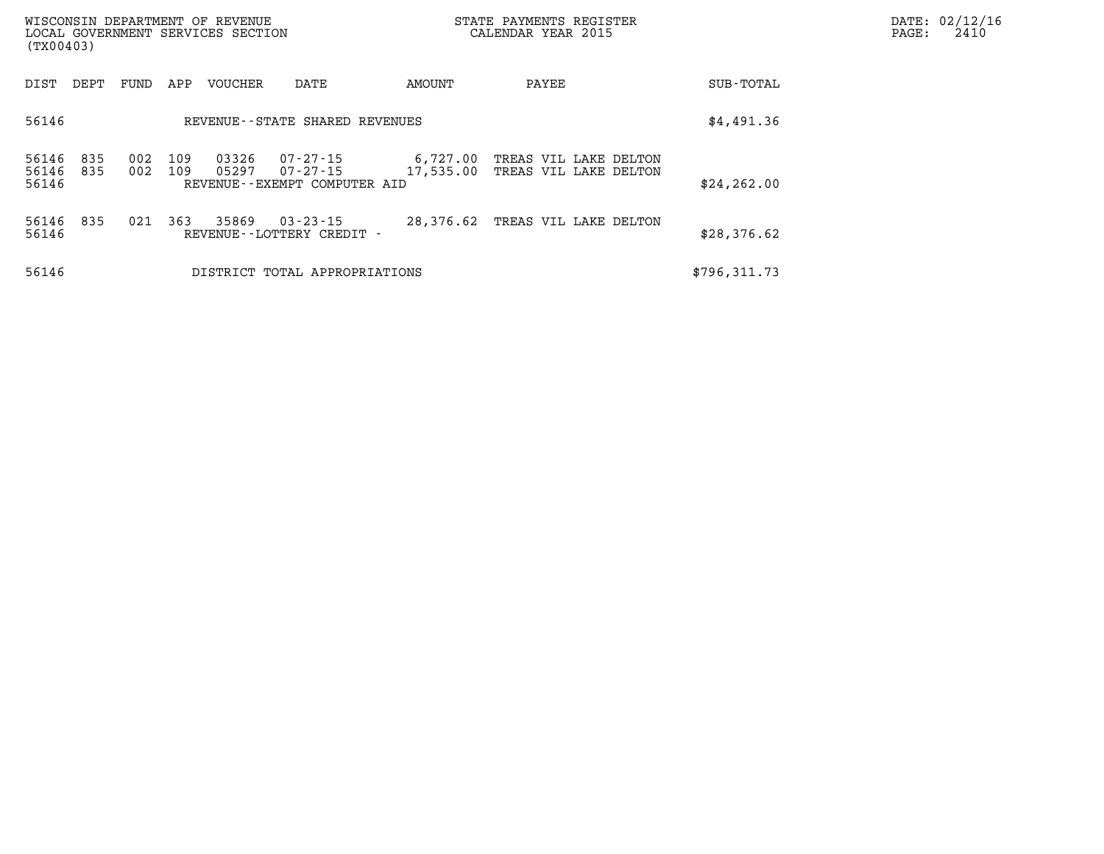| (TX00403)               |            |            |            | WISCONSIN DEPARTMENT OF REVENUE<br>LOCAL GOVERNMENT SERVICES SECTION |                                                      | STATE PAYMENTS REGISTER<br>CALENDAR YEAR 2015 |                                                |  |              | PAGE: | DATE: 02/12/16<br>2410 |
|-------------------------|------------|------------|------------|----------------------------------------------------------------------|------------------------------------------------------|-----------------------------------------------|------------------------------------------------|--|--------------|-------|------------------------|
| DIST                    | DEPT       | FUND       | APP        | VOUCHER                                                              | DATE                                                 | AMOUNT                                        | PAYEE                                          |  | SUB-TOTAL    |       |                        |
| 56146                   |            |            |            |                                                                      | REVENUE - - STATE SHARED REVENUES                    |                                               |                                                |  | \$4,491.36   |       |                        |
| 56146<br>56146<br>56146 | 835<br>835 | 002<br>002 | 109<br>109 | 03326<br>05297                                                       | 07-27-15<br>07-27-15<br>REVENUE--EXEMPT COMPUTER AID | 6,727.00<br>17,535.00                         | TREAS VIL LAKE DELTON<br>TREAS VIL LAKE DELTON |  | \$24, 262.00 |       |                        |
| 56146 835<br>56146      |            | 021        | 363        | 35869                                                                | $03 - 23 - 15$<br>REVENUE - - LOTTERY CREDIT -       | 28,376.62                                     | TREAS VIL LAKE DELTON                          |  | \$28,376.62  |       |                        |
| 56146                   |            |            |            |                                                                      | DISTRICT TOTAL APPROPRIATIONS                        |                                               |                                                |  | \$796,311.73 |       |                        |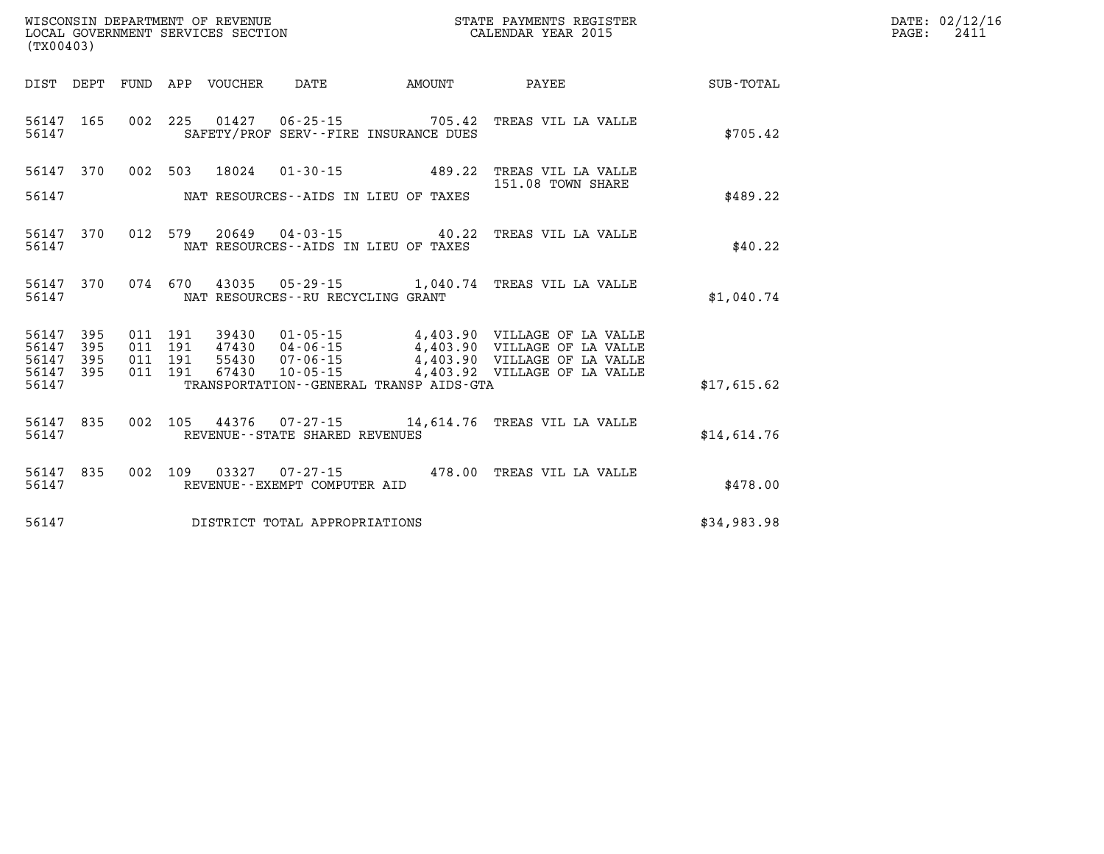| WISCONSIN DEPARTMENT OF REVENUE   | STATE PAYMENTS REGISTER |      | DATE: 02/12/16 |
|-----------------------------------|-------------------------|------|----------------|
| LOCAL GOVERNMENT SERVICES SECTION | CALENDAR YEAR 2015      | PAGE | 241.           |

| (TX00403)                                                             |                          |                                                                                                                                                                                                                                                                                                                    |                  |
|-----------------------------------------------------------------------|--------------------------|--------------------------------------------------------------------------------------------------------------------------------------------------------------------------------------------------------------------------------------------------------------------------------------------------------------------|------------------|
| DIST<br>DEPT                                                          | <b>FUND</b>              | VOUCHER<br>APP<br>DATE<br>AMOUNT<br>PAYEE                                                                                                                                                                                                                                                                          | <b>SUB-TOTAL</b> |
| 165<br>56147<br>56147                                                 | 002                      | 225<br>01427<br>$06 - 25 - 15$<br>705.42<br>TREAS VIL LA VALLE<br>SAFETY/PROF SERV--FIRE INSURANCE DUES                                                                                                                                                                                                            | \$705.42         |
| 56147<br>370<br>56147                                                 | 002                      | 503<br>18024<br>$01 - 30 - 15$<br>489.22<br>TREAS VIL LA VALLE<br>151.08 TOWN SHARE<br>NAT RESOURCES--AIDS IN LIEU OF TAXES                                                                                                                                                                                        | \$489.22         |
| 56147<br>370<br>56147                                                 | 012                      | 579<br>$20649$ $04-03-15$<br>40.22<br>TREAS VIL LA VALLE<br>NAT RESOURCES -- AIDS IN LIEU OF TAXES                                                                                                                                                                                                                 | \$40.22          |
| 370<br>56147<br>56147                                                 | 074                      | 670<br>43035<br>$05 - 29 - 15$ 1,040.74<br>TREAS VIL LA VALLE<br>NAT RESOURCES - - RU RECYCLING GRANT                                                                                                                                                                                                              | \$1,040.74       |
| 395<br>56147<br>56147<br>395<br>56147<br>395<br>56147<br>395<br>56147 | 011<br>011<br>011<br>011 | 191<br>$01 - 05 - 15$<br>4,403.90 VILLAGE OF LA VALLE<br>39430<br>191<br>47430<br>4,403.90<br>04-06-15<br>VILLAGE OF LA VALLE<br>191<br>55430<br>$07 - 06 - 15$<br>4,403.90<br>VILLAGE OF LA VALLE<br>$10 - 05 - 15$<br>191<br>67430<br>4,403.92<br>VILLAGE OF LA VALLE<br>TRANSPORTATION--GENERAL TRANSP AIDS-GTA | \$17,615.62      |
| 835<br>56147<br>56147                                                 | 002                      | 105<br>44376<br>$07 - 27 - 15$<br>14,614.76<br>TREAS VIL LA VALLE<br>REVENUE - - STATE SHARED REVENUES                                                                                                                                                                                                             | \$14.614.76      |
| 56147<br>835<br>56147                                                 | 002                      | 109<br>03327<br>$07 - 27 - 15$<br>478.00 TREAS VIL LA VALLE<br>REVENUE--EXEMPT COMPUTER AID                                                                                                                                                                                                                        | \$478.00         |
| 56147                                                                 |                          | DISTRICT TOTAL APPROPRIATIONS                                                                                                                                                                                                                                                                                      | \$34,983.98      |

WISCONSIN DEPARTMENT OF REVENUE **STATE PAYMENTS REGISTER** LOCAL GOVERNMENT SERVICES SECTION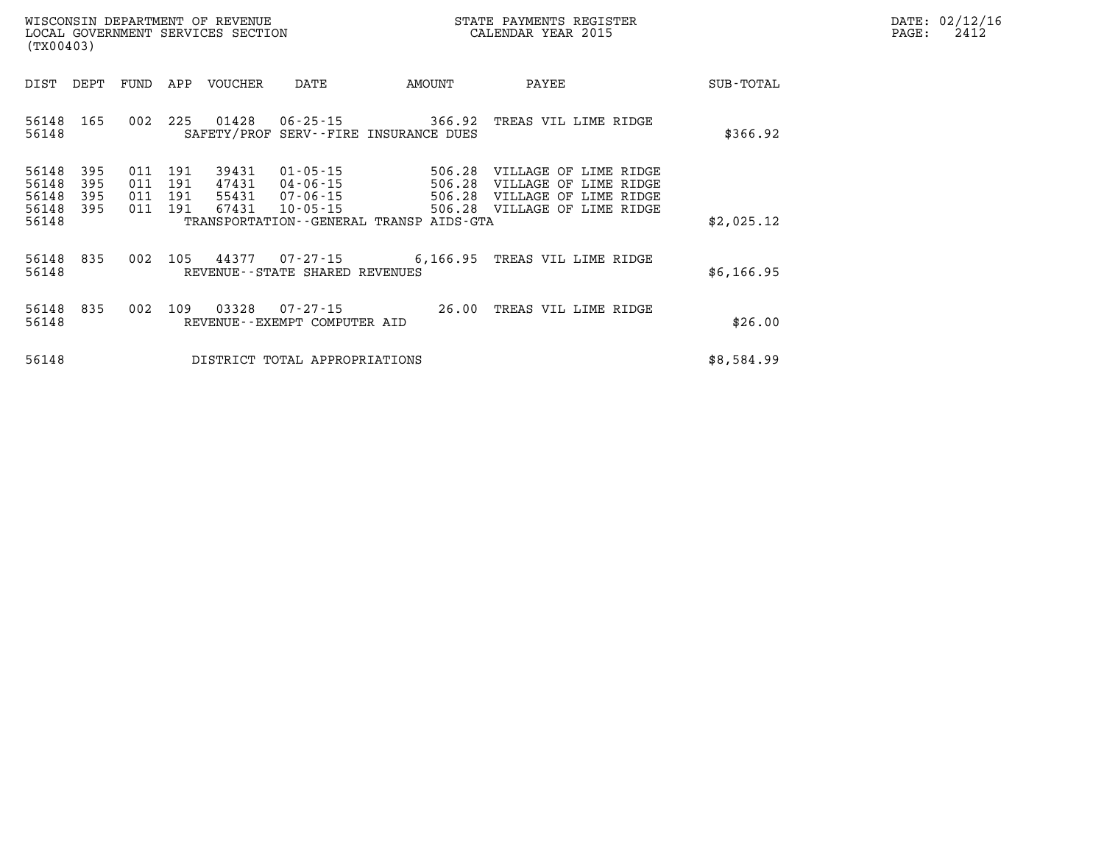| DATE:            | 02/12/16 |
|------------------|----------|
| $\texttt{PAGE:}$ | 2412     |

| (TX00403)                                 |                          |                          |                          | LOCAL GOVERNMENT SERVICES SECTION |                                                                | CALENDAR YEAR 2015                                                              |                                                                                                  | PAGE:      | 2412 |  |
|-------------------------------------------|--------------------------|--------------------------|--------------------------|-----------------------------------|----------------------------------------------------------------|---------------------------------------------------------------------------------|--------------------------------------------------------------------------------------------------|------------|------|--|
| DIST                                      | DEPT                     | FUND                     | APP                      | VOUCHER                           | DATE                                                           | AMOUNT                                                                          | PAYEE                                                                                            | SUB-TOTAL  |      |  |
| 56148<br>56148                            | 165                      | 002                      | 225                      | 01428                             |                                                                | $06 - 25 - 15$ 366.92<br>SAFETY/PROF SERV--FIRE INSURANCE DUES                  | TREAS VIL LIME RIDGE                                                                             | \$366.92   |      |  |
| 56148<br>56148<br>56148<br>56148<br>56148 | 395<br>395<br>395<br>395 | 011<br>011<br>011<br>011 | 191<br>191<br>191<br>191 | 39431<br>47431<br>55431<br>67431  | $01 - 05 - 15$<br>04-06-15<br>$07 - 06 - 15$<br>$10 - 05 - 15$ | 506.28<br>506.28<br>506.28<br>506.28<br>TRANSPORTATION--GENERAL TRANSP AIDS-GTA | VILLAGE OF LIME RIDGE<br>VILLAGE OF LIME RIDGE<br>VILLAGE OF LIME RIDGE<br>VILLAGE OF LIME RIDGE | \$2,025.12 |      |  |
| 56148<br>56148                            | 835                      | 002                      | 105                      | 44377                             | 07-27-15<br>REVENUE--STATE SHARED REVENUES                     |                                                                                 | 6,166.95 TREAS VIL LIME RIDGE                                                                    | \$6,166.95 |      |  |
| 56148<br>56148                            | 835                      | 002                      | 109                      | 03328                             | $07 - 27 - 15$<br>REVENUE--EXEMPT COMPUTER AID                 | 26.00                                                                           | TREAS VIL LIME RIDGE                                                                             | \$26.00    |      |  |
| 56148                                     |                          |                          |                          |                                   | DISTRICT TOTAL APPROPRIATIONS                                  |                                                                                 |                                                                                                  | \$8,584.99 |      |  |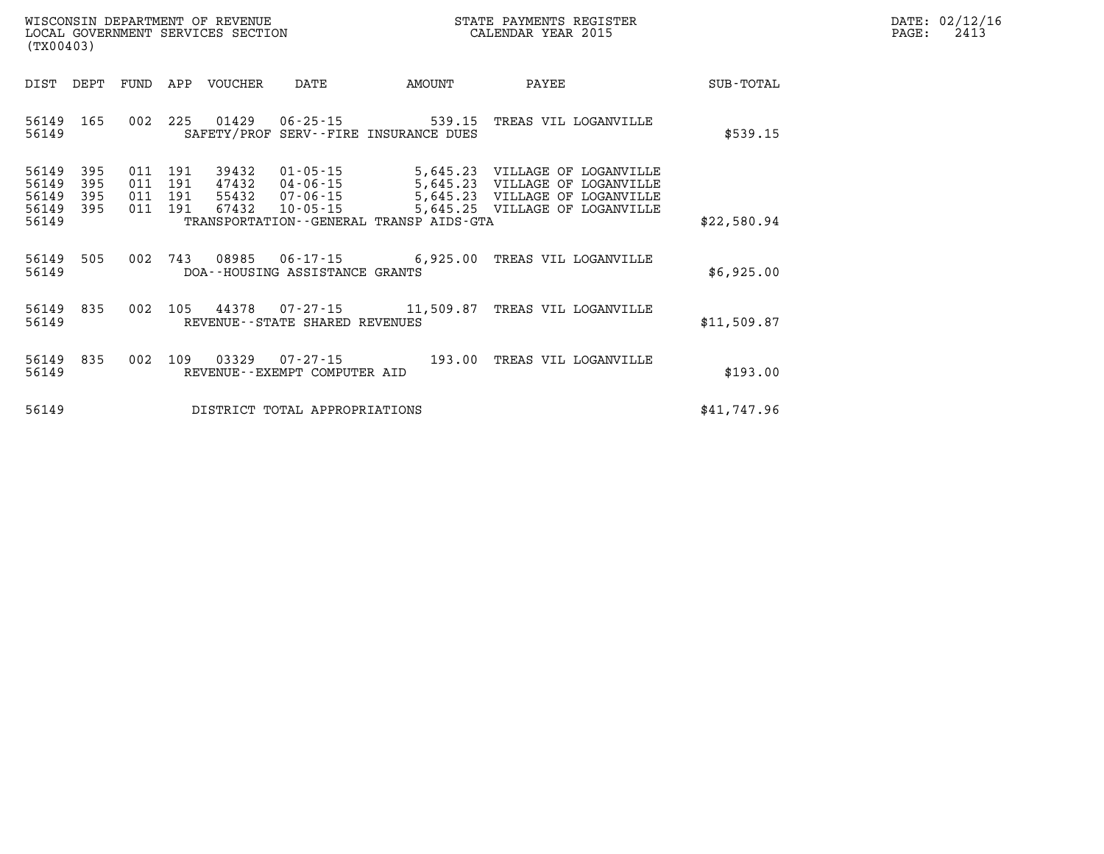| DATE: | 02/12/16 |
|-------|----------|
| PAGE: | 2413     |

| (TX00403)               |            |            |            | WISCONSIN DEPARTMENT OF REVENUE<br>LOCAL GOVERNMENT SERVICES SECTION |                                                   | STATE PAYMENTS REGISTER<br>CALENDAR YEAR 2015                   |                                                |             |  |
|-------------------------|------------|------------|------------|----------------------------------------------------------------------|---------------------------------------------------|-----------------------------------------------------------------|------------------------------------------------|-------------|--|
| DIST                    | DEPT       | FUND       | APP        | VOUCHER                                                              | DATE                                              | AMOUNT                                                          | PAYEE                                          | SUB-TOTAL   |  |
| 56149<br>56149          | 165        | 002        | 225        | 01429                                                                | $06 - 25 - 15$                                    | 539.15<br>SAFETY/PROF SERV--FIRE INSURANCE DUES                 | TREAS VIL LOGANVILLE                           | \$539.15    |  |
| 56149<br>56149          | 395<br>395 | 011<br>011 | 191<br>191 | 39432<br>47432                                                       | $01 - 05 - 15$<br>$04 - 06 - 15$                  | 5,645.23<br>5,645.23                                            | VILLAGE OF LOGANVILLE<br>VILLAGE OF LOGANVILLE |             |  |
| 56149<br>56149<br>56149 | 395<br>395 | 011<br>011 | 191<br>191 | 55432<br>67432                                                       | $07 - 06 - 15$<br>$10 - 05 - 15$                  | 5,645.23<br>5,645.25<br>TRANSPORTATION--GENERAL TRANSP AIDS-GTA | VILLAGE OF LOGANVILLE<br>VILLAGE OF LOGANVILLE | \$22,580.94 |  |
| 56149<br>56149          | 505        | 002        | 743        | 08985                                                                | DOA--HOUSING ASSISTANCE GRANTS                    | $06 - 17 - 15$ 6,925.00                                         | TREAS VIL LOGANVILLE                           | \$6,925.00  |  |
| 56149<br>56149          | 835        | 002        | 105        | 44378                                                                | $07 - 27 - 15$<br>REVENUE--STATE SHARED REVENUES  | 11,509.87                                                       | TREAS VIL LOGANVILLE                           | \$11,509.87 |  |
| 56149<br>56149          | 835        | 002        | 109        | 03329                                                                | $07 - 27 - 15$<br>REVENUE - - EXEMPT COMPUTER AID | 193.00                                                          | TREAS VIL LOGANVILLE                           | \$193.00    |  |
| 56149                   |            |            |            |                                                                      | DISTRICT TOTAL APPROPRIATIONS                     |                                                                 |                                                | \$41,747.96 |  |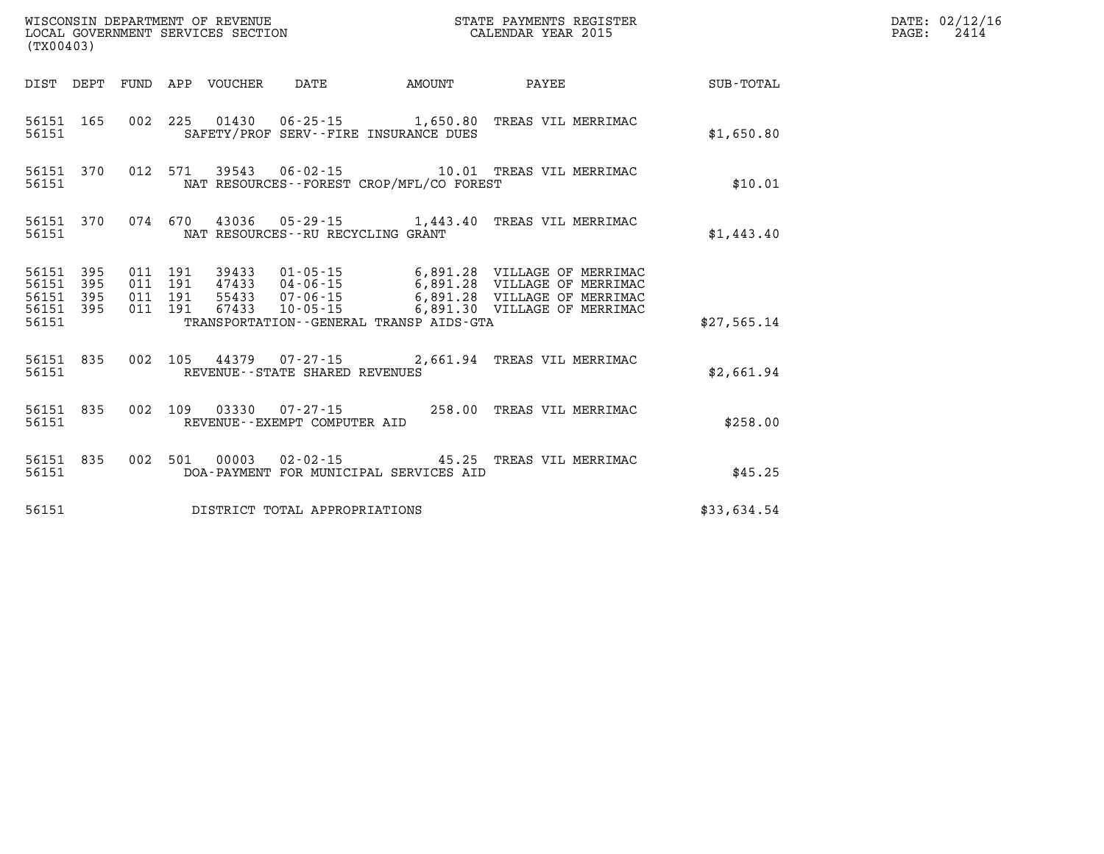| (TX00403)                                                 |  |                                 |                                       |                                            |                                                                                                                                                                                                                          |             | DATE: 02/12/16<br>$\mathtt{PAGE:}$<br>2414 |
|-----------------------------------------------------------|--|---------------------------------|---------------------------------------|--------------------------------------------|--------------------------------------------------------------------------------------------------------------------------------------------------------------------------------------------------------------------------|-------------|--------------------------------------------|
|                                                           |  | DIST DEPT FUND APP VOUCHER DATE |                                       | <b>AMOUNT</b>                              | <b>PAYEE</b>                                                                                                                                                                                                             | SUB-TOTAL   |                                            |
| 56151                                                     |  |                                 | SAFETY/PROF SERV--FIRE INSURANCE DUES |                                            | 56151 165 002 225 01430 06-25-15 1,650.80 TREAS VIL MERRIMAC                                                                                                                                                             | \$1,650.80  |                                            |
| 56151                                                     |  |                                 |                                       | NAT RESOURCES--FOREST CROP/MFL/CO FOREST   | 56151 370 012 571 39543 06-02-15 10.01 TREAS VIL MERRIMAC                                                                                                                                                                | \$10.01     |                                            |
| 56151 200                                                 |  |                                 | NAT RESOURCES - - RU RECYCLING GRANT  |                                            | 56151 370 074 670 43036 05-29-15 1,443.40 TREAS VIL MERRIMAC                                                                                                                                                             | \$1,443.40  |                                            |
| 56151 395<br>56151 395<br>56151 395<br>56151 395<br>56151 |  |                                 |                                       | TRANSPORTATION - - GENERAL TRANSP AIDS-GTA | 011 191 39433 01-05-15 6,891.28 VILLAGE OF MERRIMAC<br>011 191 47433 04-06-15 6,891.28 VILLAGE OF MERRIMAC<br>011 191 67433 07-06-15 6,891.28 VILLAGE OF MERRIMAC<br>011 191 67433 10-05-15 6,891.30 VILLAGE OF MERRIMAC | \$27,565.14 |                                            |
| 56151 200                                                 |  |                                 | REVENUE--STATE SHARED REVENUES        |                                            | 56151 835 002 105 44379 07-27-15 2,661.94 TREAS VIL MERRIMAC                                                                                                                                                             | \$2.661.94  |                                            |
| 56151 835<br>56151 200                                    |  |                                 | REVENUE--EXEMPT COMPUTER AID          |                                            | 002 109 03330 07-27-15 258.00 TREAS VIL MERRIMAC                                                                                                                                                                         | \$258.00    |                                            |
| 56151                                                     |  |                                 |                                       | DOA-PAYMENT FOR MUNICIPAL SERVICES AID     | 56151 835 002 501 00003 02-02-15 45.25 TREAS VIL MERRIMAC                                                                                                                                                                | \$45.25     |                                            |
| 56151                                                     |  |                                 | DISTRICT TOTAL APPROPRIATIONS         |                                            |                                                                                                                                                                                                                          | \$33,634.54 |                                            |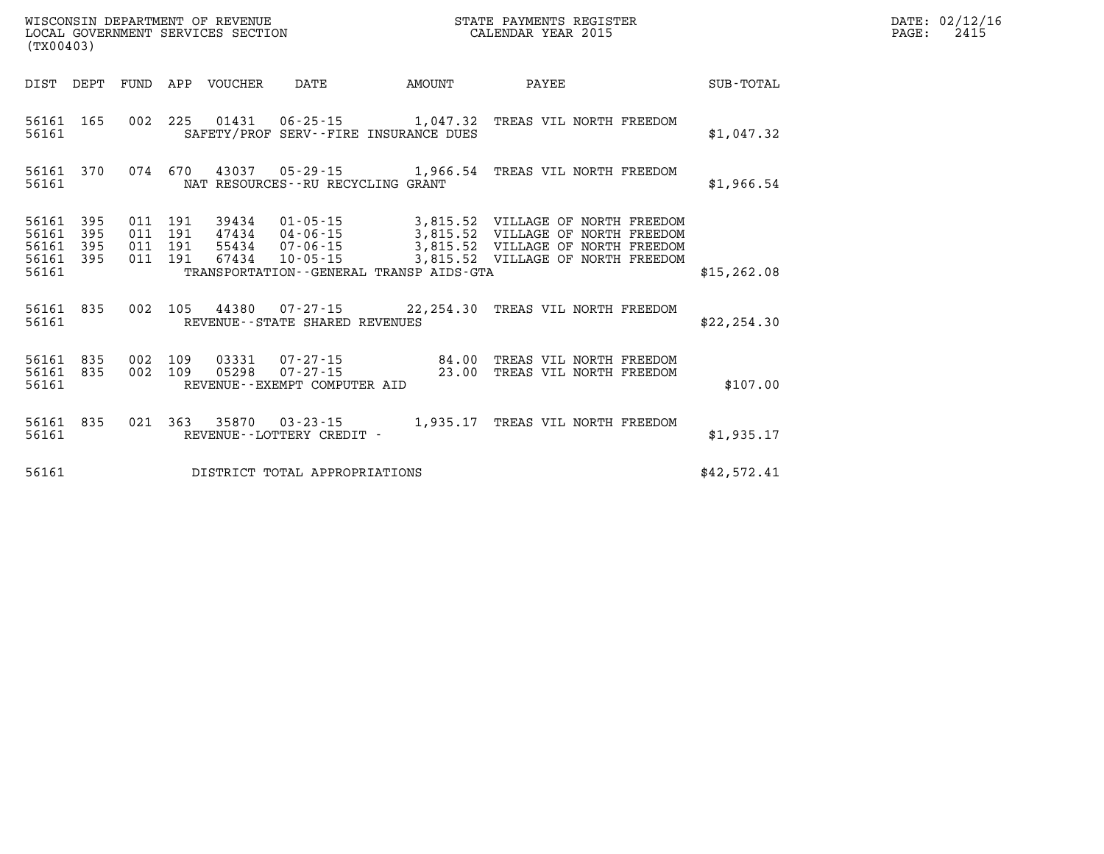|                                           | WISCONSIN DEPARTMENT OF REVENUE<br>LOCAL GOVERNMENT SERVICES SECTION<br>STATE PAYMENTS REGISTER<br>CALENDAR YEAR 2015<br>(TX00403) |                           |                       |       |                                                                                     |  |                                                                                                                                                                                                                          |              |
|-------------------------------------------|------------------------------------------------------------------------------------------------------------------------------------|---------------------------|-----------------------|-------|-------------------------------------------------------------------------------------|--|--------------------------------------------------------------------------------------------------------------------------------------------------------------------------------------------------------------------------|--------------|
|                                           |                                                                                                                                    |                           |                       |       |                                                                                     |  | DIST DEPT FUND APP VOUCHER DATE AMOUNT PAYEE TOTAL                                                                                                                                                                       |              |
| 56161                                     | 56161 165                                                                                                                          |                           |                       |       | SAFETY/PROF SERV--FIRE INSURANCE DUES                                               |  | 002 225 01431 06-25-15 1,047.32 TREAS VIL NORTH FREEDOM                                                                                                                                                                  | \$1,047.32   |
| 56161                                     |                                                                                                                                    |                           |                       |       | NAT RESOURCES--RU RECYCLING GRANT                                                   |  | 56161 370 074 670 43037 05-29-15 1,966.54 TREAS VIL NORTH FREEDOM                                                                                                                                                        | \$1,966.54   |
| 56161<br>56161<br>56161<br>56161<br>56161 | 395<br>395<br>395                                                                                                                  | 011<br>011<br>395 011 191 | 011 191<br>191<br>191 |       | TRANSPORTATION--GENERAL TRANSP AIDS-GTA                                             |  | 39434  01-05-15  3,815.52  VILLAGE OF NORTH FREEDOM<br>47434  04-06-15  3,815.52  VILLAGE OF NORTH FREEDOM<br>55434  07-06-15  3,815.52  VILLAGE OF NORTH FREEDOM<br>67434  10-05-15  3,815.52  VILLAGE OF NORTH FREEDOM | \$15, 262.08 |
| 56161                                     | 56161 835                                                                                                                          |                           |                       |       | REVENUE--STATE SHARED REVENUES                                                      |  | 002 105 44380 07-27-15 22, 254.30 TREAS VIL NORTH FREEDOM                                                                                                                                                                | \$22, 254.30 |
| 56161<br>56161                            | 56161 835<br>835                                                                                                                   | 002<br>002                | 109                   | 05298 | 109  03331  07-27-15  84.00<br>$07 - 27 - 15$ 23.00<br>REVENUE--EXEMPT COMPUTER AID |  | TREAS VIL NORTH FREEDOM<br>TREAS VIL NORTH FREEDOM                                                                                                                                                                       | \$107.00     |
| 56161<br>56161                            | 835                                                                                                                                |                           |                       |       | 021 363 35870 03-23-15 1,935.17<br>REVENUE--LOTTERY CREDIT -                        |  | TREAS VIL NORTH FREEDOM                                                                                                                                                                                                  | \$1,935.17   |
| 56161                                     |                                                                                                                                    |                           |                       |       | DISTRICT TOTAL APPROPRIATIONS                                                       |  |                                                                                                                                                                                                                          | \$42,572.41  |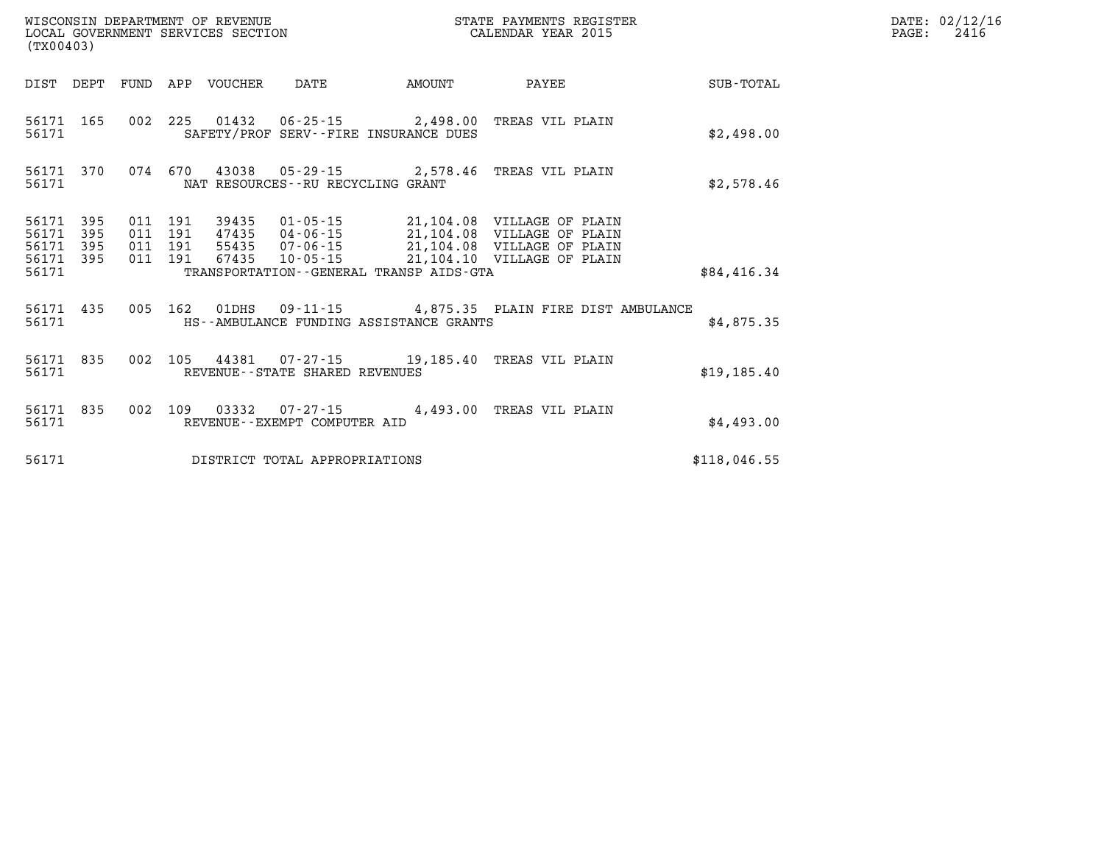| (TX00403)                                |                  |                                          | WISCONSIN DEPARTMENT OF REVENUE | LOCAL GOVERNMENT SERVICES SECTION |                                         | STATE PAYMENTS REGISTER<br>CALENDAR YEAR 2015                                                                                                                                       |              | DATE: 02/12/16<br>$\mathtt{PAGE:}$<br>2416 |
|------------------------------------------|------------------|------------------------------------------|---------------------------------|-----------------------------------|-----------------------------------------|-------------------------------------------------------------------------------------------------------------------------------------------------------------------------------------|--------------|--------------------------------------------|
|                                          |                  |                                          | DIST DEPT FUND APP VOUCHER      | DATE                              | AMOUNT                                  | PAYEE                                                                                                                                                                               | SUB-TOTAL    |                                            |
| 56171                                    | 56171 165        |                                          |                                 |                                   | SAFETY/PROF SERV--FIRE INSURANCE DUES   | 002 225 01432 06-25-15 2,498.00 TREAS VIL PLAIN                                                                                                                                     | \$2,498.00   |                                            |
| 56171                                    | 56171 370        |                                          |                                 | NAT RESOURCES--RU RECYCLING GRANT |                                         | 074 670 43038 05-29-15 2,578.46 TREAS VIL PLAIN                                                                                                                                     | \$2,578.46   |                                            |
| 56171 395<br>56171<br>56171 395<br>56171 | 395<br>56171 395 | 011 191<br>011 191<br>011 191<br>011 191 |                                 |                                   | TRANSPORTATION--GENERAL TRANSP AIDS-GTA | 39435 01-05-15 21,104.08 VILLAGE OF PLAIN<br>47435 04-06-15 21,104.08 VILLAGE OF PLAIN<br>55435 07-06-15 21,104.08 VILLAGE OF PLAIN<br>67435  10-05-15  21,104.10  VILLAGE OF PLAIN | \$84,416.34  |                                            |
| 56171                                    |                  |                                          |                                 |                                   | HS--AMBULANCE FUNDING ASSISTANCE GRANTS | 56171 435 005 162 01DHS 09-11-15 4,875.35 PLAIN FIRE DIST AMBULANCE                                                                                                                 | \$4,875.35   |                                            |
| 56171 835<br>56171                       |                  |                                          |                                 | REVENUE--STATE SHARED REVENUES    |                                         | 002 105 44381 07-27-15 19,185.40 TREAS VIL PLAIN                                                                                                                                    | \$19,185.40  |                                            |
| 56171                                    | 56171 835        |                                          |                                 | REVENUE--EXEMPT COMPUTER AID      |                                         | 002 109 03332 07-27-15 4,493.00 TREAS VIL PLAIN                                                                                                                                     | \$4,493.00   |                                            |
| 56171                                    |                  |                                          |                                 | DISTRICT TOTAL APPROPRIATIONS     |                                         |                                                                                                                                                                                     | \$118,046.55 |                                            |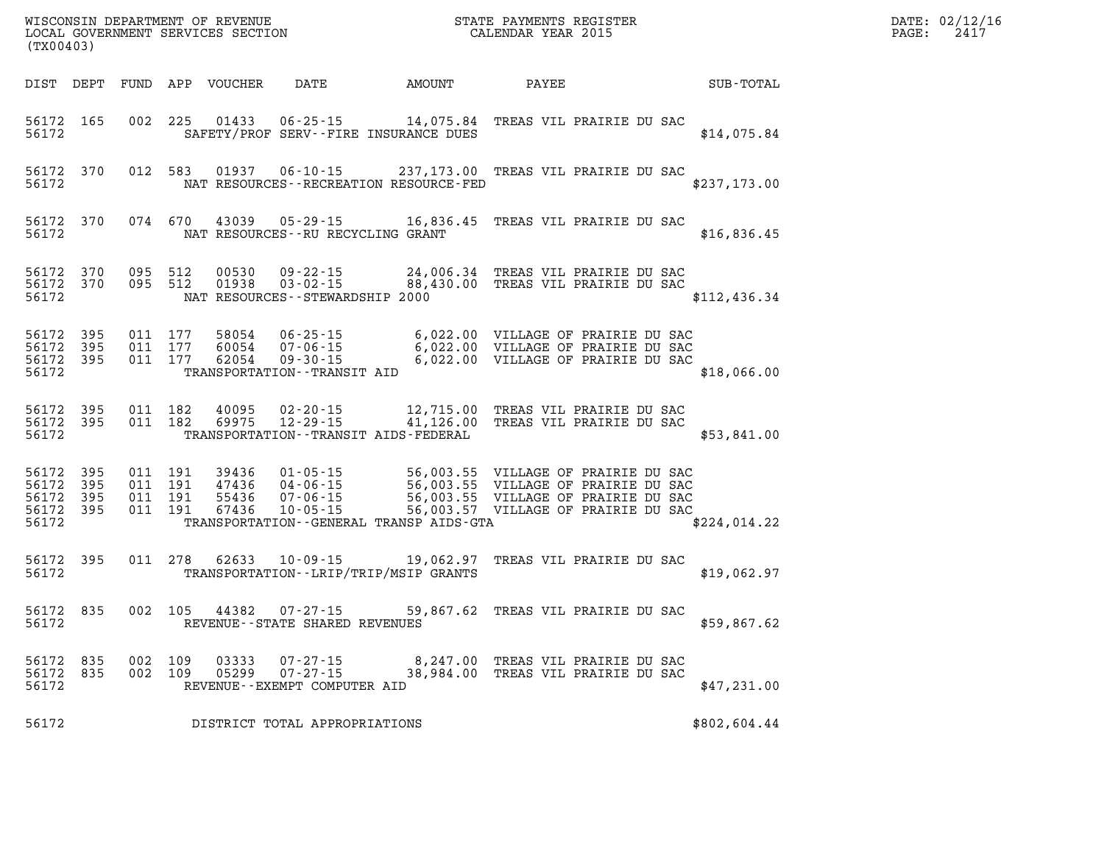| DATE: | 02/12/16 |
|-------|----------|
| PAGE: | 2417     |

| (TX00403)                                             |                        |                                          | WISCONSIN DEPARTMENT OF REVENUE<br>LOCAL GOVERNMENT SERVICES SECTION |                                                                                | STATE PAYMENTS REGISTER<br>CALENDAR YEAR 2015                                                                         |              |                                                                                                                                                          | DATE: 02/12/1<br>PAGE:<br>2417 |  |
|-------------------------------------------------------|------------------------|------------------------------------------|----------------------------------------------------------------------|--------------------------------------------------------------------------------|-----------------------------------------------------------------------------------------------------------------------|--------------|----------------------------------------------------------------------------------------------------------------------------------------------------------|--------------------------------|--|
|                                                       |                        |                                          | DIST DEPT FUND APP VOUCHER                                           |                                                                                | DATE AMOUNT                                                                                                           | <b>PAYEE</b> |                                                                                                                                                          | SUB-TOTAL                      |  |
| 56172 165<br>56172                                    |                        |                                          | 002 225 01433                                                        |                                                                                | 06-25-15 14,075.84 TREAS VIL PRAIRIE DU SAC<br>SAFETY/PROF SERV--FIRE INSURANCE DUES                                  |              |                                                                                                                                                          | \$14,075.84                    |  |
| 56172                                                 | 56172 370              | 012 583                                  | 01937                                                                |                                                                                | 06-10-15 237,173.00 TREAS VIL PRAIRIE DU SAC<br>NAT RESOURCES - - RECREATION RESOURCE - FED                           |              |                                                                                                                                                          | \$237,173.00                   |  |
| 56172 370<br>56172                                    |                        | 074 670                                  | 43039                                                                | $05 - 29 - 15$<br>NAT RESOURCES - - RU RECYCLING GRANT                         |                                                                                                                       |              | 16,836.45 TREAS VIL PRAIRIE DU SAC                                                                                                                       | \$16,836.45                    |  |
| 56172                                                 | 56172 370<br>56172 370 | 095 512<br>095 512                       | 00530<br>01938                                                       | $09 - 22 - 15$<br>$03 - 02 - 15$<br>NAT RESOURCES--STEWARDSHIP 2000            |                                                                                                                       |              | 24,006.34 TREAS VIL PRAIRIE DU SAC<br>88,430.00 TREAS VIL PRAIRIE DU SAC                                                                                 | \$112,436.34                   |  |
| 56172 395<br>56172<br>56172 395<br>56172              | - 395                  | 011 177<br>011 177<br>011 177            | 58054<br>60054<br>62054                                              | $06 - 25 - 15$<br>07-06-15<br>$09 - 30 - 15$<br>TRANSPORTATION - - TRANSIT AID |                                                                                                                       |              | 6,022.00 VILLAGE OF PRAIRIE DU SAC<br>6,022.00 VILLAGE OF PRAIRIE DU SAC<br>6,022.00 VILLAGE OF PRAIRIE DU SAC                                           | \$18,066.00                    |  |
| 56172 395<br>56172 395<br>56172                       |                        | 011 182<br>011 182                       | 40095<br>69975                                                       | $02 - 20 - 15$<br>$12 - 29 - 15$                                               | 12,715.00 TREAS VIL PRAIRIE DU SAC<br>41,126.00 TREAS VIL PRAIRIE DU SAC<br>TRANSPORTATION - - TRANSIT AIDS - FEDERAL |              |                                                                                                                                                          | \$53,841.00                    |  |
| 56172 395<br>56172<br>56172 395<br>56172 395<br>56172 | 395                    | 011 191<br>011 191<br>011 191<br>011 191 | 39436<br>47436<br>55436<br>67436                                     | 01-05-15<br>$04 - 06 - 15$<br>$07 - 06 - 15$<br>$10 - 05 - 15$                 | TRANSPORTATION--GENERAL TRANSP AIDS-GTA                                                                               |              | 56,003.55 VILLAGE OF PRAIRIE DU SAC<br>56,003.55 VILLAGE OF PRAIRIE DU SAC<br>56,003.55 VILLAGE OF PRAIRIE DU SAC<br>56,003.57 VILLAGE OF PRAIRIE DU SAC | \$224,014.22                   |  |
| 56172 395<br>56172                                    |                        |                                          | 011 278 62633                                                        | 10-09-15                                                                       | TRANSPORTATION - - LRIP/TRIP/MSIP GRANTS                                                                              |              | 19,062.97 TREAS VIL PRAIRIE DU SAC                                                                                                                       | \$19,062.97                    |  |
| 56172                                                 | 56172 835              | 002 105                                  | 44382                                                                | 07-27-15<br>REVENUE--STATE SHARED REVENUES                                     |                                                                                                                       |              | 59,867.62 TREAS VIL PRAIRIE DU SAC                                                                                                                       | \$59,867.62                    |  |
| 56172 835<br>56172 835<br>56172                       |                        | 002 109<br>002 109                       | 03333<br>05299                                                       | 07-27-15<br>$07 - 27 - 15$<br>REVENUE--EXEMPT COMPUTER AID                     |                                                                                                                       |              | 8,247.00 TREAS VIL PRAIRIE DU SAC<br>38,984.00 TREAS VIL PRAIRIE DU SAC                                                                                  | \$47,231.00                    |  |
| 56172                                                 |                        |                                          |                                                                      | DISTRICT TOTAL APPROPRIATIONS                                                  |                                                                                                                       |              |                                                                                                                                                          | \$802,604.44                   |  |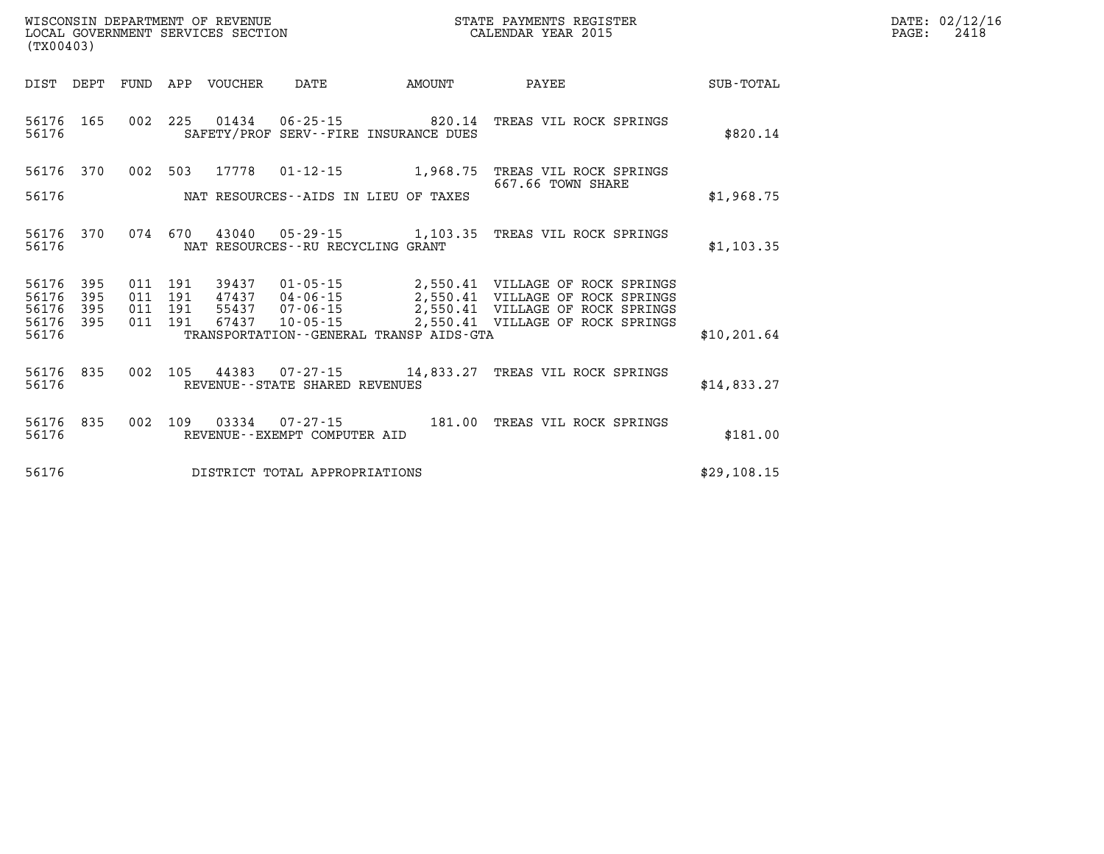| DATE: | 02/12/16 |
|-------|----------|
| PAGE: | 2418     |

| (TX00403)                        |                          |                          |                          |                |                                                                      |                                                                |                                                                                                                                     |                  |
|----------------------------------|--------------------------|--------------------------|--------------------------|----------------|----------------------------------------------------------------------|----------------------------------------------------------------|-------------------------------------------------------------------------------------------------------------------------------------|------------------|
| DIST                             | DEPT                     | FUND                     | APP                      | VOUCHER        | DATE                                                                 | AMOUNT                                                         | PAYEE                                                                                                                               | <b>SUB-TOTAL</b> |
| 56176<br>56176                   | 165                      | 002                      | 225                      |                |                                                                      | 01434 06-25-15 820.14<br>SAFETY/PROF SERV--FIRE INSURANCE DUES | TREAS VIL ROCK SPRINGS                                                                                                              | \$820.14         |
| 56176                            | 370                      | 002                      | 503                      | 17778          | $01 - 12 - 15$                                                       | 1,968.75                                                       | TREAS VIL ROCK SPRINGS<br>667.66 TOWN SHARE                                                                                         |                  |
| 56176                            |                          |                          |                          |                |                                                                      | NAT RESOURCES--AIDS IN LIEU OF TAXES                           |                                                                                                                                     | \$1,968.75       |
| 56176<br>56176                   | 370                      | 074                      | 670                      | 43040          | NAT RESOURCES - - RU RECYCLING GRANT                                 |                                                                |                                                                                                                                     | \$1,103.35       |
| 56176<br>56176<br>56176<br>56176 | 395<br>395<br>395<br>395 | 011<br>011<br>011<br>011 | 191<br>191<br>191<br>191 | 55437<br>67437 | 39437 01-05-15<br>47437 04-06-15<br>$07 - 06 - 15$<br>$10 - 05 - 15$ | 2,550.41                                                       | 2,550.41 VILLAGE OF ROCK SPRINGS<br>VILLAGE OF ROCK SPRINGS<br>2,550.41 VILLAGE OF ROCK SPRINGS<br>2,550.41 VILLAGE OF ROCK SPRINGS |                  |
| 56176                            |                          |                          |                          |                |                                                                      | TRANSPORTATION--GENERAL TRANSP AIDS-GTA                        |                                                                                                                                     | \$10, 201.64     |
| 56176<br>56176                   | 835                      | 002                      | 105                      |                | REVENUE - - STATE SHARED REVENUES                                    | 44383 07-27-15 14,833.27                                       | TREAS VIL ROCK SPRINGS                                                                                                              | \$14.833.27      |
| 56176<br>56176                   | 835                      | 002                      | 109                      | 03334          | $07 - 27 - 15$<br>REVENUE - - EXEMPT COMPUTER AID                    | 181.00                                                         | TREAS VIL ROCK SPRINGS                                                                                                              | \$181.00         |
| 56176                            |                          |                          |                          |                | DISTRICT TOTAL APPROPRIATIONS                                        |                                                                |                                                                                                                                     | \$29,108.15      |

WISCONSIN DEPARTMENT OF REVENUE **STATE PAYMENTS REGISTER**<br>LOCAL GOVERNMENT SERVICES SECTION

LOCAL GOVERNMENT SERVICES SECTION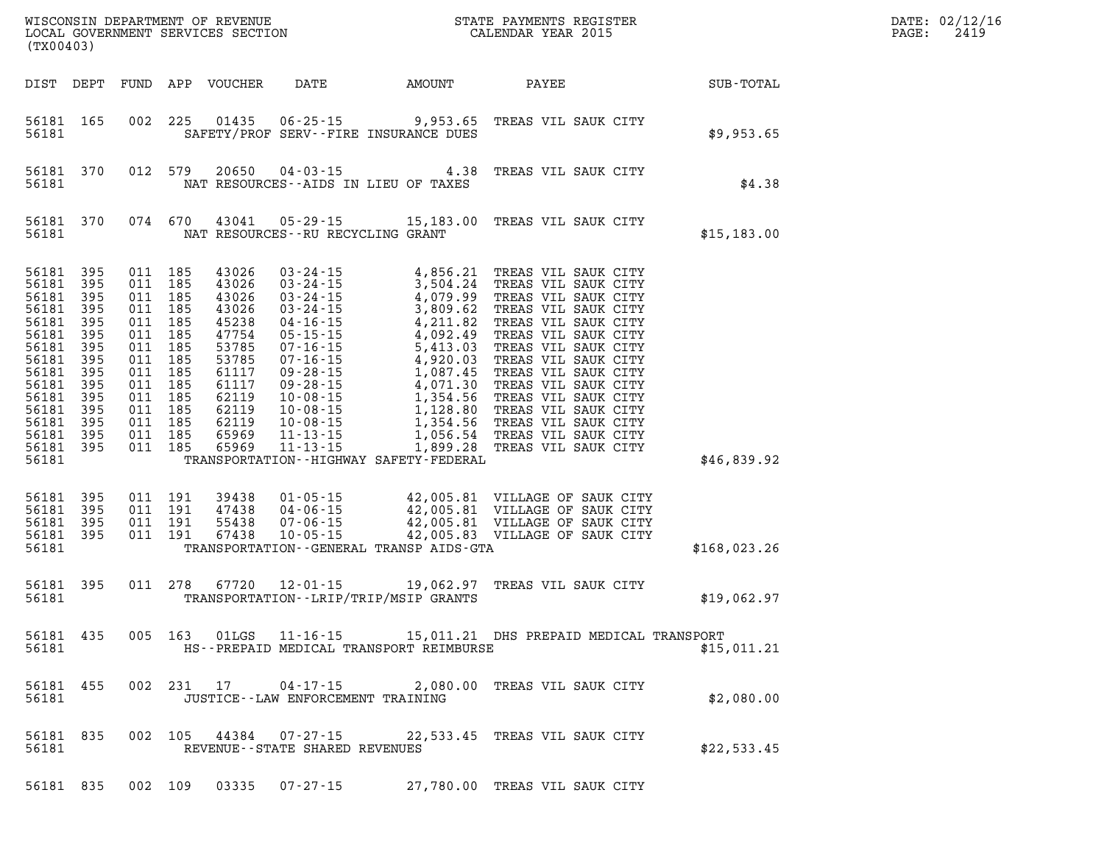| (TX00403)                                                                                                                                                                                                                                    |                                                                                                                                                                   |                                                                                                                                     |                                      |                                                                          |                                                                                                                                                                                                                                                                  |              | DATE: 02/12/16<br>2419<br>$\mathtt{PAGE}$ : |
|----------------------------------------------------------------------------------------------------------------------------------------------------------------------------------------------------------------------------------------------|-------------------------------------------------------------------------------------------------------------------------------------------------------------------|-------------------------------------------------------------------------------------------------------------------------------------|--------------------------------------|--------------------------------------------------------------------------|------------------------------------------------------------------------------------------------------------------------------------------------------------------------------------------------------------------------------------------------------------------|--------------|---------------------------------------------|
| DIST DEPT FUND APP VOUCHER                                                                                                                                                                                                                   |                                                                                                                                                                   |                                                                                                                                     |                                      | DATE AMOUNT                                                              | PAYEE                                                                                                                                                                                                                                                            | SUB-TOTAL    |                                             |
| 56181 165<br>56181                                                                                                                                                                                                                           |                                                                                                                                                                   |                                                                                                                                     |                                      | 002 225 01435 06-25-15 9,953.65<br>SAFETY/PROF SERV--FIRE INSURANCE DUES | TREAS VIL SAUK CITY                                                                                                                                                                                                                                              | \$9,953.65   |                                             |
| 56181 370<br>56181                                                                                                                                                                                                                           | 012 579                                                                                                                                                           |                                                                                                                                     |                                      | NAT RESOURCES -- AIDS IN LIEU OF TAXES                                   | 20650  04-03-15  4.38  TREAS VIL SAUK CITY                                                                                                                                                                                                                       | \$4.38       |                                             |
| 56181 370<br>56181                                                                                                                                                                                                                           | 074 670                                                                                                                                                           |                                                                                                                                     | NAT RESOURCES--RU RECYCLING GRANT    |                                                                          | 43041  05-29-15  15,183.00  TREAS VIL SAUK CITY                                                                                                                                                                                                                  | \$15, 183.00 |                                             |
| 395<br>56181<br>395<br>56181<br>395<br>56181<br>395<br>56181<br>56181<br>395<br>395<br>56181<br>56181<br>395<br>395<br>56181<br>56181<br>395<br>395<br>56181<br>56181<br>395<br>395<br>56181<br>56181 395<br>56181 395<br>56181 395<br>56181 | 011 185<br>011 185<br>011 185<br>011 185<br>011 185<br>011 185<br>011 185<br>011 185<br>011 185<br>011 185<br>011 185<br>011 185<br>011 185<br>011 185<br>011 185 | 43026<br>43026<br>43026<br>43026<br>45238<br>47754<br>53785<br>53785<br>61117<br>61117<br>62119<br>62119<br>62119<br>65969<br>65969 |                                      | TRANSPORTATION - - HIGHWAY SAFETY - FEDERAL                              | 03-24-15<br>03-24-15<br>03-24-15<br>03-24-15<br>03-24-15<br>4,079.99<br>TREAS VIL SAUK CITY<br>03-24-15<br>4,079.99<br>TREAS VIL SAUK CITY<br>03-24-15<br>4,092.99<br>TREAS VIL SAUK CITY<br>04-16-15<br>4,092.49<br>TREAS VIL SAUK CITY<br>07-16-15<br>5,413.03 | \$46,839.92  |                                             |
| 56181 395<br>395<br>56181<br>56181 395<br>56181 395<br>56181                                                                                                                                                                                 | 011 191<br>011 191<br>011 191<br>011 191                                                                                                                          | 39438<br>47438<br>55438<br>67438                                                                                                    |                                      | TRANSPORTATION--GENERAL TRANSP AIDS-GTA                                  | $\begin{tabular}{cccc} 01-05-15 & 42,005.81 & VILLAGE OF SAWCITY \\ 04-06-15 & 42,005.81 & VILLAGE OF SAWCITY \\ 07-06-15 & 42,005.81 & VILLAGE OF SAWCITY \\ 10-05-15 & 42,005.83 & VILLAGE OF SAWCITY \\ \end{tabular}$                                        | \$168,023.26 |                                             |
| 56181 395<br>56181                                                                                                                                                                                                                           | 011 278                                                                                                                                                           | 67720                                                                                                                               |                                      | TRANSPORTATION - - LRIP/TRIP/MSIP GRANTS                                 | 12-01-15 19,062.97 TREAS VIL SAUK CITY                                                                                                                                                                                                                           | \$19,062.97  |                                             |
| 56181 435<br>56181                                                                                                                                                                                                                           | 005 163                                                                                                                                                           | 01LGS                                                                                                                               | $11 - 16 - 15$                       | HS--PREPAID MEDICAL TRANSPORT REIMBURSE                                  | 15,011.21 DHS PREPAID MEDICAL TRANSPORT                                                                                                                                                                                                                          | \$15,011.21  |                                             |
| 56181 455<br>56181                                                                                                                                                                                                                           |                                                                                                                                                                   |                                                                                                                                     | JUSTICE - - LAW ENFORCEMENT TRAINING |                                                                          | 002 231 17 04-17-15 2,080.00 TREAS VIL SAUK CITY                                                                                                                                                                                                                 | \$2,080.00   |                                             |
| 56181 835<br>56181                                                                                                                                                                                                                           |                                                                                                                                                                   |                                                                                                                                     | REVENUE - - STATE SHARED REVENUES    |                                                                          | 002 105 44384 07-27-15 22,533.45 TREAS VIL SAUK CITY                                                                                                                                                                                                             | \$22,533.45  |                                             |
| 56181 835                                                                                                                                                                                                                                    |                                                                                                                                                                   |                                                                                                                                     |                                      |                                                                          | 002 109 03335 07-27-15 27,780.00 TREAS VIL SAUK CITY                                                                                                                                                                                                             |              |                                             |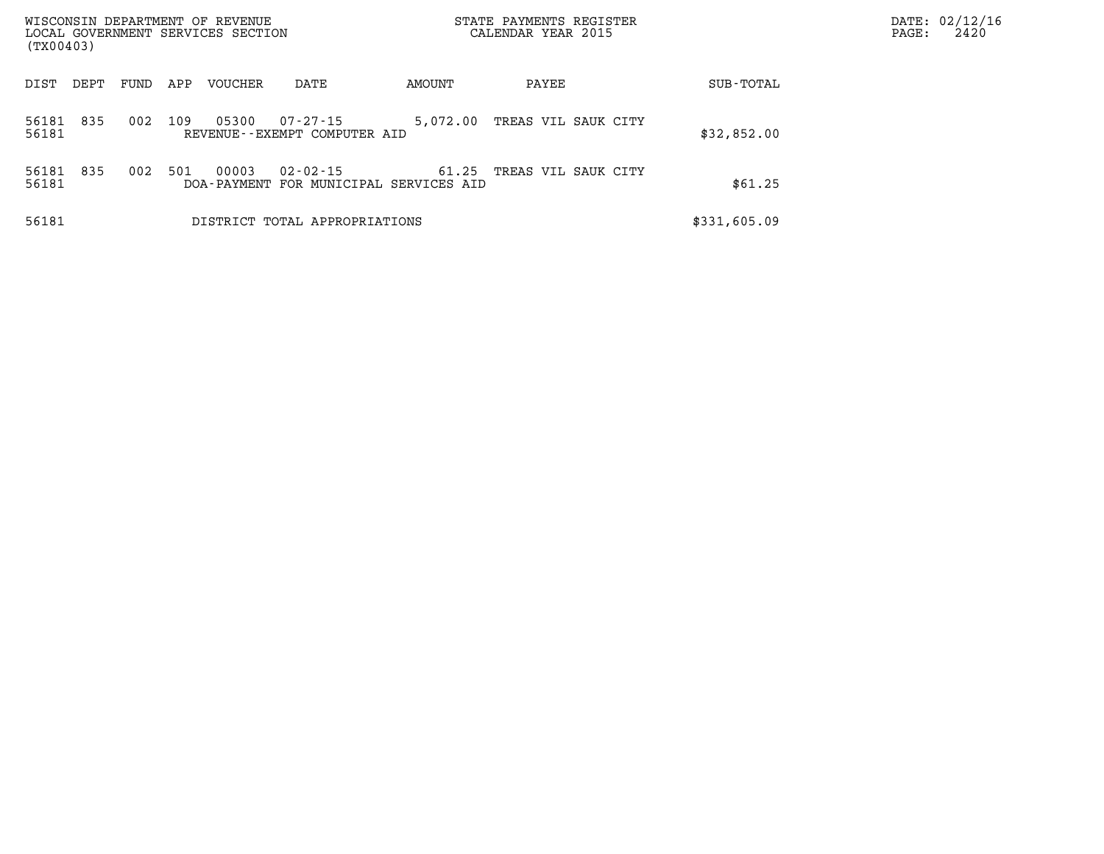| WISCONSIN DEPARTMENT OF REVENUE<br>LOCAL GOVERNMENT SERVICES SECTION<br>(TX00403) |      |     |                        |                                              |          | STATE PAYMENTS REGISTER<br>CALENDAR YEAR 2015 | PAGE:        | DATE: 02/12/16<br>2420 |  |
|-----------------------------------------------------------------------------------|------|-----|------------------------|----------------------------------------------|----------|-----------------------------------------------|--------------|------------------------|--|
| DIST<br>DEPT                                                                      | FUND | APP | <b>VOUCHER</b>         | DATE                                         | AMOUNT   | PAYEE                                         | SUB-TOTAL    |                        |  |
| 835<br>56181<br>56181                                                             | 002  | 109 | 05300                  | 07-27-15<br>REVENUE--EXEMPT COMPUTER AID     | 5,072.00 | TREAS VIL SAUK CITY                           | \$32,852.00  |                        |  |
| 56181<br>835<br>56181                                                             | 002  | 501 | 00003<br>DOA - PAYMENT | $02 - 02 - 15$<br>FOR MUNICIPAL SERVICES AID | 61.25    | TREAS VIL SAUK CITY                           | \$61.25      |                        |  |
| 56181                                                                             |      |     |                        | DISTRICT TOTAL APPROPRIATIONS                |          |                                               | \$331,605.09 |                        |  |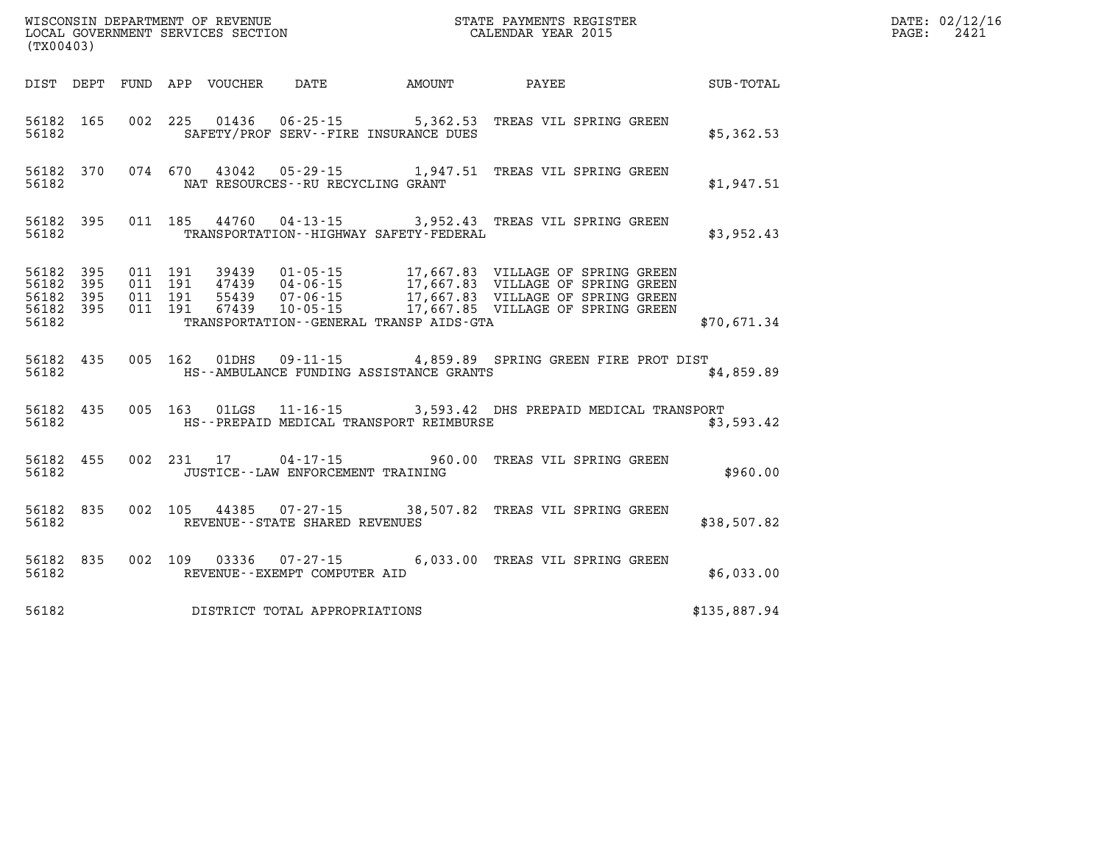| (TX00403)                                    |           |                               |         |                            |                                                        |               |                                                                                                |              | DATE: 02/12/16<br>2421<br>PAGE: |
|----------------------------------------------|-----------|-------------------------------|---------|----------------------------|--------------------------------------------------------|---------------|------------------------------------------------------------------------------------------------|--------------|---------------------------------|
|                                              |           |                               |         | DIST DEPT FUND APP VOUCHER | DATE                                                   | <b>AMOUNT</b> | PAYEE                                                                                          | SUB-TOTAL    |                                 |
| 56182                                        | 56182 165 |                               |         |                            | SAFETY/PROF SERV--FIRE INSURANCE DUES                  |               | 002 225 01436 06-25-15 5,362.53 TREAS VIL SPRING GREEN                                         | \$5,362.53   |                                 |
| 56182                                        | 56182 370 |                               |         |                            | NAT RESOURCES--RU RECYCLING GRANT                      |               | 074 670 43042 05-29-15 1,947.51 TREAS VIL SPRING GREEN                                         | \$1,947.51   |                                 |
| 56182                                        | 56182 395 |                               |         | 011 185 44760              | TRANSPORTATION - - HIGHWAY SAFETY - FEDERAL            |               | 04-13-15 3,952.43 TREAS VIL SPRING GREEN                                                       | \$3,952.43   |                                 |
| 56182 395<br>56182 395<br>56182 395<br>56182 | 56182 395 | 011 191<br>011 191<br>011 191 | 011 191 | 39439                      | TRANSPORTATION--GENERAL TRANSP AIDS-GTA                |               | 01-05-15 17,667.83 VILLAGE OF SPRING GREEN<br>47439 04-06-15 17,667.83 VILLAGE OF SPRING GREEN | \$70,671.34  |                                 |
| 56182                                        | 56182 435 |                               |         |                            | HS--AMBULANCE FUNDING ASSISTANCE GRANTS                |               | 005 162 01DHS 09-11-15 4,859.89 SPRING GREEN FIRE PROT DIST                                    | \$4,859.89   |                                 |
| 56182                                        | 56182 435 |                               |         |                            | HS--PREPAID MEDICAL TRANSPORT REIMBURSE                |               | 005 163 01LGS 11-16-15 3,593.42 DHS PREPAID MEDICAL TRANSPORT                                  | \$3,593.42   |                                 |
| 56182                                        | 56182 455 |                               |         |                            | JUSTICE - - LAW ENFORCEMENT TRAINING                   |               | 002 231 17 04-17-15 960.00 TREAS VIL SPRING GREEN                                              | \$960.00     |                                 |
| 56182 835<br>56182                           |           |                               |         |                            | REVENUE - - STATE SHARED REVENUES                      |               | 002 105 44385 07-27-15 38,507.82 TREAS VIL SPRING GREEN                                        | \$38,507.82  |                                 |
| 56182                                        | 56182 835 |                               |         |                            | 002 109 03336 07-27-15<br>REVENUE--EXEMPT COMPUTER AID |               | 6,033.00 TREAS VIL SPRING GREEN                                                                | \$6,033.00   |                                 |
| 56182                                        |           |                               |         |                            | DISTRICT TOTAL APPROPRIATIONS                          |               |                                                                                                | \$135,887.94 |                                 |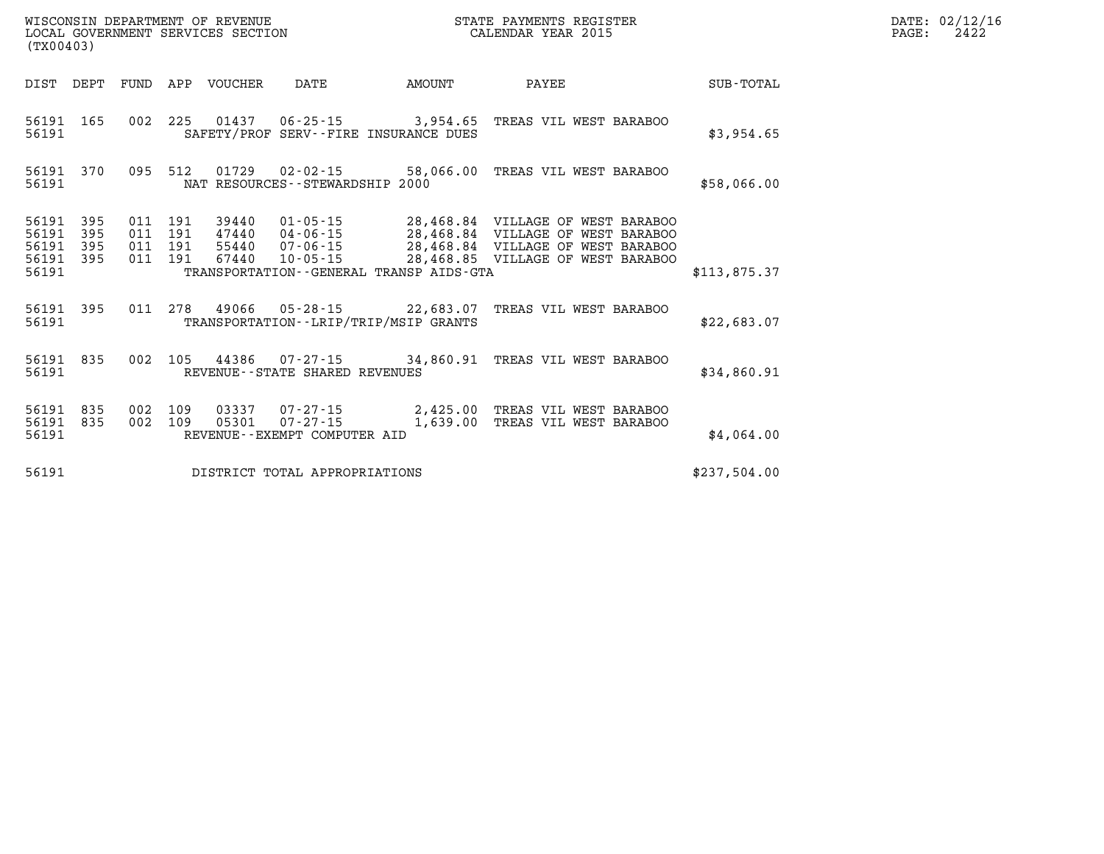| (TX00403)                                 |                          |                          |                          | WISCONSIN DEPARTMENT OF REVENUE<br>LOCAL GOVERNMENT SERVICES SECTION |                                                                     | STATE PAYMENTS REGISTER<br>CALENDAR YEAR 2015         |                                                                                                                                                  |              |
|-------------------------------------------|--------------------------|--------------------------|--------------------------|----------------------------------------------------------------------|---------------------------------------------------------------------|-------------------------------------------------------|--------------------------------------------------------------------------------------------------------------------------------------------------|--------------|
| DIST                                      | DEPT                     | FUND                     | APP                      | VOUCHER                                                              | DATE                                                                | AMOUNT                                                | PAYEE                                                                                                                                            | SUB-TOTAL    |
| 56191<br>56191                            | 165                      | 002                      | 225                      | 01437                                                                | $06 - 25 - 15$                                                      | 3,954.65<br>SAFETY/PROF SERV--FIRE INSURANCE DUES     | TREAS VIL WEST BARABOO                                                                                                                           | \$3,954.65   |
| 56191<br>56191                            | 370                      | 095                      | 512                      | 01729                                                                | $02 - 02 - 15$<br>NAT RESOURCES - - STEWARDSHIP 2000                | 58,066.00                                             | TREAS VIL WEST BARABOO                                                                                                                           | \$58,066.00  |
| 56191<br>56191<br>56191<br>56191<br>56191 | 395<br>395<br>395<br>395 | 011<br>011<br>011<br>011 | 191<br>191<br>191<br>191 | 39440<br>47440<br>55440<br>67440                                     | 01-05-15<br>$04 - 06 - 15$<br>$07 - 06 - 15$<br>$10 - 05 - 15$      | TRANSPORTATION - - GENERAL TRANSP AIDS - GTA          | 28,468.84 VILLAGE OF WEST BARABOO<br>28,468.84 VILLAGE OF WEST BARABOO<br>28,468.84 VILLAGE OF WEST BARABOO<br>28,468.85 VILLAGE OF WEST BARABOO | \$113,875.37 |
| 56191<br>56191                            | 395                      | 011                      | 278                      | 49066                                                                | $05 - 28 - 15$                                                      | 22,683.07<br>TRANSPORTATION - - LRIP/TRIP/MSIP GRANTS | TREAS VIL WEST BARABOO                                                                                                                           | \$22,683.07  |
| 56191<br>56191                            | 835                      | 002                      | 105                      | 44386                                                                | REVENUE - - STATE SHARED REVENUES                                   | $07 - 27 - 15$ 34,860.91                              | TREAS VIL WEST BARABOO                                                                                                                           | \$34,860.91  |
| 56191<br>56191<br>56191                   | 835<br>835               | 002<br>002               | 109<br>109               | 03337<br>05301                                                       | $07 - 27 - 15$<br>$07 - 27 - 15$<br>REVENUE - - EXEMPT COMPUTER AID | 2,425.00<br>1,639.00                                  | TREAS VIL WEST BARABOO<br>TREAS VIL WEST BARABOO                                                                                                 | \$4,064.00   |
| 56191                                     |                          |                          |                          |                                                                      | DISTRICT TOTAL APPROPRIATIONS                                       |                                                       |                                                                                                                                                  | \$237,504.00 |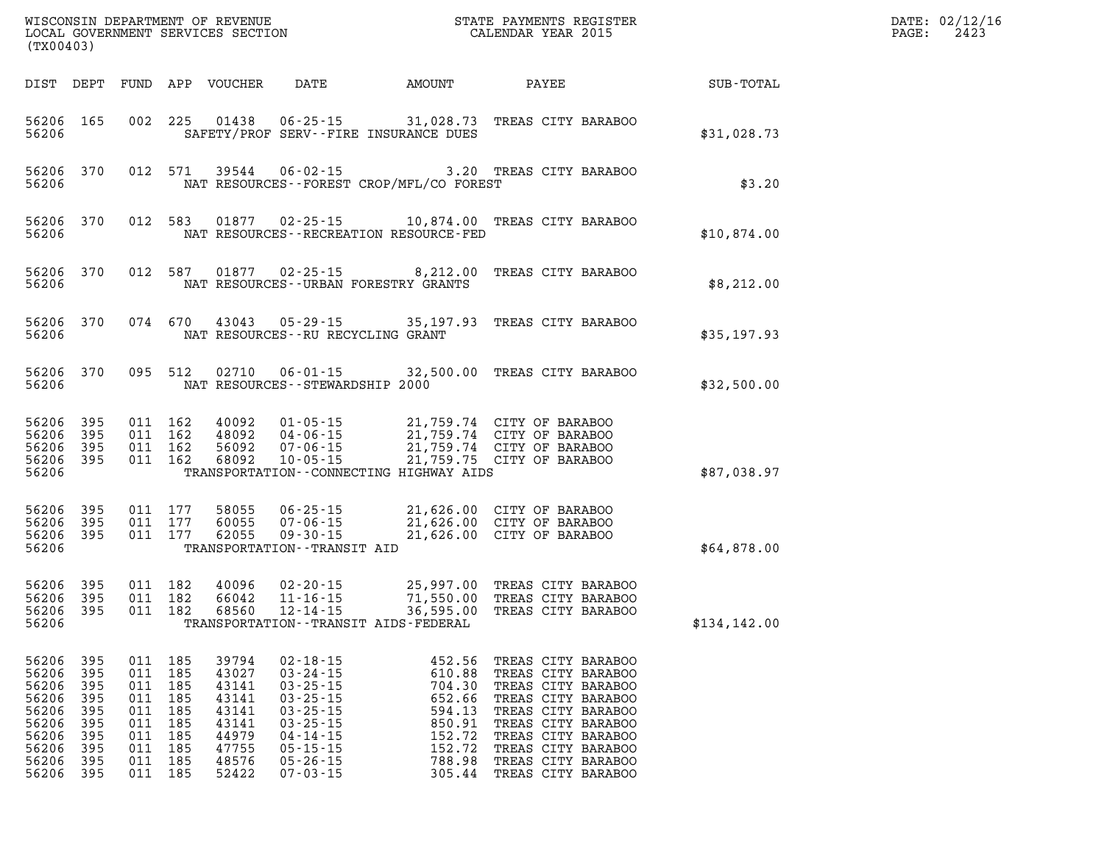| (TX00403)                                                                              |                                                                    |                                                                        |                                                             | WISCONSIN DEPARTMENT OF REVENUE<br>LOCAL GOVERNMENT SERVICES SECTION                   |                                                                                                                                                                                  |                                                                                                  | STATE PAYMENTS REGISTER<br>CALENDAR YEAR 2015                                                                                                                                                                            |              | DATE: 02/12/16<br>2423<br>PAGE: |
|----------------------------------------------------------------------------------------|--------------------------------------------------------------------|------------------------------------------------------------------------|-------------------------------------------------------------|----------------------------------------------------------------------------------------|----------------------------------------------------------------------------------------------------------------------------------------------------------------------------------|--------------------------------------------------------------------------------------------------|--------------------------------------------------------------------------------------------------------------------------------------------------------------------------------------------------------------------------|--------------|---------------------------------|
|                                                                                        | DIST DEPT                                                          |                                                                        |                                                             | FUND APP VOUCHER                                                                       | DATE                                                                                                                                                                             | AMOUNT                                                                                           | PAYEE                                                                                                                                                                                                                    | SUB-TOTAL    |                                 |
| 56206 165<br>56206                                                                     |                                                                    |                                                                        | 002 225                                                     | 01438                                                                                  |                                                                                                                                                                                  | $06 - 25 - 15$ 31,028.73<br>SAFETY/PROF SERV--FIRE INSURANCE DUES                                | TREAS CITY BARABOO                                                                                                                                                                                                       | \$31,028.73  |                                 |
| 56206<br>56206                                                                         | 370                                                                |                                                                        | 012 571                                                     | 39544                                                                                  |                                                                                                                                                                                  | NAT RESOURCES - - FOREST CROP/MFL/CO FOREST                                                      | 06-02-15 3.20 TREAS CITY BARABOO                                                                                                                                                                                         | \$3.20       |                                 |
| 56206<br>56206                                                                         | 370                                                                |                                                                        | 012 583                                                     | 01877                                                                                  |                                                                                                                                                                                  | NAT RESOURCES - - RECREATION RESOURCE - FED                                                      | 02-25-15 10,874.00 TREAS CITY BARABOO                                                                                                                                                                                    | \$10,874.00  |                                 |
| 56206<br>56206                                                                         | 370                                                                |                                                                        | 012 587                                                     | 01877                                                                                  |                                                                                                                                                                                  | $02 - 25 - 15$ 8, 212.00<br>NAT RESOURCES--URBAN FORESTRY GRANTS                                 | TREAS CITY BARABOO                                                                                                                                                                                                       | \$8,212.00   |                                 |
| 56206<br>56206                                                                         | 370                                                                |                                                                        | 074 670                                                     | 43043                                                                                  |                                                                                                                                                                                  | $05 - 29 - 15$ 35, 197.93<br>NAT RESOURCES -- RU RECYCLING GRANT                                 | TREAS CITY BARABOO                                                                                                                                                                                                       | \$35,197.93  |                                 |
| 56206<br>56206                                                                         | 370                                                                |                                                                        | 095 512                                                     | 02710                                                                                  | NAT RESOURCES - - STEWARDSHIP 2000                                                                                                                                               |                                                                                                  | 06-01-15 32,500.00 TREAS CITY BARABOO                                                                                                                                                                                    | \$32,500.00  |                                 |
| 56206<br>56206<br>56206<br>56206<br>56206                                              | 395<br>395<br>395<br>395                                           | 011                                                                    | 011 162<br>011 162<br>162<br>011 162                        | 40092<br>48092<br>56092<br>68092                                                       | $01 - 05 - 15$<br>04-06-15<br>$07 - 06 - 15$<br>$10 - 05 - 15$                                                                                                                   | TRANSPORTATION--CONNECTING HIGHWAY AIDS                                                          | 21,759.74 CITY OF BARABOO<br>21,759.74 CITY OF BARABOO<br>21,759.74 CITY OF BARABOO<br>21,759.75 CITY OF BARABOO                                                                                                         | \$87,038.97  |                                 |
| 56206<br>56206<br>56206<br>56206                                                       | 395<br>395<br>395                                                  |                                                                        | 011 177<br>011 177<br>011 177                               | 58055<br>60055<br>62055                                                                | $06 - 25 - 15$<br>07-06-15<br>$09 - 30 - 15$<br>TRANSPORTATION - - TRANSIT AID                                                                                                   | 21,626.00 CITY OF BARABOO<br>21,626.00 CITY OF BARABOO                                           | 21,626.00 CITY OF BARABOO                                                                                                                                                                                                | \$64,878.00  |                                 |
| 56206<br>56206<br>56206<br>56206                                                       | 395<br>395<br>395                                                  | 011 182<br>011 182                                                     | 011 182                                                     | 40096<br>66042<br>68560                                                                | 02-20-15<br>$11 - 16 - 15$<br>$12 - 14 - 15$                                                                                                                                     | TRANSPORTATION - - TRANSIT AIDS - FEDERAL                                                        | 25,997.00 TREAS CITY BARABOO<br>71,550.00 TREAS CITY BARABOO<br>36,595.00 TREAS CITY BARABOO                                                                                                                             | \$134,142.00 |                                 |
| 56206<br>56206<br>56206<br>56206<br>56206<br>56206<br>56206<br>56206<br>56206<br>56206 | 395<br>395<br>395<br>395<br>395<br>395<br>395<br>395<br>395<br>395 | 011<br>011<br>011<br>011<br>011<br>011<br>011<br>011<br>011<br>011 185 | 185<br>185<br>185<br>185<br>185<br>185<br>185<br>185<br>185 | 39794<br>43027<br>43141<br>43141<br>43141<br>43141<br>44979<br>47755<br>48576<br>52422 | $02 - 18 - 15$<br>$03 - 24 - 15$<br>$03 - 25 - 15$<br>$03 - 25 - 15$<br>$03 - 25 - 15$<br>$03 - 25 - 15$<br>$04 - 14 - 15$<br>$05 - 15 - 15$<br>$05 - 26 - 15$<br>$07 - 03 - 15$ | 452.56<br>610.88<br>704.30<br>652.66<br>594.13<br>850.91<br>152.72<br>152.72<br>788.98<br>305.44 | TREAS CITY BARABOO<br>TREAS CITY BARABOO<br>TREAS CITY BARABOO<br>TREAS CITY BARABOO<br>TREAS CITY BARABOO<br>TREAS CITY BARABOO<br>TREAS CITY BARABOO<br>TREAS CITY BARABOO<br>TREAS CITY BARABOO<br>TREAS CITY BARABOO |              |                                 |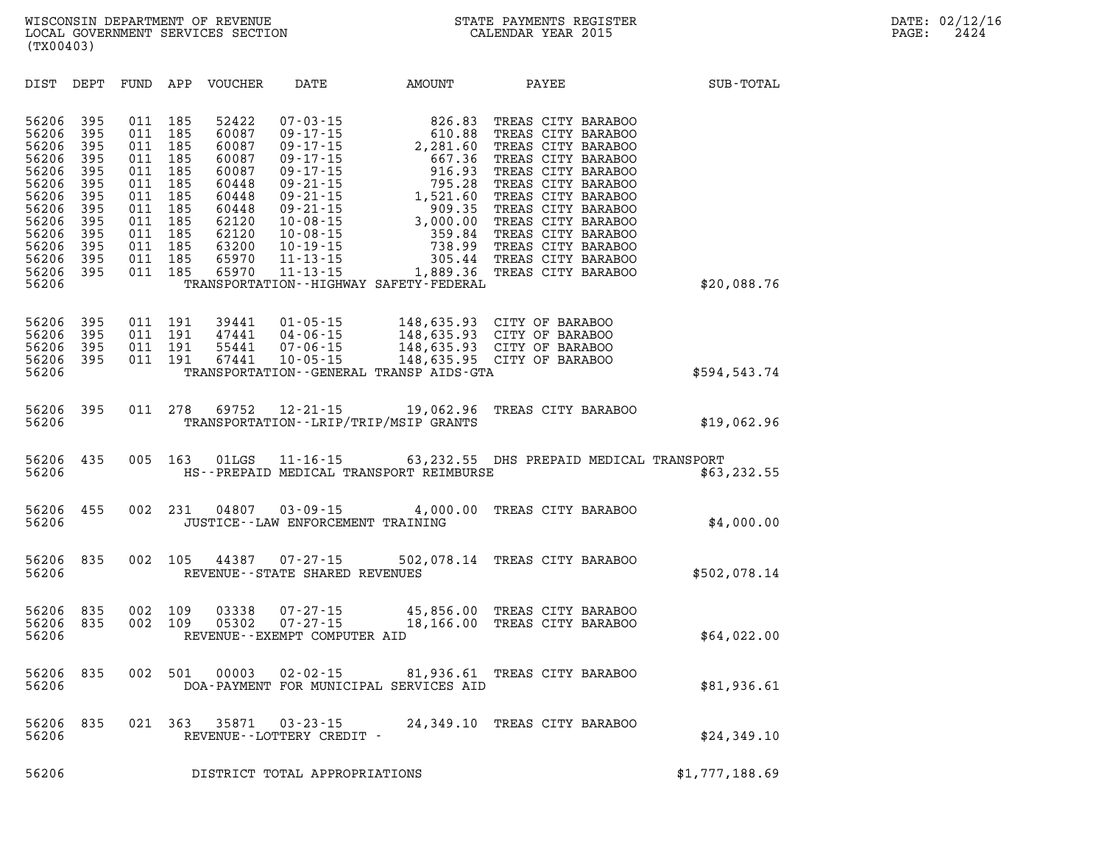| DIST                                                                                                                       | DEPT                                                                                    | FUND                                                                                    | APP                                                                                     | <b>VOUCHER</b>                                                                                                    | DATE                                                                                                                                                                                                                                   | AMOUNT                                                                                                                                                                                | PAYEE                                                                                                                                                                                                                                                                                      | SUB-TOTAL      |
|----------------------------------------------------------------------------------------------------------------------------|-----------------------------------------------------------------------------------------|-----------------------------------------------------------------------------------------|-----------------------------------------------------------------------------------------|-------------------------------------------------------------------------------------------------------------------|----------------------------------------------------------------------------------------------------------------------------------------------------------------------------------------------------------------------------------------|---------------------------------------------------------------------------------------------------------------------------------------------------------------------------------------|--------------------------------------------------------------------------------------------------------------------------------------------------------------------------------------------------------------------------------------------------------------------------------------------|----------------|
| 56206<br>56206<br>56206<br>56206<br>56206<br>56206<br>56206<br>56206<br>56206<br>56206<br>56206<br>56206<br>56206<br>56206 | 395<br>395<br>395<br>395<br>395<br>395<br>395<br>395<br>395<br>395<br>395<br>395<br>395 | 011<br>011<br>011<br>011<br>011<br>011<br>011<br>011<br>011<br>011<br>011<br>011<br>011 | 185<br>185<br>185<br>185<br>185<br>185<br>185<br>185<br>185<br>185<br>185<br>185<br>185 | 52422<br>60087<br>60087<br>60087<br>60087<br>60448<br>60448<br>60448<br>62120<br>62120<br>63200<br>65970<br>65970 | $07 - 03 - 15$<br>$09 - 17 - 15$<br>$09 - 17 - 15$<br>$09 - 17 - 15$<br>$09 - 17 - 15$<br>$09 - 21 - 15$<br>$09 - 21 - 15$<br>$09 - 21 - 15$<br>$10 - 08 - 15$<br>$10 - 08 - 15$<br>$10 - 19 - 15$<br>$11 - 13 - 15$<br>$11 - 13 - 15$ | 826.83<br>610.88<br>2,281.60<br>667.36<br>916.93<br>795.28<br>1,521.60<br>909.35<br>3,000.00<br>359.84<br>738.99<br>305.44<br>1,889.36<br>TRANSPORTATION - - HIGHWAY SAFETY - FEDERAL | TREAS CITY BARABOO<br>TREAS CITY BARABOO<br>TREAS CITY BARABOO<br>TREAS CITY BARABOO<br>TREAS CITY BARABOO<br>TREAS CITY BARABOO<br>TREAS CITY BARABOO<br>TREAS CITY BARABOO<br>TREAS CITY BARABOO<br>TREAS CITY BARABOO<br>TREAS CITY BARABOO<br>TREAS CITY BARABOO<br>TREAS CITY BARABOO | \$20,088.76    |
| 56206<br>56206<br>56206<br>56206<br>56206                                                                                  | 395<br>395<br>395<br>395                                                                | 011<br>011<br>011<br>011                                                                | 191<br>191<br>191<br>191                                                                | 39441<br>47441<br>55441<br>67441                                                                                  | $01 - 05 - 15$<br>$04 - 06 - 15$<br>$07 - 06 - 15$<br>10-05-15                                                                                                                                                                         | 148,635.93<br>TRANSPORTATION--GENERAL TRANSP AIDS-GTA                                                                                                                                 | CITY OF BARABOO<br>148,635.93 CITY OF BARABOO<br>148,635.93 CITY OF BARABOO<br>148,635.95 CITY OF BARABOO                                                                                                                                                                                  | \$594,543.74   |
| 56206<br>56206                                                                                                             | 395                                                                                     | 011                                                                                     | 278                                                                                     | 69752                                                                                                             | $12 - 21 - 15$                                                                                                                                                                                                                         | 19,062.96<br>TRANSPORTATION--LRIP/TRIP/MSIP GRANTS                                                                                                                                    | TREAS CITY BARABOO                                                                                                                                                                                                                                                                         | \$19,062.96    |
| 56206<br>56206                                                                                                             | 435                                                                                     | 005                                                                                     | 163                                                                                     | 01LGS                                                                                                             |                                                                                                                                                                                                                                        | HS--PREPAID MEDICAL TRANSPORT REIMBURSE                                                                                                                                               | 11-16-15 63,232.55 DHS PREPAID MEDICAL TRANSPORT                                                                                                                                                                                                                                           | \$63, 232.55   |
| 56206<br>56206                                                                                                             | 455                                                                                     | 002                                                                                     | 231                                                                                     | 04807                                                                                                             | $03 - 09 - 15$<br>JUSTICE - - LAW ENFORCEMENT TRAINING                                                                                                                                                                                 | 4,000.00                                                                                                                                                                              | TREAS CITY BARABOO                                                                                                                                                                                                                                                                         | \$4,000.00     |
| 56206<br>56206                                                                                                             | 835                                                                                     | 002                                                                                     | 105                                                                                     | 44387                                                                                                             | $07 - 27 - 15$<br>REVENUE - - STATE SHARED REVENUES                                                                                                                                                                                    |                                                                                                                                                                                       | 502,078.14 TREAS CITY BARABOO                                                                                                                                                                                                                                                              | \$502,078.14   |
| 56206<br>56206<br>56206                                                                                                    | 835<br>835                                                                              | 002<br>002                                                                              | 109<br>109                                                                              | 03338<br>05302                                                                                                    | $07 - 27 - 15$<br>$07 - 27 - 15$<br>REVENUE--EXEMPT COMPUTER AID                                                                                                                                                                       | 45,856.00<br>18,166.00                                                                                                                                                                | TREAS CITY BARABOO<br>TREAS CITY BARABOO                                                                                                                                                                                                                                                   | \$64,022.00    |
| 56206<br>56206                                                                                                             | 835                                                                                     | 002                                                                                     | 501                                                                                     | 00003                                                                                                             | $02 - 02 - 15$                                                                                                                                                                                                                         | 81,936.61<br>DOA-PAYMENT FOR MUNICIPAL SERVICES AID                                                                                                                                   | TREAS CITY BARABOO                                                                                                                                                                                                                                                                         | \$81,936.61    |
| 56206<br>56206                                                                                                             | 835                                                                                     | 021                                                                                     | 363                                                                                     | 35871                                                                                                             | $03 - 23 - 15$<br>REVENUE - - LOTTERY CREDIT -                                                                                                                                                                                         | 24,349.10                                                                                                                                                                             | TREAS CITY BARABOO                                                                                                                                                                                                                                                                         | \$24,349.10    |
| 56206                                                                                                                      |                                                                                         |                                                                                         |                                                                                         |                                                                                                                   | DISTRICT TOTAL APPROPRIATIONS                                                                                                                                                                                                          |                                                                                                                                                                                       |                                                                                                                                                                                                                                                                                            | \$1,777,188.69 |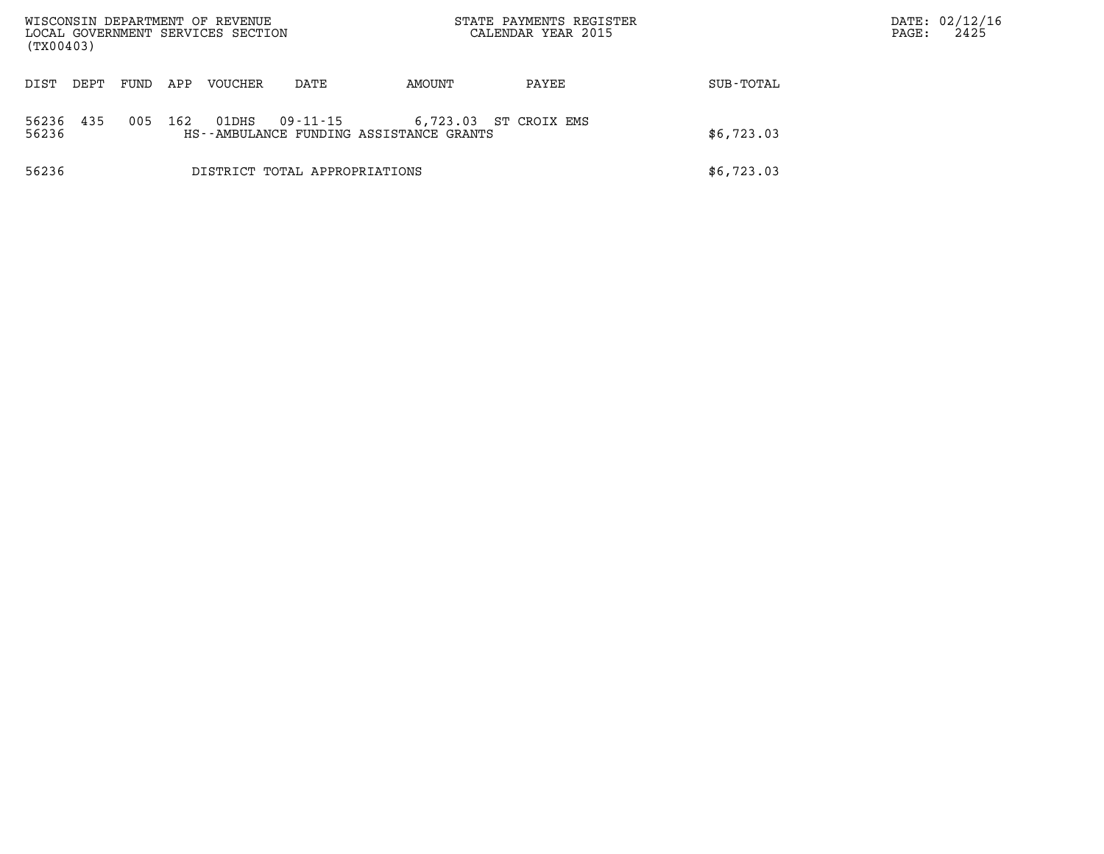| (TX00403)      |      |      |     | WISCONSIN DEPARTMENT OF REVENUE<br>LOCAL GOVERNMENT SERVICES SECTION |                               | STATE PAYMENTS REGISTER<br>CALENDAR YEAR 2015       |              |            | DATE: 02/12/16<br>2425<br>PAGE: |
|----------------|------|------|-----|----------------------------------------------------------------------|-------------------------------|-----------------------------------------------------|--------------|------------|---------------------------------|
| DIST           | DEPT | FUND | APP | <b>VOUCHER</b>                                                       | DATE                          | AMOUNT                                              | PAYEE        | SUB-TOTAL  |                                 |
| 56236<br>56236 | 435  | 005  | 162 | 01DHS                                                                | 09-11-15                      | 6,723.03<br>HS--AMBULANCE FUNDING ASSISTANCE GRANTS | ST CROIX EMS | \$6,723.03 |                                 |
| 56236          |      |      |     |                                                                      | DISTRICT TOTAL APPROPRIATIONS |                                                     |              | \$6,723.03 |                                 |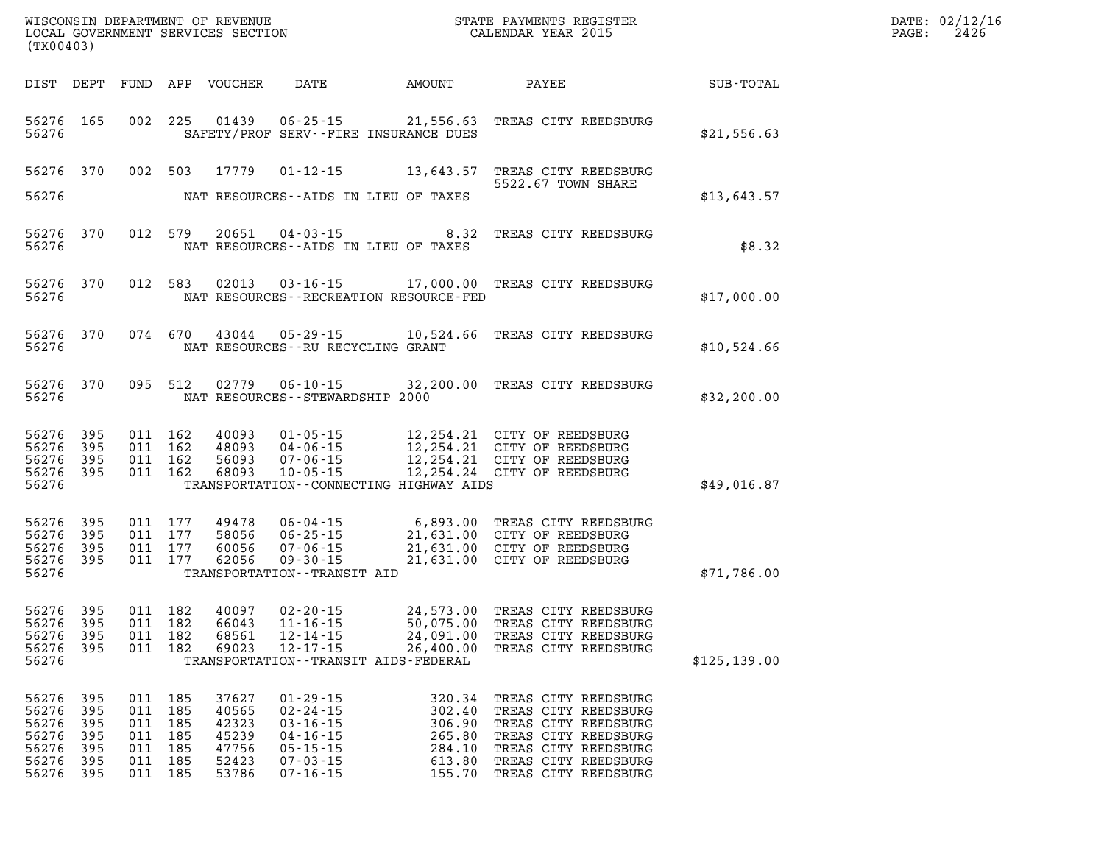| (TX00403)                                                                               |         |                                                                |                                                             |                                                                                                                            |                                                                    | WISCONSIN DEPARTMENT OF REVENUE<br>LOCAL GOVERNMENT SERVICES SECTION<br>(my00402)                                                                                    |               | DATE: 02/12/16<br>$\mathtt{PAGE}$ :<br>2426 |
|-----------------------------------------------------------------------------------------|---------|----------------------------------------------------------------|-------------------------------------------------------------|----------------------------------------------------------------------------------------------------------------------------|--------------------------------------------------------------------|----------------------------------------------------------------------------------------------------------------------------------------------------------------------|---------------|---------------------------------------------|
|                                                                                         |         |                                                                | DIST DEPT FUND APP VOUCHER                                  |                                                                                                                            | DATE AMOUNT                                                        | <b>PAYEE</b>                                                                                                                                                         | SUB-TOTAL     |                                             |
| 56276 165<br>56276                                                                      |         |                                                                |                                                             |                                                                                                                            | SAFETY/PROF SERV--FIRE INSURANCE DUES                              | 002 225 01439 06-25-15 21,556.63 TREAS CITY REEDSBURG                                                                                                                | \$21,556.63   |                                             |
| 56276 370<br>56276                                                                      |         |                                                                |                                                             | NAT RESOURCES--AIDS IN LIEU OF TAXES                                                                                       |                                                                    | 002 503 17779 01-12-15 13,643.57 TREAS CITY REEDSBURG<br>5522.67 TOWN SHARE                                                                                          | \$13,643.57   |                                             |
| 56276 370<br>56276                                                                      |         | 012 579                                                        |                                                             | NAT RESOURCES -- AIDS IN LIEU OF TAXES                                                                                     |                                                                    | 20651  04-03-15  8.32  TREAS CITY REEDSBURG                                                                                                                          | \$8.32        |                                             |
| 56276 370<br>56276                                                                      |         | 012 583                                                        |                                                             |                                                                                                                            | NAT RESOURCES - - RECREATION RESOURCE - FED                        | 02013  03-16-15  17,000.00  TREAS CITY REEDSBURG                                                                                                                     | \$17,000.00   |                                             |
| 56276 370<br>56276                                                                      |         |                                                                |                                                             | NAT RESOURCES -- RU RECYCLING GRANT                                                                                        |                                                                    | 074 670 43044 05-29-15 10,524.66 TREAS CITY REEDSBURG                                                                                                                | \$10,524.66   |                                             |
| 56276 370<br>56276                                                                      |         |                                                                |                                                             | NAT RESOURCES - - STEWARDSHIP 2000                                                                                         |                                                                    | 095 512 02779 06-10-15 32,200.00 TREAS CITY REEDSBURG                                                                                                                | \$32, 200.00  |                                             |
| 56276 395<br>56276 395<br>56276 395<br>56276 395<br>56276                               |         | 011 162<br>011 162<br>011 162<br>011 162                       | 40093<br>48093<br>56093<br>68093                            |                                                                                                                            | TRANSPORTATION--CONNECTING HIGHWAY AIDS                            | 01-05-15 12,254.21 CITY OF REEDSBURG<br>04-06-15 12,254.21 CITY OF REEDSBURG<br>07-06-15 12,254.21 CITY OF REEDSBURG<br>10-05-15 12,254.24 CITY OF REEDSBURG         | \$49,016.87   |                                             |
| 56276 395<br>56276 395<br>56276 395<br>56276 395<br>56276                               |         | 011 177<br>011 177<br>011 177<br>011 177                       | 49478<br>58056<br>60056<br>62056                            | TRANSPORTATION - - TRANSIT AID                                                                                             |                                                                    | 06-04-15 6,893.00 TREAS CITY REEDSBURG<br>06-25-15 21,631.00 CITY OF REEDSBURG<br>07-06-15 21,631.00 CITY OF REEDSBURG<br>09-30-15 21,631.00 CITY OF REEDSBURG       | \$71,786.00   |                                             |
| 56276 395<br>56276 395<br>56276 395<br>56276                                            |         | 011 182<br>011 182<br>011 182                                  | 40097<br>66043<br>56276 395 011 182 68561<br>69023          | 02-20-15<br>$11 - 16 - 15$<br>$12 - 14 - 15$<br>TRANSPORTATION - - TRANSIT AIDS - FEDERAL                                  |                                                                    | 24,573.00 TREAS CITY REEDSBURG<br>50,075.00 TREAS CITY REEDSBURG<br>12-14-15 24,091.00 TREAS CITY REEDSBURG<br>12-17-15 26,400.00 TREAS CITY REEDSBURG               | \$125, 139.00 |                                             |
| 56276 395<br>56276 395<br>56276 395<br>56276 395<br>56276 395<br>56276 395<br>56276 395 | 011 185 | 011 185<br>011 185<br>011 185<br>011 185<br>011 185<br>011 185 | 37627<br>40565<br>42323<br>45239<br>47756<br>52423<br>53786 | $01 - 29 - 15$<br>$02 - 24 - 15$<br>$03 - 16 - 15$<br>$04 - 16 - 15$<br>$05 - 15 - 15$<br>$07 - 03 - 15$<br>$07 - 16 - 15$ | 320.34<br>302.40<br>306.90<br>265.80<br>284.10<br>613.80<br>155.70 | TREAS CITY REEDSBURG<br>TREAS CITY REEDSBURG<br>TREAS CITY REEDSBURG<br>TREAS CITY REEDSBURG<br>TREAS CITY REEDSBURG<br>TREAS CITY REEDSBURG<br>TREAS CITY REEDSBURG |               |                                             |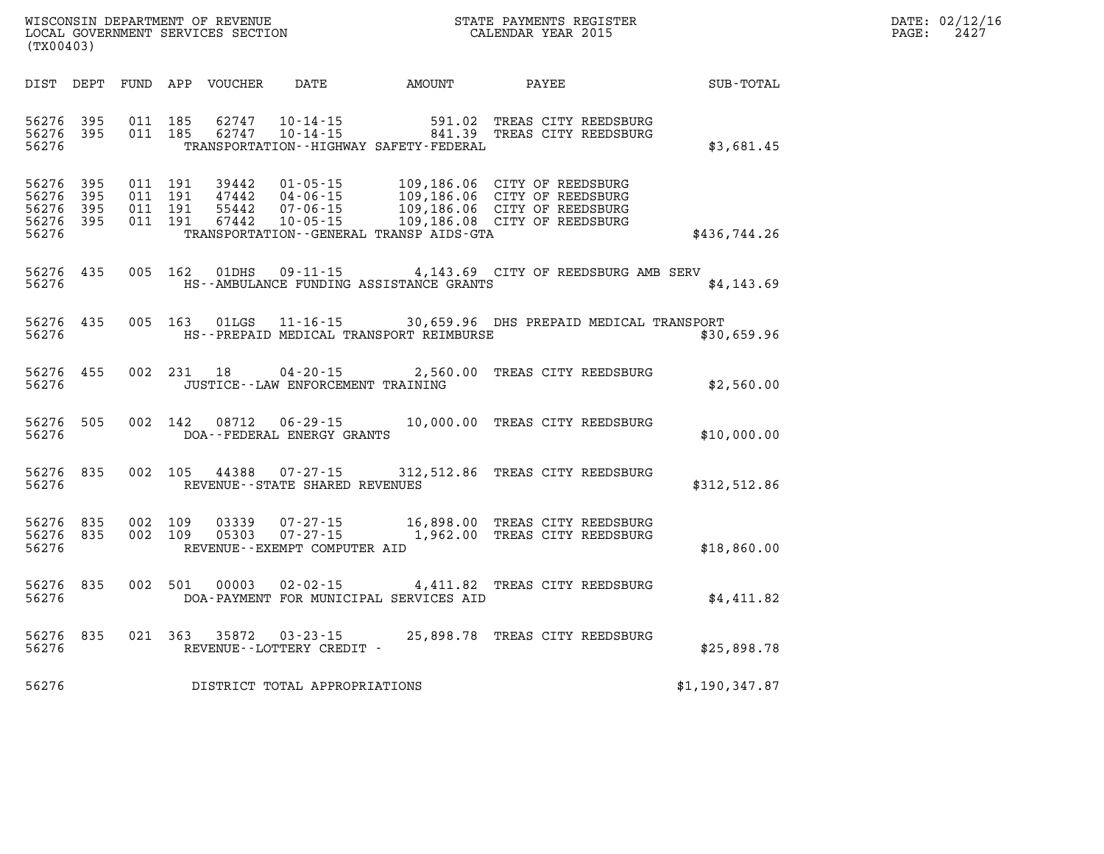| DATE: | 02/12/16 |
|-------|----------|
| PAGE: | 2427     |

| DIST                                      | DEPT                     | FUND                     | APP                      | VOUCHER                          | DATE                                                                 | AMOUNT                                                              | <b>PAYEE</b>                                                                                           | SUB-TOTAL      |
|-------------------------------------------|--------------------------|--------------------------|--------------------------|----------------------------------|----------------------------------------------------------------------|---------------------------------------------------------------------|--------------------------------------------------------------------------------------------------------|----------------|
| 56276<br>56276<br>56276                   | 395<br>395               | 011<br>011               | 185<br>185               | 62747<br>62747                   | $10 - 14 - 15$<br>$10 - 14 - 15$                                     | 591.02<br>841.39<br>TRANSPORTATION - - HIGHWAY SAFETY - FEDERAL     | TREAS CITY REEDSBURG<br>TREAS CITY REEDSBURG                                                           | \$3,681.45     |
| 56276<br>56276<br>56276<br>56276<br>56276 | 395<br>395<br>395<br>395 | 011<br>011<br>011<br>011 | 191<br>191<br>191<br>191 | 39442<br>47442<br>55442<br>67442 | $01 - 05 - 15$<br>$04 - 06 - 15$<br>$07 - 06 - 15$<br>$10 - 05 - 15$ | 109,186.06<br>109,186.06<br>TRANSPORTATION--GENERAL TRANSP AIDS-GTA | CITY OF REEDSBURG<br>CITY OF REEDSBURG<br>109,186.06 CITY OF REEDSBURG<br>109,186.08 CITY OF REEDSBURG | \$436,744.26   |
| 56276<br>56276                            | 435                      | 005                      | 162                      | 01DHS                            | $09 - 11 - 15$                                                       | HS--AMBULANCE FUNDING ASSISTANCE GRANTS                             | 4,143.69 CITY OF REEDSBURG AMB SERV                                                                    | \$4,143.69     |
| 56276<br>56276                            | 435                      | 005                      | 163                      | 01LGS                            |                                                                      | HS--PREPAID MEDICAL TRANSPORT REIMBURSE                             | 11-16-15 30,659.96 DHS PREPAID MEDICAL TRANSPORT                                                       | \$30,659.96    |
| 56276<br>56276                            | 455                      | 002                      | 231                      | 18                               | $04 - 20 - 15$<br>JUSTICE - - LAW ENFORCEMENT TRAINING               | 2,560.00                                                            | TREAS CITY REEDSBURG                                                                                   | \$2,560.00     |
| 56276<br>56276                            | 505                      | 002                      | 142                      | 08712                            | $06 - 29 - 15$<br>DOA--FEDERAL ENERGY GRANTS                         | 10,000.00                                                           | TREAS CITY REEDSBURG                                                                                   | \$10,000.00    |
| 56276<br>56276                            | 835                      | 002                      | 105                      | 44388                            | $07 - 27 - 15$<br>REVENUE - - STATE SHARED REVENUES                  |                                                                     | 312,512.86 TREAS CITY REEDSBURG                                                                        | \$312,512.86   |
| 56276<br>56276<br>56276                   | 835<br>835               | 002<br>002               | 109<br>109               | 03339<br>05303                   | $07 - 27 - 15$<br>$07 - 27 - 15$<br>REVENUE--EXEMPT COMPUTER AID     | 16,898.00<br>1,962.00                                               | TREAS CITY REEDSBURG<br>TREAS CITY REEDSBURG                                                           | \$18,860.00    |
| 56276<br>56276                            | 835                      | 002                      | 501                      | 00003                            |                                                                      | $02 - 02 - 15$ 4,411.82<br>DOA-PAYMENT FOR MUNICIPAL SERVICES AID   | TREAS CITY REEDSBURG                                                                                   | \$4,411.82     |
| 56276<br>56276                            | 835                      | 021                      | 363                      | 35872                            | $03 - 23 - 15$<br>REVENUE--LOTTERY CREDIT -                          | 25,898.78                                                           | TREAS CITY REEDSBURG                                                                                   | \$25,898.78    |
| 56276                                     |                          |                          |                          |                                  | DISTRICT TOTAL APPROPRIATIONS                                        |                                                                     |                                                                                                        | \$1,190,347.87 |

WISCONSIN DEPARTMENT OF REVENUE **STATE PAYMENTS REGISTER**<br>LOCAL GOVERNMENT SERVICES SECTION

LOCAL GOVERNMENT SERVICES SECTION

**(TX00403)**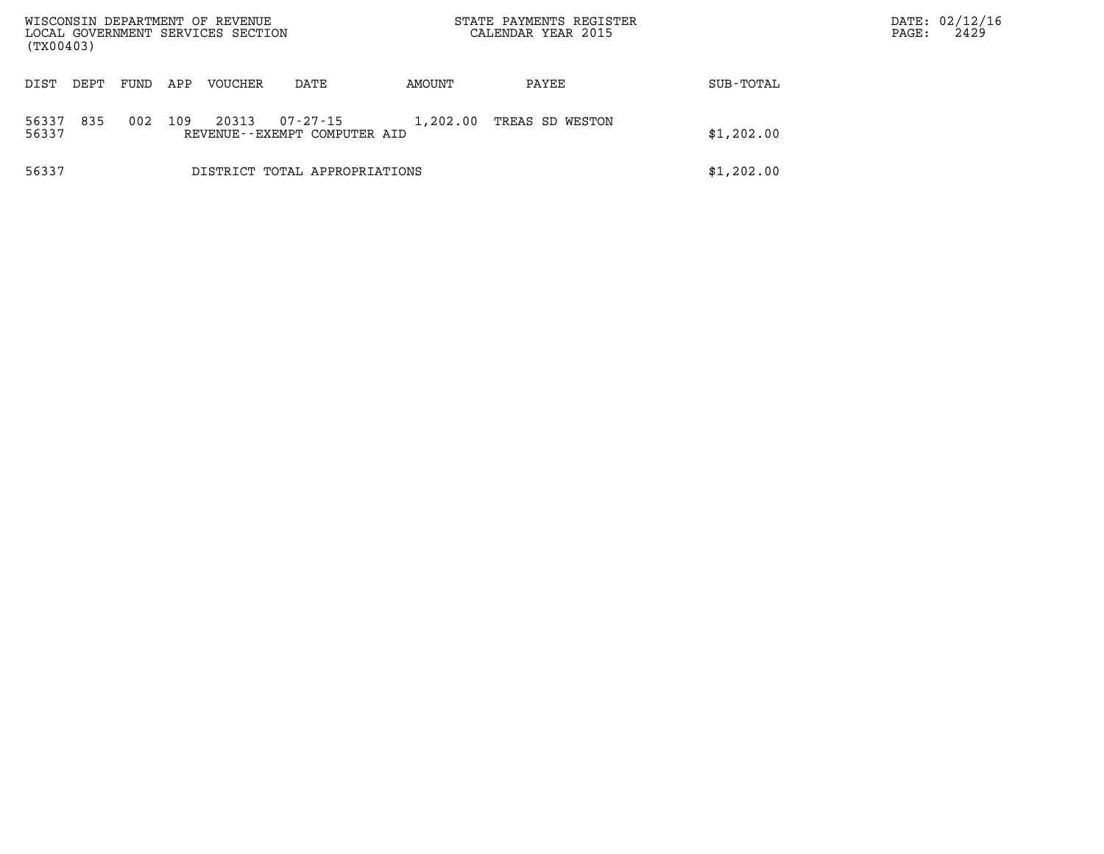| WISCONSIN DEPARTMENT OF REVENUE<br>LOCAL GOVERNMENT SERVICES SECTION<br>(TX00403) |      |      |     |         |                                          |          | STATE PAYMENTS REGISTER<br>CALENDAR YEAR 2015 |            | PAGE: | DATE: 02/12/16<br>2429 |
|-----------------------------------------------------------------------------------|------|------|-----|---------|------------------------------------------|----------|-----------------------------------------------|------------|-------|------------------------|
| DIST                                                                              | DEPT | FUND | APP | VOUCHER | DATE                                     | AMOUNT   | PAYEE                                         | SUB-TOTAL  |       |                        |
| 56337<br>56337                                                                    | 835  | 002  | 109 | 20313   | 07-27-15<br>REVENUE--EXEMPT COMPUTER AID | 1,202.00 | TREAS SD WESTON                               | \$1,202.00 |       |                        |
| 56337                                                                             |      |      |     |         | DISTRICT TOTAL APPROPRIATIONS            |          |                                               | \$1,202.00 |       |                        |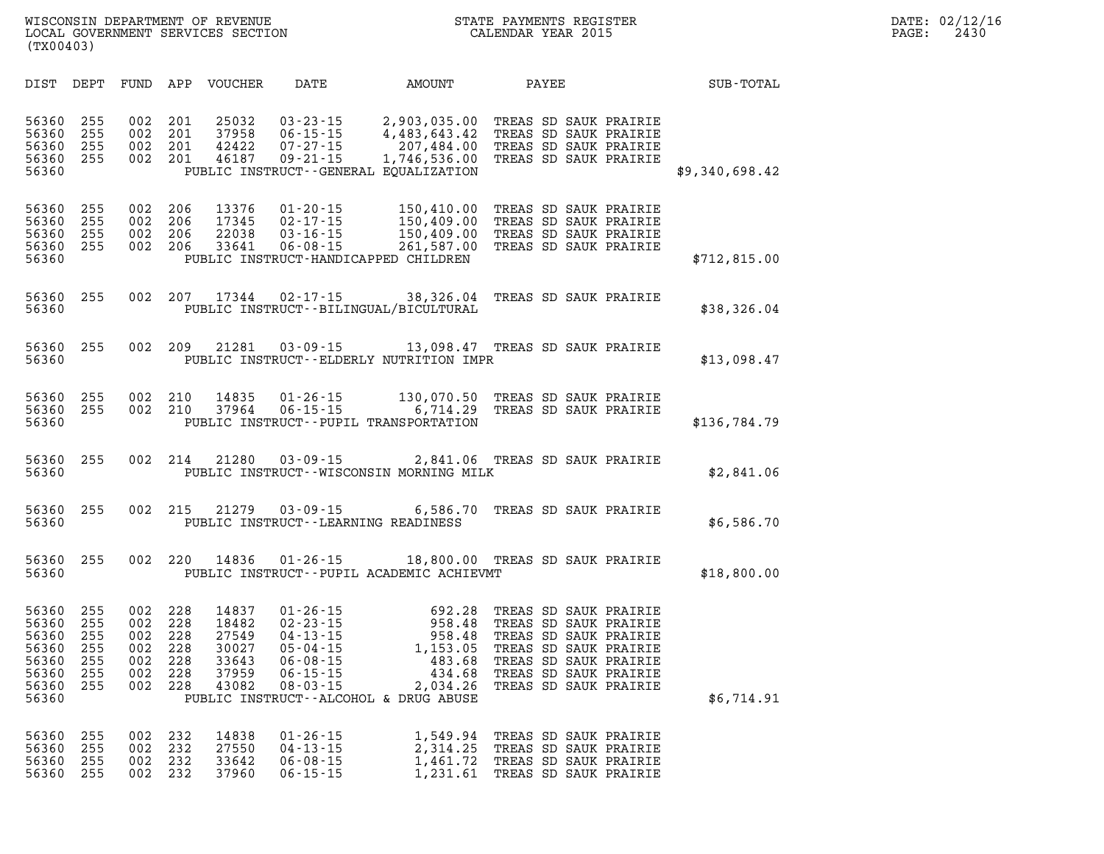| SUB-TOTAL      |                                                                                                                                                                             | PAYEE | <b>AMOUNT</b>                                                                                                   | DATE                                                                                                                       | <b>VOUCHER</b>                                              | APP                                           | FUND                                          | DEPT                                          | DIST                                                                 |
|----------------|-----------------------------------------------------------------------------------------------------------------------------------------------------------------------------|-------|-----------------------------------------------------------------------------------------------------------------|----------------------------------------------------------------------------------------------------------------------------|-------------------------------------------------------------|-----------------------------------------------|-----------------------------------------------|-----------------------------------------------|----------------------------------------------------------------------|
| \$9,340,698.42 | TREAS SD SAUK PRAIRIE<br>TREAS SD SAUK PRAIRIE<br>TREAS SD SAUK PRAIRIE<br>TREAS SD SAUK PRAIRIE                                                                            |       | 2,903,035.00<br>4,483,643.42<br>207,484.00<br>1,746,536.00<br>PUBLIC INSTRUCT - - GENERAL EQUALIZATION          | $03 - 23 - 15$<br>$06 - 15 - 15$<br>$07 - 27 - 15$<br>$09 - 21 - 15$                                                       | 25032<br>37958<br>42422<br>46187                            | 201<br>201<br>201<br>201                      | 002<br>002<br>002<br>002                      | 255<br>255<br>255<br>255                      | 56360<br>56360<br>56360<br>56360<br>56360                            |
| \$712,815.00   | TREAS SD SAUK PRAIRIE<br>TREAS SD SAUK PRAIRIE<br>TREAS SD SAUK PRAIRIE<br>TREAS SD SAUK PRAIRIE                                                                            |       | 150,410.00<br>150,409.00<br>150,409.00<br>261,587.00                                                            | $01 - 20 - 15$<br>$02 - 17 - 15$<br>$03 - 16 - 15$<br>$06 - 08 - 15$<br>PUBLIC INSTRUCT-HANDICAPPED CHILDREN               | 13376<br>17345<br>22038<br>33641                            | 206<br>206<br>206<br>206                      | 002<br>002<br>002<br>002                      | 255<br>255<br>255<br>255                      | 56360<br>56360<br>56360<br>56360<br>56360                            |
| \$38,326.04    | TREAS SD SAUK PRAIRIE                                                                                                                                                       |       | 38,326.04<br>PUBLIC INSTRUCT - - BILINGUAL/BICULTURAL                                                           | $02 - 17 - 15$                                                                                                             | 17344                                                       | 207                                           | 002                                           | 255                                           | 56360<br>56360                                                       |
| \$13,098.47    | TREAS SD SAUK PRAIRIE                                                                                                                                                       |       | 13,098.47<br>PUBLIC INSTRUCT--ELDERLY NUTRITION IMPR                                                            | $03 - 09 - 15$                                                                                                             | 21281                                                       | 209                                           | 002                                           | 255                                           | 56360<br>56360                                                       |
| \$136,784.79   | TREAS SD SAUK PRAIRIE<br>TREAS SD SAUK PRAIRIE                                                                                                                              |       | 130,070.50<br>6,714.29<br>PUBLIC INSTRUCT--PUPIL TRANSPORTATION                                                 | $01 - 26 - 15$<br>$06 - 15 - 15$                                                                                           | 14835<br>37964                                              | 210<br>210                                    | 002<br>002                                    | 255<br>255                                    | 56360<br>56360<br>56360                                              |
| \$2,841.06     | TREAS SD SAUK PRAIRIE                                                                                                                                                       |       | 2,841.06<br>PUBLIC INSTRUCT--WISCONSIN MORNING MILK                                                             | $03 - 09 - 15$                                                                                                             | 21280                                                       | 214                                           | 002                                           | 255                                           | 56360<br>56360                                                       |
| \$6,586.70     | TREAS SD SAUK PRAIRIE                                                                                                                                                       |       | 6,586.70                                                                                                        | $03 - 09 - 15$<br>PUBLIC INSTRUCT - - LEARNING READINESS                                                                   | 21279                                                       | 215                                           | 002                                           | 255                                           | 56360<br>56360                                                       |
| \$18,800.00    |                                                                                                                                                                             |       | 18,800.00 TREAS SD SAUK PRAIRIE<br>PUBLIC INSTRUCT--PUPIL ACADEMIC ACHIEVMT                                     | $01 - 26 - 15$                                                                                                             | 14836                                                       | 220                                           | 002                                           | 255                                           | 56360<br>56360                                                       |
| \$6,714.91     | TREAS SD SAUK PRAIRIE<br>TREAS SD SAUK PRAIRIE<br>TREAS SD SAUK PRAIRIE<br>TREAS SD SAUK PRAIRIE<br>TREAS SD SAUK PRAIRIE<br>TREAS SD SAUK PRAIRIE<br>TREAS SD SAUK PRAIRIE |       | 692.28<br>958.48<br>958.48<br>1,153.05<br>483.68<br>434.68<br>2,034.26<br>PUBLIC INSTRUCT--ALCOHOL & DRUG ABUSE | $01 - 26 - 15$<br>$02 - 23 - 15$<br>$04 - 13 - 15$<br>$05 - 04 - 15$<br>$06 - 08 - 15$<br>$06 - 15 - 15$<br>$08 - 03 - 15$ | 14837<br>18482<br>27549<br>30027<br>33643<br>37959<br>43082 | 228<br>228<br>228<br>228<br>228<br>228<br>228 | 002<br>002<br>002<br>002<br>002<br>002<br>002 | 255<br>255<br>255<br>255<br>255<br>255<br>255 | 56360<br>56360<br>56360<br>56360<br>56360<br>56360<br>56360<br>56360 |
|                | TREAS SD SAUK PRAIRIE<br>TREAS SD SAUK PRAIRIE<br>TREAS SD SAUK PRAIRIE<br>TREAS SD SAUK PRAIRIE                                                                            |       | 1,549.94<br>2,314.25<br>1,461.72<br>1,231.61                                                                    | $01 - 26 - 15$<br>$04 - 13 - 15$<br>$06 - 08 - 15$<br>$06 - 15 - 15$                                                       | 14838<br>27550<br>33642<br>37960                            | 232<br>232<br>232<br>232                      | 002<br>002<br>002<br>002                      | 255<br>255<br>255<br>255                      | 56360<br>56360<br>56360<br>56360                                     |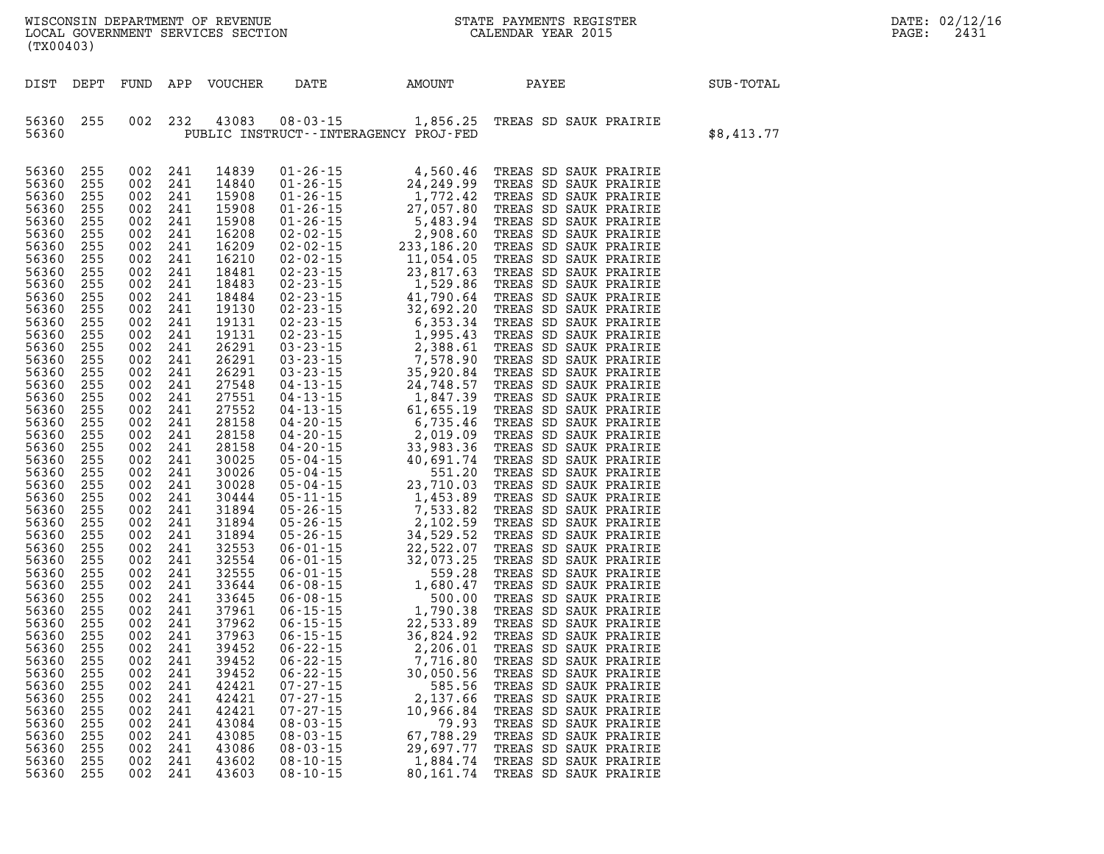| DEPARTMENT OF<br>REVENUE<br>WISCONSIN   | REGISTER<br>PAYMENTS<br>·ጥ∆ጥኩ | DATE: | n n<br>$U \wedge$ |
|-----------------------------------------|-------------------------------|-------|-------------------|
| LOCAL<br>SERVICES SECTION<br>GOVERNMENT | 201!<br>YF.AR<br>.FNDAR       | PAGE  | 243.              |

| (TX00403)                                                                                                                                                                                                                                                                                                                                                                                                                                    |                                                                                                                                                                                                                                                                                                                                              |                                                                                                                                                                                                                                                                                                                                              |                                                                                                                                                                                                                                                                                                                                              |                                                                                                                                                                                                                                                                                                                                                                                                                                              |                                                                                                                                              |                                                                                             |                                                                                                                                                                                                                                                                                                                                                                                                                                                                                  |            |
|----------------------------------------------------------------------------------------------------------------------------------------------------------------------------------------------------------------------------------------------------------------------------------------------------------------------------------------------------------------------------------------------------------------------------------------------|----------------------------------------------------------------------------------------------------------------------------------------------------------------------------------------------------------------------------------------------------------------------------------------------------------------------------------------------|----------------------------------------------------------------------------------------------------------------------------------------------------------------------------------------------------------------------------------------------------------------------------------------------------------------------------------------------|----------------------------------------------------------------------------------------------------------------------------------------------------------------------------------------------------------------------------------------------------------------------------------------------------------------------------------------------|----------------------------------------------------------------------------------------------------------------------------------------------------------------------------------------------------------------------------------------------------------------------------------------------------------------------------------------------------------------------------------------------------------------------------------------------|----------------------------------------------------------------------------------------------------------------------------------------------|---------------------------------------------------------------------------------------------|----------------------------------------------------------------------------------------------------------------------------------------------------------------------------------------------------------------------------------------------------------------------------------------------------------------------------------------------------------------------------------------------------------------------------------------------------------------------------------|------------|
| DIST                                                                                                                                                                                                                                                                                                                                                                                                                                         | DEPT                                                                                                                                                                                                                                                                                                                                         | FUND                                                                                                                                                                                                                                                                                                                                         |                                                                                                                                                                                                                                                                                                                                              |                                                                                                                                                                                                                                                                                                                                                                                                                                              |                                                                                                                                              | APP VOUCHER DATE AMOUNT                                                                     | PAYEE<br>SUB-TOTAL                                                                                                                                                                                                                                                                                                                                                                                                                                                               |            |
| 56360<br>56360                                                                                                                                                                                                                                                                                                                                                                                                                               | 255                                                                                                                                                                                                                                                                                                                                          | 002                                                                                                                                                                                                                                                                                                                                          | 232                                                                                                                                                                                                                                                                                                                                          | 43083                                                                                                                                                                                                                                                                                                                                                                                                                                        |                                                                                                                                              | PUBLIC INSTRUCT - - INTERAGENCY PROJ-FED                                                    | 08-03-15 1,856.25 TREAS SD SAUK PRAIRIE                                                                                                                                                                                                                                                                                                                                                                                                                                          | \$8,413.77 |
| 56360<br>56360<br>56360<br>56360<br>56360<br>56360<br>56360<br>56360<br>56360<br>56360<br>56360<br>56360<br>56360<br>56360<br>56360<br>56360<br>56360<br>56360<br>56360<br>56360<br>56360<br>56360<br>56360<br>56360<br>56360<br>56360<br>56360<br>56360<br>56360<br>56360<br>56360<br>56360<br>56360<br>56360<br>56360<br>56360<br>56360<br>56360<br>56360<br>56360<br>56360<br>56360<br>56360<br>56360<br>56360<br>56360<br>56360<br>56360 | 255<br>255<br>255<br>255<br>255<br>255<br>255<br>255<br>255<br>255<br>255<br>255<br>255<br>255<br>255<br>255<br>255<br>255<br>255<br>255<br>255<br>255<br>255<br>255<br>255<br>255<br>255<br>255<br>255<br>255<br>255<br>255<br>255<br>255<br>255<br>255<br>255<br>255<br>255<br>255<br>255<br>255<br>255<br>255<br>255<br>255<br>255<br>255 | 002<br>002<br>002<br>002<br>002<br>002<br>002<br>002<br>002<br>002<br>002<br>002<br>002<br>002<br>002<br>002<br>002<br>002<br>002<br>002<br>002<br>002<br>002<br>002<br>002<br>002<br>002<br>002<br>002<br>002<br>002<br>002<br>002<br>002<br>002<br>002<br>002<br>002<br>002<br>002<br>002<br>002<br>002<br>002<br>002<br>002<br>002<br>002 | 241<br>241<br>241<br>241<br>241<br>241<br>241<br>241<br>241<br>241<br>241<br>241<br>241<br>241<br>241<br>241<br>241<br>241<br>241<br>241<br>241<br>241<br>241<br>241<br>241<br>241<br>241<br>241<br>241<br>241<br>241<br>241<br>241<br>241<br>241<br>241<br>241<br>241<br>241<br>241<br>241<br>241<br>241<br>241<br>241<br>241<br>241<br>241 | 14839<br>14840<br>15908<br>15908<br>15908<br>16208<br>16209<br>16210<br>18481<br>18483<br>18484<br>19130<br>19131<br>19131<br>26291<br>26291<br>26291<br>27548<br>27551<br>27552<br>28158<br>28158<br>28158<br>30025<br>30026<br>30028<br>30444<br>31894<br>31894<br>31894<br>32553<br>32554<br>32555<br>33644<br>33645<br>37961<br>37962<br>37963<br>39452<br>39452<br>39452<br>42421<br>42421<br>42421<br>43084<br>43085<br>43086<br>43602 | $06 - 22 - 15$<br>$07 - 27 - 15$<br>$07 - 27 - 15$<br>$07 - 27 - 15$<br>$08 - 03 - 15$<br>$08 - 03 - 15$<br>$08 - 03 - 15$<br>$08 - 10 - 15$ | 30,050.56<br>585.56<br>2,137.66<br>10,966.84<br>79.93<br>67,788.29<br>29,697.77<br>1,884.74 | 01.001 1 126.15<br>01.26.15<br>10.26.15<br>10.26.15<br>10.26.15<br>10.26.15<br>10.26.15<br>10.26.15<br>10.26.15<br>10.26.15<br>10.26.15<br>10.26.15<br>10.26.15<br>10.26.15<br>20.02.15<br>20.03.16<br>20.03.16<br>20.03.16<br>20.03.15<br>20.03.15<br>10.54.05<br>10.54<br>TREAS SD SAUK PRAIRIE<br>TREAS SD SAUK PRAIRIE<br>TREAS SD SAUK PRAIRIE<br>TREAS SD SAUK PRAIRIE<br>TREAS SD SAUK PRAIRIE<br>TREAS SD SAUK PRAIRIE<br>TREAS SD SAUK PRAIRIE<br>TREAS SD SAUK PRAIRIE |            |
| 56360                                                                                                                                                                                                                                                                                                                                                                                                                                        | 255                                                                                                                                                                                                                                                                                                                                          | 002                                                                                                                                                                                                                                                                                                                                          | 241                                                                                                                                                                                                                                                                                                                                          | 43603                                                                                                                                                                                                                                                                                                                                                                                                                                        | $08 - 10 - 15$                                                                                                                               | 80,161.74                                                                                   | TREAS SD SAUK PRAIRIE                                                                                                                                                                                                                                                                                                                                                                                                                                                            |            |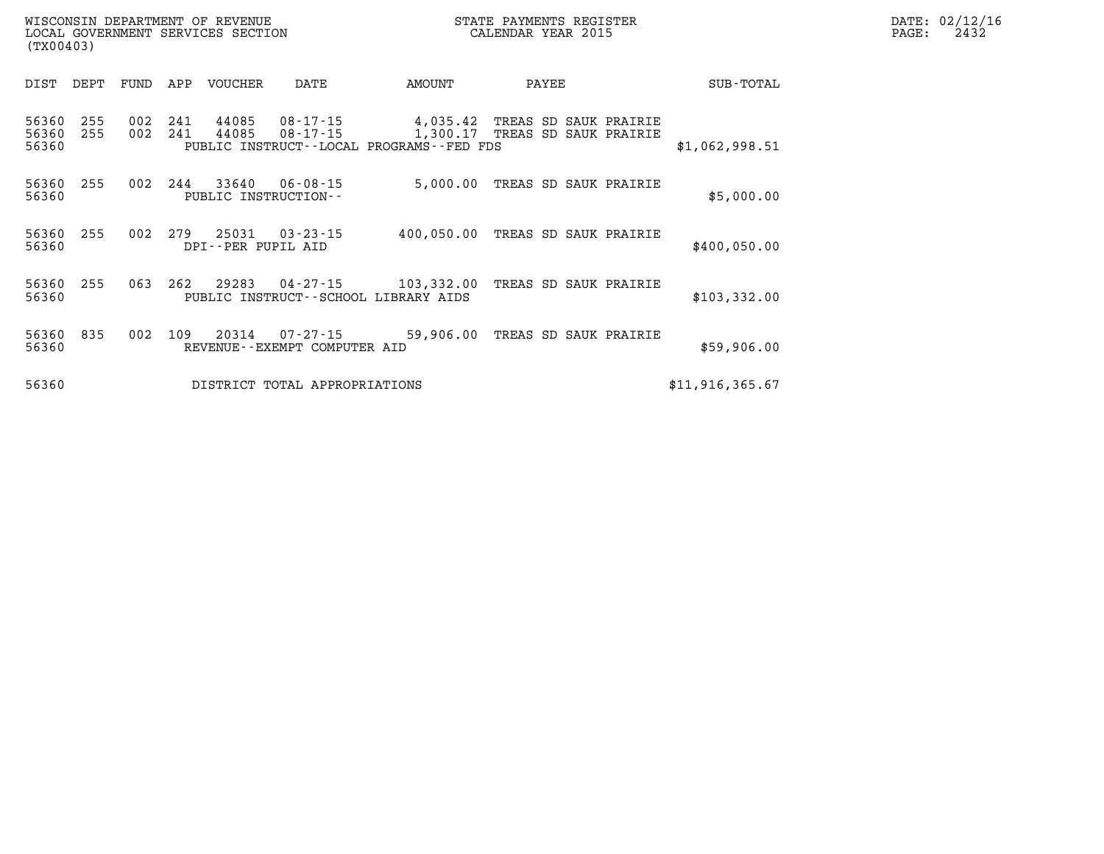| WISCONSIN DEPARTMENT OF REVENUE   | STATE PAYMENTS REGISTER | DATE: 02/12/16 |
|-----------------------------------|-------------------------|----------------|
| LOCAL GOVERNMENT SERVICES SECTION | CALENDAR YEAR 2015      | 2432<br>PAGE:  |

| (TX00403)               |            |            |            | LOCAL GOVERNMENT SERVICES SECTION |                                                |                                                                          | CALENDAR YEAR 2015                             |                 | PAGE: | 2432 |
|-------------------------|------------|------------|------------|-----------------------------------|------------------------------------------------|--------------------------------------------------------------------------|------------------------------------------------|-----------------|-------|------|
| DIST                    | DEPT       | FUND       | APP        | VOUCHER                           | DATE                                           | AMOUNT                                                                   | PAYEE                                          | SUB-TOTAL       |       |      |
| 56360<br>56360<br>56360 | 255<br>255 | 002<br>002 | 241<br>241 | 44085<br>44085                    | $08 - 17 - 15$<br>$08 - 17 - 15$               | 4,035.42<br>1,300.17<br>PUBLIC INSTRUCT--LOCAL PROGRAMS--FED FDS         | TREAS SD SAUK PRAIRIE<br>TREAS SD SAUK PRAIRIE | \$1,062,998.51  |       |      |
| 56360<br>56360          | 255        | 002        | 244        | 33640                             | $06 - 08 - 15$<br>PUBLIC INSTRUCTION--         | 5,000.00                                                                 | TREAS SD SAUK PRAIRIE                          | \$5,000.00      |       |      |
| 56360<br>56360          | 255        | 002        | 279        | 25031<br>DPI--PER PUPIL AID       | $03 - 23 - 15$                                 | 400,050.00                                                               | TREAS SD SAUK PRAIRIE                          | \$400,050.00    |       |      |
| 56360<br>56360          | 255        | 063        | 262        | 29283                             | $04 - 27 - 15$                                 | 103,332.00 TREAS SD SAUK PRAIRIE<br>PUBLIC INSTRUCT--SCHOOL LIBRARY AIDS |                                                | \$103,332.00    |       |      |
| 56360<br>56360          | 835        | 002        | 109        | 20314                             | $07 - 27 - 15$<br>REVENUE--EXEMPT COMPUTER AID | 59,906.00                                                                | TREAS SD SAUK PRAIRIE                          | \$59,906.00     |       |      |
| 56360                   |            |            |            |                                   | DISTRICT TOTAL APPROPRIATIONS                  |                                                                          |                                                | \$11,916,365.67 |       |      |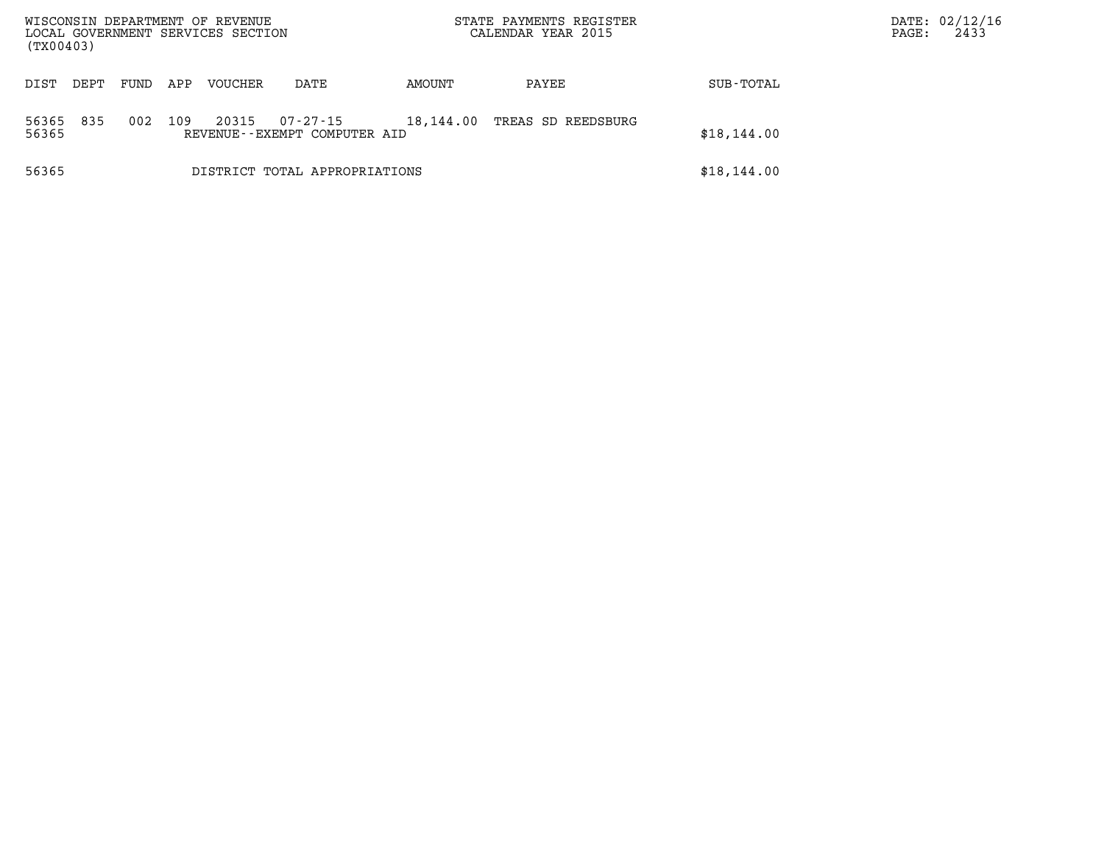| WISCONSIN DEPARTMENT OF REVENUE<br>LOCAL GOVERNMENT SERVICES SECTION<br>(TX00403) |      |      |     |                |                                          |           | STATE PAYMENTS REGISTER<br>CALENDAR YEAR 2015 |             | PAGE: | DATE: 02/12/16<br>2433 |
|-----------------------------------------------------------------------------------|------|------|-----|----------------|------------------------------------------|-----------|-----------------------------------------------|-------------|-------|------------------------|
| DIST                                                                              | DEPT | FUND | APP | <b>VOUCHER</b> | DATE                                     | AMOUNT    | PAYEE                                         | SUB-TOTAL   |       |                        |
| 56365<br>56365                                                                    | 835  | 002  | 109 | 20315          | 07-27-15<br>REVENUE--EXEMPT COMPUTER AID | 18,144.00 | TREAS SD REEDSBURG                            | \$18,144.00 |       |                        |
| 56365                                                                             |      |      |     |                | DISTRICT TOTAL APPROPRIATIONS            |           |                                               | \$18,144.00 |       |                        |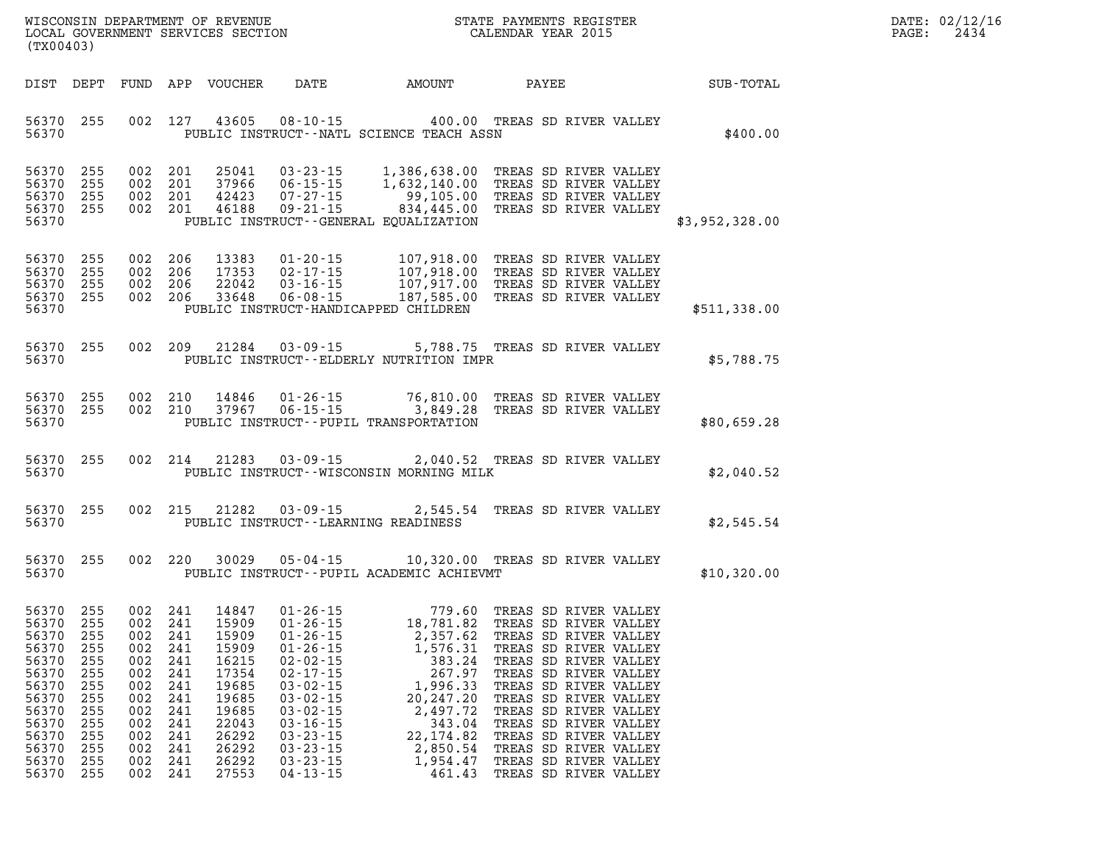| DATE: | 02/12/16 |
|-------|----------|
| PAGE: | 2434     |

| (TX00403)                                                                                                                          |                                                                                  |                                                                    |                                                                                                                | LOCAL GOVERNMENT SERVICES SECTION                                                                                          |                                                                                                                                                                                                    | CALENDAR YEAR 2015                                                                                                                                                                                                                                           |                                                                                                                                                                                                                                                                                          |                                              | PAGE: | 2434 |
|------------------------------------------------------------------------------------------------------------------------------------|----------------------------------------------------------------------------------|--------------------------------------------------------------------|----------------------------------------------------------------------------------------------------------------|----------------------------------------------------------------------------------------------------------------------------|----------------------------------------------------------------------------------------------------------------------------------------------------------------------------------------------------|--------------------------------------------------------------------------------------------------------------------------------------------------------------------------------------------------------------------------------------------------------------|------------------------------------------------------------------------------------------------------------------------------------------------------------------------------------------------------------------------------------------------------------------------------------------|----------------------------------------------|-------|------|
|                                                                                                                                    | DIST DEPT                                                                        |                                                                    |                                                                                                                |                                                                                                                            |                                                                                                                                                                                                    |                                                                                                                                                                                                                                                              |                                                                                                                                                                                                                                                                                          | FUND APP VOUCHER DATE AMOUNT PAYEE SUB-TOTAL |       |      |
| 56370<br>56370                                                                                                                     | 255                                                                              |                                                                    |                                                                                                                | 002 127 43605                                                                                                              |                                                                                                                                                                                                    | 08-10-15 400.00 TREAS SD RIVER VALLEY<br>PUBLIC INSTRUCT--NATL SCIENCE TEACH ASSN                                                                                                                                                                            |                                                                                                                                                                                                                                                                                          | \$400.00                                     |       |      |
| 56370<br>56370 255<br>56370 255<br>56370 255<br>56370                                                                              | 255                                                                              |                                                                    | 002 201<br>002 201<br>002 201                                                                                  | 002 201 46188                                                                                                              |                                                                                                                                                                                                    | 25041  03-23-15  1,386,638.00 TREAS SD RIVER VALLEY<br>37966  06-15-15  1,632,140.00 TREAS SD RIVER VALLEY<br>42423  07-27-15  99,105.00 TREAS SD RIVER VALLEY<br>46188  09-21-15  834,445.00 TREAS SD RIVER VALLEY<br>PUBLIC INSTRUCT--GENERAL EQUALIZATION |                                                                                                                                                                                                                                                                                          | \$3,952,328.00                               |       |      |
| 56370 255<br>56370<br>56370 255<br>56370 255<br>56370                                                                              | 255                                                                              |                                                                    | 002 206<br>002 206<br>002 206                                                                                  | 13383<br>17353<br>22042<br>002 206 33648                                                                                   |                                                                                                                                                                                                    | 01-20-15 107,918.00 TREAS SD RIVER VALLEY<br>02-17-15 107,918.00 TREAS SD RIVER VALLEY<br>03-16-15 107,917.00 TREAS SD RIVER VALLEY<br>06-08-15 187,585.00 TREAS SD RIVER VALLEY<br>PUBLIC INSTRUCT-HANDICAPPED CHILDREN                                     |                                                                                                                                                                                                                                                                                          | \$511,338.00                                 |       |      |
| 56370 255<br>56370                                                                                                                 |                                                                                  |                                                                    |                                                                                                                |                                                                                                                            |                                                                                                                                                                                                    | 002 209 21284 03-09-15 5,788.75 TREAS SD RIVER VALLEY<br>PUBLIC INSTRUCT--ELDERLY NUTRITION IMPR                                                                                                                                                             |                                                                                                                                                                                                                                                                                          | \$5,788.75                                   |       |      |
| 56370<br>56370<br>56370                                                                                                            | 255<br>255                                                                       |                                                                    |                                                                                                                |                                                                                                                            |                                                                                                                                                                                                    | 002 210 14846 01-26-15 76,810.00 TREAS SD RIVER VALLEY<br>002 210 37967 06-15-15 3,849.28 TREAS SD RIVER VALLEY<br>PUBLIC INSTRUCT--PUPIL TRANSPORTATION                                                                                                     |                                                                                                                                                                                                                                                                                          | \$80,659.28                                  |       |      |
| 56370<br>56370                                                                                                                     | 255                                                                              |                                                                    |                                                                                                                | 002 214 21283                                                                                                              |                                                                                                                                                                                                    | 03-09-15 2,040.52 TREAS SD RIVER VALLEY<br>PUBLIC INSTRUCT--WISCONSIN MORNING MILK                                                                                                                                                                           |                                                                                                                                                                                                                                                                                          | \$2,040.52                                   |       |      |
| 56370<br>56370                                                                                                                     | 255                                                                              |                                                                    | 002 215                                                                                                        | 21282                                                                                                                      |                                                                                                                                                                                                    | 03-09-15 2,545.54 TREAS SD RIVER VALLEY<br>PUBLIC INSTRUCT--LEARNING READINESS                                                                                                                                                                               |                                                                                                                                                                                                                                                                                          | \$2,545.54                                   |       |      |
| 56370<br>56370                                                                                                                     | 255                                                                              |                                                                    |                                                                                                                | 002 220 30029                                                                                                              |                                                                                                                                                                                                    | 05-04-15 10,320.00 TREAS SD RIVER VALLEY<br>PUBLIC INSTRUCT--PUPIL ACADEMIC ACHIEVMT                                                                                                                                                                         |                                                                                                                                                                                                                                                                                          | \$10,320.00                                  |       |      |
| 56370 255<br>56370<br>56370 255<br>56370<br>56370<br>56370<br>56370<br>56370<br>56370<br>56370<br>56370<br>56370<br>56370<br>56370 | 255<br>255<br>255<br>255<br>255<br>255<br>255<br>255<br>255<br>255<br>255<br>255 | 002<br>002<br>002<br>002<br>002<br>002<br>002<br>002<br>002<br>002 | 002 241<br>002 241<br>002 241<br>002 241<br>241<br>241<br>241<br>241<br>241<br>241<br>241<br>241<br>241<br>241 | 14847<br>15909<br>15909<br>15909<br>16215<br>17354<br>19685<br>19685<br>19685<br>22043<br>26292<br>26292<br>26292<br>27553 | $01 - 26 - 15$<br>$02 - 02 - 15$<br>$02 - 17 - 15$<br>$03 - 02 - 15$<br>$03 - 02 - 15$<br>$03 - 02 - 15$<br>$03 - 16 - 15$<br>$03 - 23 - 15$<br>$03 - 23 - 15$<br>$03 - 23 - 15$<br>$04 - 13 - 15$ | 01-26-15 779.60 TREAS SD RIVER VALLEY<br>01-26-15 18,781.82 TREAS SD RIVER VALLEY<br>01-26-15 2,357.62 TREAS SD RIVER VALLEY<br>383.24<br>267.97<br>1,996.33<br>20, 247. 20<br>2,497.72<br>343.04<br>22,174.82<br>2,850.54<br>1,954.47<br>461.43             | 1,576.31 TREAS SD RIVER VALLEY<br>TREAS SD RIVER VALLEY<br>TREAS SD RIVER VALLEY<br>TREAS SD RIVER VALLEY<br>TREAS SD RIVER VALLEY<br>TREAS SD RIVER VALLEY<br>TREAS SD RIVER VALLEY<br>TREAS SD RIVER VALLEY<br>TREAS SD RIVER VALLEY<br>TREAS SD RIVER VALLEY<br>TREAS SD RIVER VALLEY |                                              |       |      |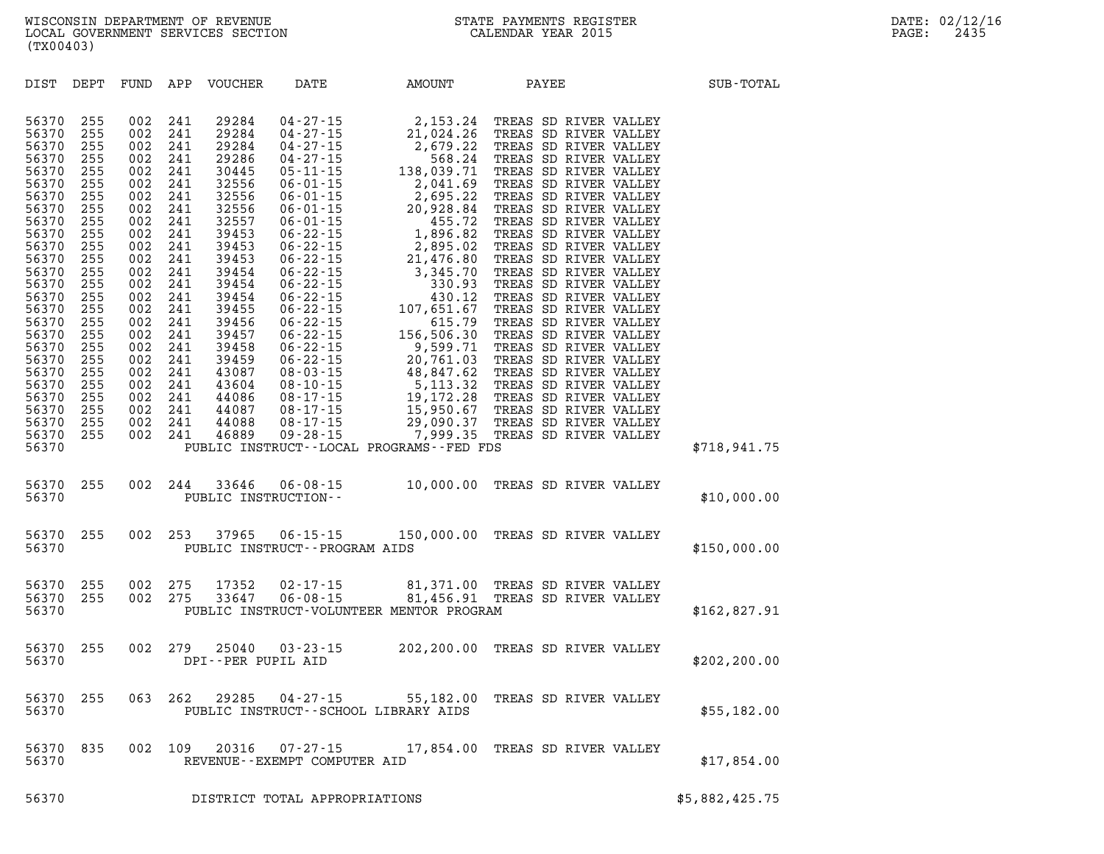| DIST                                                                                                                                                                                                                                   | DEPT                                                                                                                                                                               | FUND                                                                                                                                                                               | APP                                                                                                                                                                                | VOUCHER                                                                                                                                                                                                                                | DATE                                        | <b>AMOUNT</b>                                                                                                  | PAYEE                           | SUB-TOTAL                   |
|----------------------------------------------------------------------------------------------------------------------------------------------------------------------------------------------------------------------------------------|------------------------------------------------------------------------------------------------------------------------------------------------------------------------------------|------------------------------------------------------------------------------------------------------------------------------------------------------------------------------------|------------------------------------------------------------------------------------------------------------------------------------------------------------------------------------|----------------------------------------------------------------------------------------------------------------------------------------------------------------------------------------------------------------------------------------|---------------------------------------------|----------------------------------------------------------------------------------------------------------------|---------------------------------|-----------------------------|
| 56370<br>56370<br>56370<br>56370<br>56370<br>56370<br>56370<br>56370<br>56370<br>56370<br>56370<br>56370<br>56370<br>56370<br>56370<br>56370<br>56370<br>56370<br>56370<br>56370<br>56370<br>56370<br>56370<br>56370<br>56370<br>56370 | 255<br>255<br>255<br>255<br>255<br>255<br>255<br>255<br>255<br>255<br>255<br>255<br>255<br>255<br>255<br>255<br>255<br>255<br>255<br>255<br>255<br>255<br>255<br>255<br>255<br>255 | 002<br>002<br>002<br>002<br>002<br>002<br>002<br>002<br>002<br>002<br>002<br>002<br>002<br>002<br>002<br>002<br>002<br>002<br>002<br>002<br>002<br>002<br>002<br>002<br>002<br>002 | 241<br>241<br>241<br>241<br>241<br>241<br>241<br>241<br>241<br>241<br>241<br>241<br>241<br>241<br>241<br>241<br>241<br>241<br>241<br>241<br>241<br>241<br>241<br>241<br>241<br>241 | 29284<br>29284<br>29284<br>29286<br>30445<br>32556<br>32556<br>32556<br>32557<br>39453<br>39453<br>39453<br>39454<br>39454<br>39454<br>39455<br>39456<br>39457<br>39458<br>39459<br>43087<br>43604<br>44086<br>44087<br>44088<br>46889 |                                             |                                                                                                                |                                 |                             |
| 56370<br>56370<br>56370                                                                                                                                                                                                                | 255                                                                                                                                                                                | 002                                                                                                                                                                                | 244                                                                                                                                                                                | 33646                                                                                                                                                                                                                                  | $06 - 08 - 15$<br>PUBLIC INSTRUCTION--      | PUBLIC INSTRUCT--LOCAL PROGRAMS--FED FDS                                                                       | 10,000.00 TREAS SD RIVER VALLEY | \$718,941.75<br>\$10,000.00 |
| 56370<br>56370                                                                                                                                                                                                                         | 255                                                                                                                                                                                | 002                                                                                                                                                                                | 253                                                                                                                                                                                | 37965                                                                                                                                                                                                                                  | PUBLIC INSTRUCT - - PROGRAM AIDS            | 06-15-15 150,000.00 TREAS SD RIVER VALLEY                                                                      |                                 | \$150,000.00                |
| 56370<br>56370<br>56370                                                                                                                                                                                                                | 255<br>255                                                                                                                                                                         | 002<br>002                                                                                                                                                                         | 275<br>275                                                                                                                                                                         | 17352<br>33647                                                                                                                                                                                                                         | $02 - 17 - 15$<br>$06 - 08 - 15$            | 81,371.00 TREAS SD RIVER VALLEY<br>81,456.91 TREAS SD RIVER VALLEY<br>PUBLIC INSTRUCT-VOLUNTEER MENTOR PROGRAM |                                 | \$162,827.91                |
| 56370<br>56370                                                                                                                                                                                                                         | 255                                                                                                                                                                                | 002                                                                                                                                                                                | 279                                                                                                                                                                                | 25040<br>DPI--PER PUPIL AID                                                                                                                                                                                                            |                                             | 03-23-15 202,200.00 TREAS SD RIVER VALLEY                                                                      |                                 | \$202, 200.00               |
| 56370<br>56370                                                                                                                                                                                                                         | 255                                                                                                                                                                                | 063                                                                                                                                                                                | 262                                                                                                                                                                                | 29285                                                                                                                                                                                                                                  |                                             | 04-27-15 55,182.00 TREAS SD RIVER VALLEY<br>PUBLIC INSTRUCT--SCHOOL LIBRARY AIDS                               |                                 | \$55,182.00                 |
| 56370<br>56370                                                                                                                                                                                                                         | 835                                                                                                                                                                                | 002                                                                                                                                                                                | 109                                                                                                                                                                                | 20316                                                                                                                                                                                                                                  | 07-27-15<br>REVENUE - - EXEMPT COMPUTER AID |                                                                                                                | 17,854.00 TREAS SD RIVER VALLEY | \$17,854.00                 |
| 56370                                                                                                                                                                                                                                  |                                                                                                                                                                                    |                                                                                                                                                                                    |                                                                                                                                                                                    |                                                                                                                                                                                                                                        | DISTRICT TOTAL APPROPRIATIONS               |                                                                                                                |                                 | \$5,882,425.75              |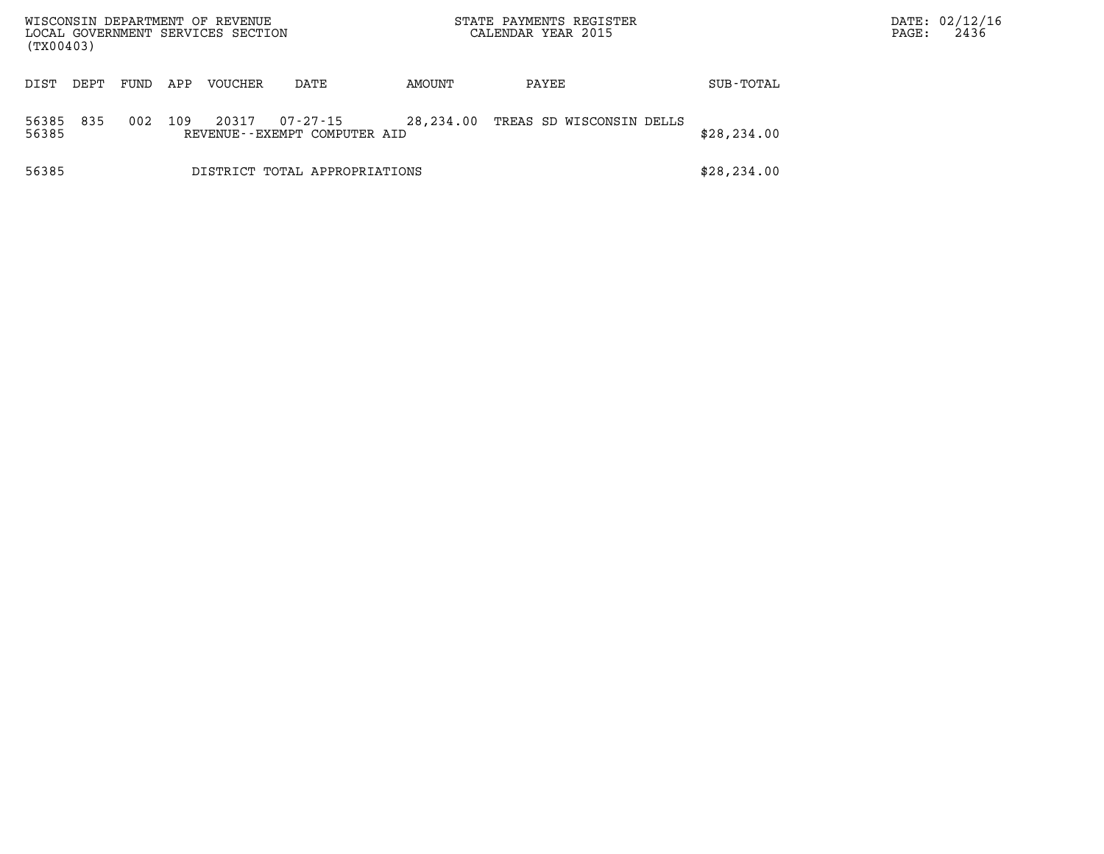| WISCONSIN DEPARTMENT OF REVENUE<br>LOCAL GOVERNMENT SERVICES SECTION<br>(TX00403) |      |      |     |         |                                          |           | STATE PAYMENTS REGISTER<br>CALENDAR YEAR 2015 |              | PAGE: | DATE: 02/12/16<br>2436 |
|-----------------------------------------------------------------------------------|------|------|-----|---------|------------------------------------------|-----------|-----------------------------------------------|--------------|-------|------------------------|
| DIST                                                                              | DEPT | FUND | APP | VOUCHER | DATE                                     | AMOUNT    | PAYEE                                         | SUB-TOTAL    |       |                        |
| 56385<br>56385                                                                    | 835  | 002  | 109 | 20317   | 07-27-15<br>REVENUE--EXEMPT COMPUTER AID | 28,234.00 | TREAS SD WISCONSIN DELLS                      | \$28, 234.00 |       |                        |
| 56385                                                                             |      |      |     |         | DISTRICT TOTAL APPROPRIATIONS            |           |                                               | \$28, 234.00 |       |                        |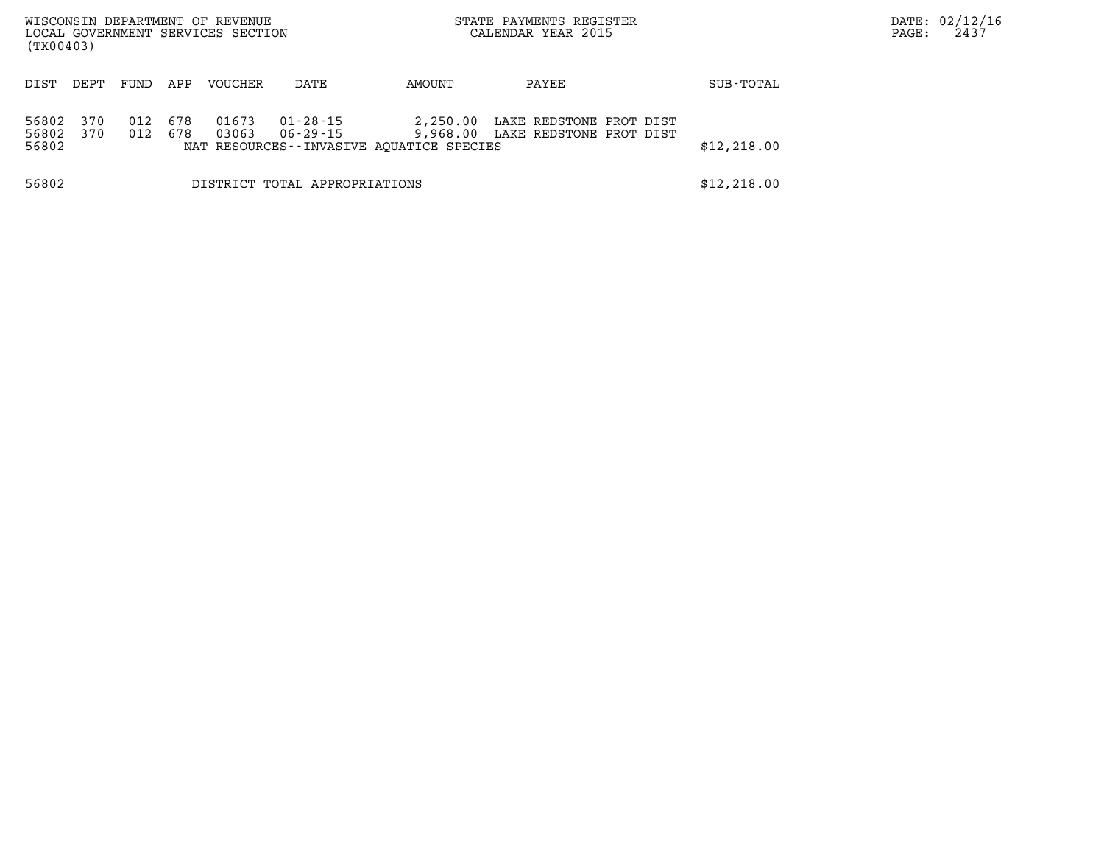| WISCONSIN DEPARTMENT OF REVENUE<br>LOCAL GOVERNMENT SERVICES SECTION<br>(TX00403) |            |            |                |                               |                                                      | STATE PAYMENTS REGISTER<br>CALENDAR YEAR 2015               |             | PAGE: | DATE: 02/12/16<br>2437 |
|-----------------------------------------------------------------------------------|------------|------------|----------------|-------------------------------|------------------------------------------------------|-------------------------------------------------------------|-------------|-------|------------------------|
| DIST<br>DEPT                                                                      | FUND       | APP        | VOUCHER        | DATE                          | AMOUNT                                               | PAYEE                                                       | SUB-TOTAL   |       |                        |
| 56802<br>370<br>56802<br>370<br>56802                                             | 012<br>012 | 678<br>678 | 01673<br>03063 | 01-28-15<br>06-29-15          | 2,250.00<br>NAT RESOURCES--INVASIVE AOUATICE SPECIES | LAKE REDSTONE PROT DIST<br>9,968.00 LAKE REDSTONE PROT DIST | \$12,218.00 |       |                        |
| 56802                                                                             |            |            |                | DISTRICT TOTAL APPROPRIATIONS |                                                      |                                                             | \$12,218.00 |       |                        |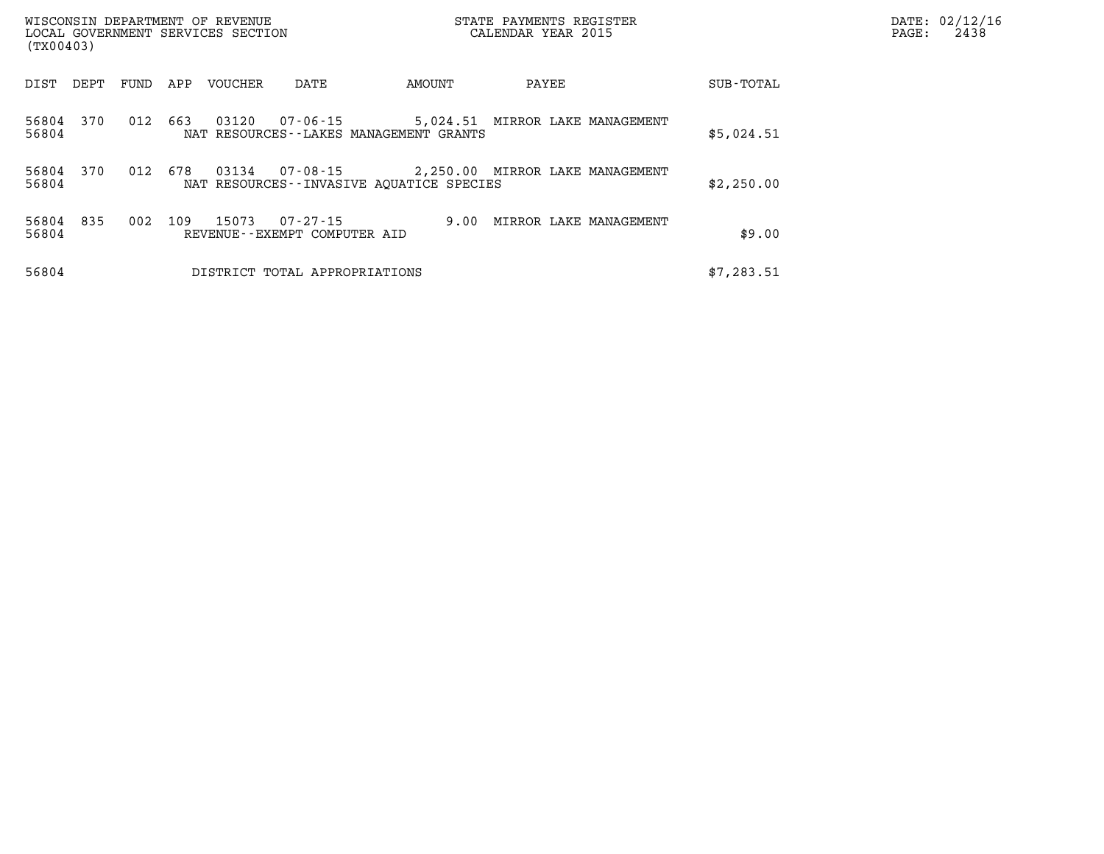| WISCONSIN DEPARTMENT OF REVENUE<br>LOCAL GOVERNMENT SERVICES SECTION<br>(TX00403) |      |     |                                                         |                                                                                      | STATE PAYMENTS REGISTER<br>CALENDAR YEAR 2015 |  | PAGE:      | DATE: 02/12/16<br>2438 |  |
|-----------------------------------------------------------------------------------|------|-----|---------------------------------------------------------|--------------------------------------------------------------------------------------|-----------------------------------------------|--|------------|------------------------|--|
| DIST<br>DEPT                                                                      | FUND | APP | <b>VOUCHER</b><br>DATE                                  | AMOUNT                                                                               | PAYEE                                         |  | SUB-TOTAL  |                        |  |
| 56804<br>370<br>56804                                                             | 012  | 663 | 03120<br>07-06-15                                       | NAT RESOURCES - - LAKES MANAGEMENT GRANTS                                            | 5,024.51 MIRROR LAKE MANAGEMENT               |  | \$5,024.51 |                        |  |
| 370<br>56804<br>56804                                                             | 012  | 678 | 03134                                                   | 07-08-15 2,250.00 MIRROR LAKE MANAGEMENT<br>NAT RESOURCES--INVASIVE AOUATICE SPECIES |                                               |  | \$2,250.00 |                        |  |
| 56804<br>835<br>56804                                                             | 002  | 109 | 15073<br>$07 - 27 - 15$<br>REVENUE--EXEMPT COMPUTER AID | 9.00                                                                                 | MIRROR LAKE MANAGEMENT                        |  | \$9.00     |                        |  |
| 56804                                                                             |      |     | DISTRICT TOTAL APPROPRIATIONS                           |                                                                                      |                                               |  | \$7,283.51 |                        |  |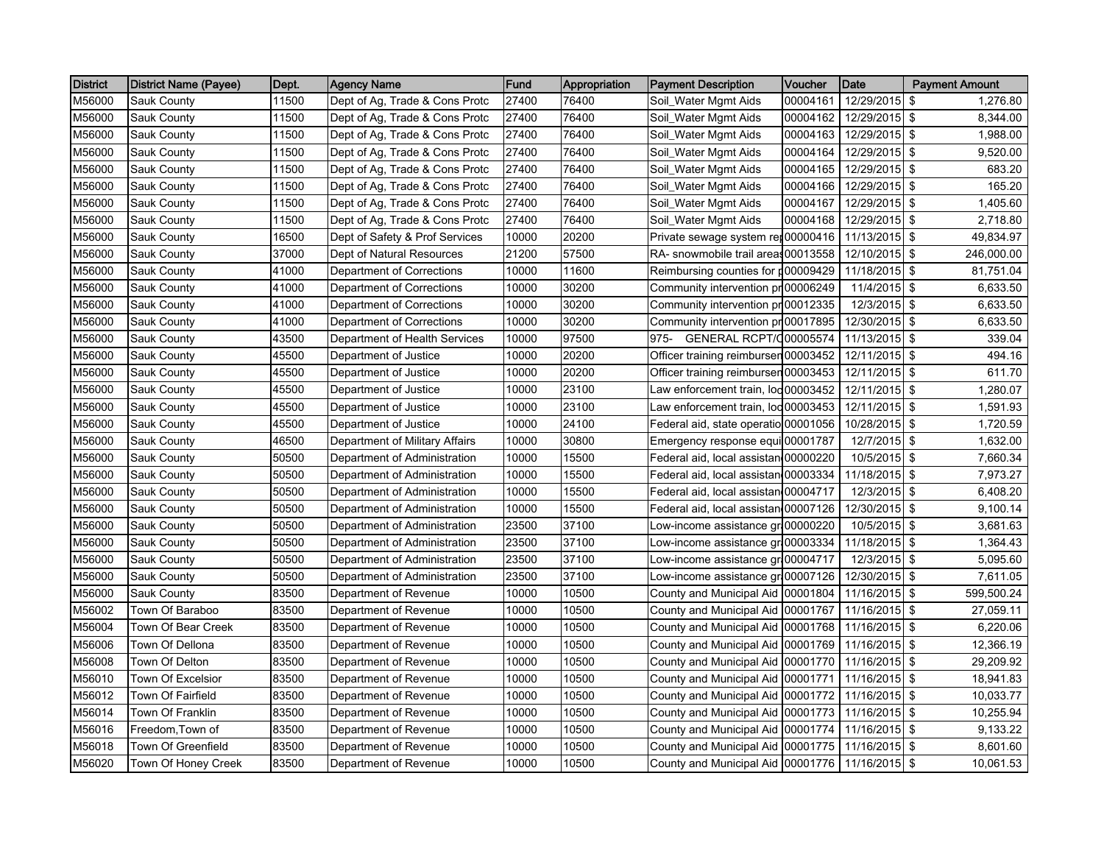| <b>District</b> | District Name (Payee) | Dept. | <b>Agency Name</b>             | Fund  | Appropriation | <b>Payment Description</b>            | Voucher  | Date          | <b>Payment Amount</b> |
|-----------------|-----------------------|-------|--------------------------------|-------|---------------|---------------------------------------|----------|---------------|-----------------------|
| M56000          | Sauk County           | 11500 | Dept of Ag, Trade & Cons Protc | 27400 | 76400         | Soil_Water Mgmt Aids                  | 00004161 | 12/29/2015 \$ | 1,276.80              |
| M56000          | Sauk County           | 11500 | Dept of Ag, Trade & Cons Protc | 27400 | 76400         | Soil_Water Mgmt Aids                  | 00004162 | 12/29/2015 \$ | 8.344.00              |
| M56000          | Sauk County           | 11500 | Dept of Ag, Trade & Cons Protc | 27400 | 76400         | Soil_Water Mgmt Aids                  | 00004163 | 12/29/2015 \$ | 1,988.00              |
| M56000          | Sauk County           | 11500 | Dept of Ag, Trade & Cons Protc | 27400 | 76400         | Soil_Water Mgmt Aids                  | 00004164 | 12/29/2015 \$ | 9,520.00              |
| M56000          | Sauk County           | 11500 | Dept of Ag, Trade & Cons Protc | 27400 | 76400         | Soil_Water Mgmt Aids                  | 00004165 | 12/29/2015 \$ | 683.20                |
| M56000          | Sauk County           | 11500 | Dept of Ag, Trade & Cons Protc | 27400 | 76400         | Soil_Water Mgmt Aids                  | 00004166 | 12/29/2015 \$ | 165.20                |
| M56000          | Sauk County           | 11500 | Dept of Ag, Trade & Cons Protc | 27400 | 76400         | Soil_Water Mgmt Aids                  | 00004167 | 12/29/2015 \$ | 1,405.60              |
| M56000          | Sauk County           | 11500 | Dept of Ag, Trade & Cons Protc | 27400 | 76400         | Soil_Water Mgmt Aids                  | 00004168 | 12/29/2015 \$ | 2,718.80              |
| M56000          | Sauk County           | 16500 | Dept of Safety & Prof Services | 10000 | 20200         | Private sewage system ret00000416     |          | 11/13/2015 \$ | 49,834.97             |
| M56000          | Sauk County           | 37000 | Dept of Natural Resources      | 21200 | 57500         | RA- snowmobile trail areas 00013558   |          | 12/10/2015 \$ | 246,000.00            |
| M56000          | Sauk County           | 41000 | Department of Corrections      | 10000 | 11600         | Reimbursing counties for p00009429    |          | 11/18/2015 \$ | 81,751.04             |
| M56000          | Sauk County           | 41000 | Department of Corrections      | 10000 | 30200         | Community intervention pr 00006249    |          | 11/4/2015 \$  | 6,633.50              |
| M56000          | Sauk County           | 41000 | Department of Corrections      | 10000 | 30200         | Community intervention pr 00012335    |          | 12/3/2015 \$  | 6,633.50              |
| M56000          | Sauk County           | 41000 | Department of Corrections      | 10000 | 30200         | Community intervention pr 00017895    |          | 12/30/2015 \$ | 6,633.50              |
| M56000          | Sauk County           | 43500 | Department of Health Services  | 10000 | 97500         | <b>GENERAL RCPT/000005574</b><br>975- |          | 11/13/2015 \$ | 339.04                |
| M56000          | Sauk County           | 45500 | Department of Justice          | 10000 | 20200         | Officer training reimbursen 00003452  |          | 12/11/2015 \$ | 494.16                |
| M56000          | Sauk County           | 45500 | Department of Justice          | 10000 | 20200         | Officer training reimbursen 00003453  |          | 12/11/2015 \$ | 611.70                |
| M56000          | Sauk County           | 45500 | Department of Justice          | 10000 | 23100         | Law enforcement train, lod 00003452   |          | 12/11/2015 \$ | 1,280.07              |
| M56000          | Sauk County           | 45500 | Department of Justice          | 10000 | 23100         | Law enforcement train, lod 00003453   |          | 12/11/2015 \$ | 1,591.93              |
| M56000          | Sauk County           | 45500 | Department of Justice          | 10000 | 24100         | Federal aid, state operatio 00001056  |          | 10/28/2015 \$ | 1,720.59              |
| M56000          | Sauk County           | 46500 | Department of Military Affairs | 10000 | 30800         | Emergency response equi 00001787      |          | 12/7/2015 \$  | 1,632.00              |
| M56000          | Sauk County           | 50500 | Department of Administration   | 10000 | 15500         | Federal aid, local assistan 00000220  |          | 10/5/2015 \$  | 7,660.34              |
| M56000          | Sauk County           | 50500 | Department of Administration   | 10000 | 15500         | Federal aid, local assistan 00003334  |          | 11/18/2015 \$ | 7,973.27              |
| M56000          | Sauk County           | 50500 | Department of Administration   | 10000 | 15500         | Federal aid, local assistan 00004717  |          | 12/3/2015 \$  | 6,408.20              |
| M56000          | Sauk County           | 50500 | Department of Administration   | 10000 | 15500         | Federal aid, local assistan 00007126  |          | 12/30/2015 \$ | 9,100.14              |
| M56000          | Sauk County           | 50500 | Department of Administration   | 23500 | 37100         | ow-income assistance gr 00000220      |          | 10/5/2015 \$  | 3,681.63              |
| M56000          | Sauk County           | 50500 | Department of Administration   | 23500 | 37100         | Low-income assistance gri 00003334    |          | 11/18/2015 \$ | 1,364.43              |
| M56000          | Sauk County           | 50500 | Department of Administration   | 23500 | 37100         | Low-income assistance gr 00004717     |          | 12/3/2015 \$  | 5,095.60              |
| M56000          | Sauk County           | 50500 | Department of Administration   | 23500 | 37100         | Low-income assistance gr.00007126     |          | 12/30/2015 \$ | 7,611.05              |
| M56000          | Sauk County           | 83500 | Department of Revenue          | 10000 | 10500         | County and Municipal Aid 00001804     |          | 11/16/2015 \$ | 599,500.24            |
| M56002          | Town Of Baraboo       | 83500 | Department of Revenue          | 10000 | 10500         | County and Municipal Aid 00001767     |          | 11/16/2015 \$ | 27,059.11             |
| M56004          | Town Of Bear Creek    | 83500 | Department of Revenue          | 10000 | 10500         | County and Municipal Aid 00001768     |          | 11/16/2015 \$ | 6,220.06              |
| M56006          | Town Of Dellona       | 83500 | Department of Revenue          | 10000 | 10500         | County and Municipal Aid 00001769     |          | 11/16/2015 \$ | 12,366.19             |
| M56008          | Town Of Delton        | 83500 | Department of Revenue          | 10000 | 10500         | County and Municipal Aid 00001770     |          | 11/16/2015 \$ | 29,209.92             |
| M56010          | Town Of Excelsior     | 83500 | Department of Revenue          | 10000 | 10500         | County and Municipal Aid 00001771     |          | 11/16/2015 \$ | 18,941.83             |
| M56012          | Town Of Fairfield     | 83500 | Department of Revenue          | 10000 | 10500         | County and Municipal Aid 00001772     |          | 11/16/2015 \$ | 10,033.77             |
| M56014          | Town Of Franklin      | 83500 | Department of Revenue          | 10000 | 10500         | County and Municipal Aid 00001773     |          | 11/16/2015 \$ | 10,255.94             |
| M56016          | Freedom,Town of       | 83500 | Department of Revenue          | 10000 | 10500         | County and Municipal Aid 00001774     |          | 11/16/2015 \$ | 9,133.22              |
| M56018          | Town Of Greenfield    | 83500 | Department of Revenue          | 10000 | 10500         | County and Municipal Aid 00001775     |          | 11/16/2015 \$ | 8,601.60              |
| M56020          | Town Of Honey Creek   | 83500 | Department of Revenue          | 10000 | 10500         | County and Municipal Aid 00001776     |          | 11/16/2015 \$ | 10,061.53             |